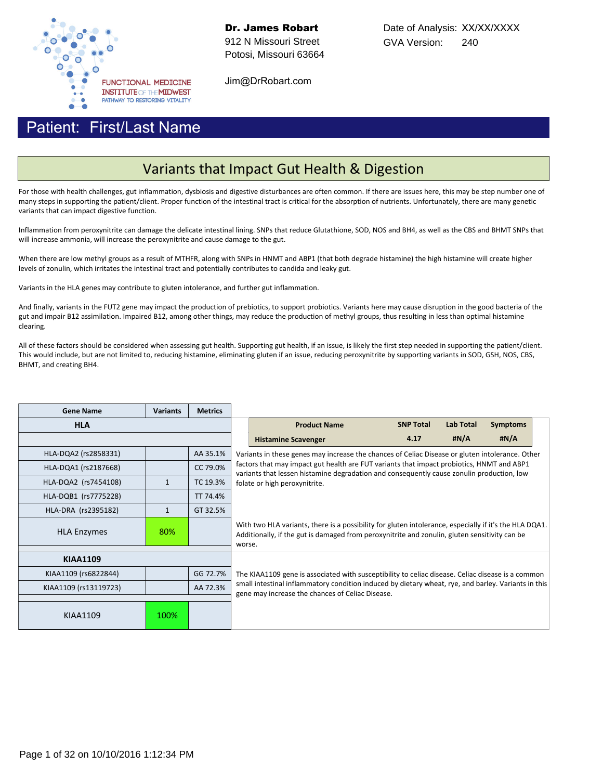

Dr. James Robart 912 N Missouri Street Potosi, Missouri 63664

Jim@DrRobart.com

#### First/Last Name Patient:

## Variants that Impact Gut Health & Digestion

For those with health challenges, gut inflammation, dysbiosis and digestive disturbances are often common. If there are issues here, this may be step number one of many steps in supporting the patient/client. Proper function of the intestinal tract is critical for the absorption of nutrients. Unfortunately, there are many genetic variants that can impact digestive function.

Inflammation from peroxynitrite can damage the delicate intestinal lining. SNPs that reduce Glutathione, SOD, NOS and BH4, as well as the CBS and BHMT SNPs that will increase ammonia, will increase the peroxynitrite and cause damage to the gut.

When there are low methyl groups as a result of MTHFR, along with SNPs in HNMT and ABP1 (that both degrade histamine) the high histamine will create higher levels of zonulin, which irritates the intestinal tract and potentially contributes to candida and leaky gut.

Variants in the HLA genes may contribute to gluten intolerance, and further gut inflammation.

And finally, variants in the FUT2 gene may impact the production of prebiotics, to support probiotics. Variants here may cause disruption in the good bacteria of the gut and impair B12 assimilation. Impaired B12, among other things, may reduce the production of methyl groups, thus resulting in less than optimal histamine clearing.

All of these factors should be considered when assessing gut health. Supporting gut health, if an issue, is likely the first step needed in supporting the patient/client. This would include, but are not limited to, reducing histamine, eliminating gluten if an issue, reducing peroxynitrite by supporting variants in SOD, GSH, NOS, CBS, BHMT, and creating BH4.

| <b>Gene Name</b>          | <b>Variants</b> | <b>Metrics</b> |                                                                                                 |                                                                                                                                                                                                                   |                  |                  |                 |  |  |  |
|---------------------------|-----------------|----------------|-------------------------------------------------------------------------------------------------|-------------------------------------------------------------------------------------------------------------------------------------------------------------------------------------------------------------------|------------------|------------------|-----------------|--|--|--|
| <b>HLA</b>                |                 |                |                                                                                                 | <b>Product Name</b>                                                                                                                                                                                               | <b>SNP Total</b> | <b>Lab Total</b> | <b>Symptoms</b> |  |  |  |
|                           |                 |                |                                                                                                 | <b>Histamine Scavenger</b>                                                                                                                                                                                        | 4.17             | #N/A             | #N/A            |  |  |  |
| HLA-DQA2 (rs2858331)      |                 | AA 35.1%       | Variants in these genes may increase the chances of Celiac Disease or gluten intolerance. Other |                                                                                                                                                                                                                   |                  |                  |                 |  |  |  |
| HLA-DQA1 (rs2187668)      |                 | CC 79.0%       |                                                                                                 | factors that may impact gut health are FUT variants that impact probiotics, HNMT and ABP1<br>variants that lessen histamine degradation and consequently cause zonulin production, low                            |                  |                  |                 |  |  |  |
| HLA-DQA2 (rs7454108)      | $\mathbf{1}$    | TC 19.3%       | folate or high peroxynitrite.                                                                   |                                                                                                                                                                                                                   |                  |                  |                 |  |  |  |
| HLA-DQB1 (rs7775228)      |                 | TT 74.4%       |                                                                                                 |                                                                                                                                                                                                                   |                  |                  |                 |  |  |  |
| HLA-DRA (rs2395182)       | $\mathbf{1}$    | GT 32.5%       |                                                                                                 |                                                                                                                                                                                                                   |                  |                  |                 |  |  |  |
| 80%<br><b>HLA Enzymes</b> |                 |                |                                                                                                 | With two HLA variants, there is a possibility for gluten intolerance, especially if it's the HLA DQA1.<br>Additionally, if the gut is damaged from peroxynitrite and zonulin, gluten sensitivity can be<br>worse. |                  |                  |                 |  |  |  |
| <b>KIAA1109</b>           |                 |                |                                                                                                 |                                                                                                                                                                                                                   |                  |                  |                 |  |  |  |
|                           |                 |                |                                                                                                 |                                                                                                                                                                                                                   |                  |                  |                 |  |  |  |
| KIAA1109 (rs6822844)      |                 | GG 72.7%       |                                                                                                 | The KIAA1109 gene is associated with susceptibility to celiac disease. Celiac disease is a common                                                                                                                 |                  |                  |                 |  |  |  |
| KIAA1109 (rs13119723)     |                 | AA 72.3%       |                                                                                                 | small intestinal inflammatory condition induced by dietary wheat, rye, and barley. Variants in this                                                                                                               |                  |                  |                 |  |  |  |
|                           |                 |                | gene may increase the chances of Celiac Disease.                                                |                                                                                                                                                                                                                   |                  |                  |                 |  |  |  |
| KIAA1109                  | 100%            |                |                                                                                                 |                                                                                                                                                                                                                   |                  |                  |                 |  |  |  |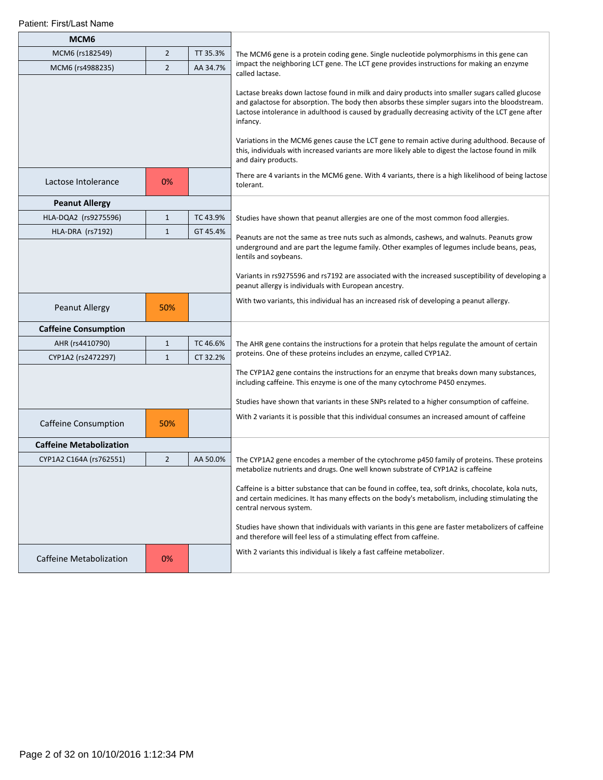| MCM <sub>6</sub>               |                |          |                                                                                                                                                                                                                                                                                                                                                                                                                                                                                                                                                  |
|--------------------------------|----------------|----------|--------------------------------------------------------------------------------------------------------------------------------------------------------------------------------------------------------------------------------------------------------------------------------------------------------------------------------------------------------------------------------------------------------------------------------------------------------------------------------------------------------------------------------------------------|
| MCM6 (rs182549)                | $\overline{2}$ | TT 35.3% | The MCM6 gene is a protein coding gene. Single nucleotide polymorphisms in this gene can                                                                                                                                                                                                                                                                                                                                                                                                                                                         |
| MCM6 (rs4988235)               | $\overline{2}$ | AA 34.7% | impact the neighboring LCT gene. The LCT gene provides instructions for making an enzyme<br>called lactase.                                                                                                                                                                                                                                                                                                                                                                                                                                      |
|                                |                |          | Lactase breaks down lactose found in milk and dairy products into smaller sugars called glucose<br>and galactose for absorption. The body then absorbs these simpler sugars into the bloodstream.<br>Lactose intolerance in adulthood is caused by gradually decreasing activity of the LCT gene after<br>infancy.<br>Variations in the MCM6 genes cause the LCT gene to remain active during adulthood. Because of<br>this, individuals with increased variants are more likely able to digest the lactose found in milk<br>and dairy products. |
| Lactose Intolerance            | 0%             |          | There are 4 variants in the MCM6 gene. With 4 variants, there is a high likelihood of being lactose<br>tolerant.                                                                                                                                                                                                                                                                                                                                                                                                                                 |
| <b>Peanut Allergy</b>          |                |          |                                                                                                                                                                                                                                                                                                                                                                                                                                                                                                                                                  |
| HLA-DQA2 (rs9275596)           | $\mathbf{1}$   | TC 43.9% | Studies have shown that peanut allergies are one of the most common food allergies.                                                                                                                                                                                                                                                                                                                                                                                                                                                              |
| HLA-DRA (rs7192)               | $\mathbf{1}$   | GT 45.4% | Peanuts are not the same as tree nuts such as almonds, cashews, and walnuts. Peanuts grow                                                                                                                                                                                                                                                                                                                                                                                                                                                        |
|                                |                |          | underground and are part the legume family. Other examples of legumes include beans, peas,<br>lentils and soybeans.                                                                                                                                                                                                                                                                                                                                                                                                                              |
|                                |                |          | Variants in rs9275596 and rs7192 are associated with the increased susceptibility of developing a<br>peanut allergy is individuals with European ancestry.                                                                                                                                                                                                                                                                                                                                                                                       |
| Peanut Allergy                 | 50%            |          | With two variants, this individual has an increased risk of developing a peanut allergy.                                                                                                                                                                                                                                                                                                                                                                                                                                                         |
| <b>Caffeine Consumption</b>    |                |          |                                                                                                                                                                                                                                                                                                                                                                                                                                                                                                                                                  |
| AHR (rs4410790)                | $\mathbf{1}$   | TC 46.6% | The AHR gene contains the instructions for a protein that helps regulate the amount of certain                                                                                                                                                                                                                                                                                                                                                                                                                                                   |
| CYP1A2 (rs2472297)             | $\mathbf{1}$   | CT 32.2% | proteins. One of these proteins includes an enzyme, called CYP1A2.                                                                                                                                                                                                                                                                                                                                                                                                                                                                               |
|                                |                |          | The CYP1A2 gene contains the instructions for an enzyme that breaks down many substances,<br>including caffeine. This enzyme is one of the many cytochrome P450 enzymes.                                                                                                                                                                                                                                                                                                                                                                         |
|                                |                |          | Studies have shown that variants in these SNPs related to a higher consumption of caffeine.                                                                                                                                                                                                                                                                                                                                                                                                                                                      |
| <b>Caffeine Consumption</b>    | 50%            |          | With 2 variants it is possible that this individual consumes an increased amount of caffeine                                                                                                                                                                                                                                                                                                                                                                                                                                                     |
| <b>Caffeine Metabolization</b> |                |          |                                                                                                                                                                                                                                                                                                                                                                                                                                                                                                                                                  |
| CYP1A2 C164A (rs762551)        | $\overline{2}$ | AA 50.0% | The CYP1A2 gene encodes a member of the cytochrome p450 family of proteins. These proteins                                                                                                                                                                                                                                                                                                                                                                                                                                                       |
|                                |                |          | metabolize nutrients and drugs. One well known substrate of CYP1A2 is caffeine                                                                                                                                                                                                                                                                                                                                                                                                                                                                   |
|                                |                |          | Caffeine is a bitter substance that can be found in coffee, tea, soft drinks, chocolate, kola nuts,<br>and certain medicines. It has many effects on the body's metabolism, including stimulating the<br>central nervous system.                                                                                                                                                                                                                                                                                                                 |
|                                |                |          | Studies have shown that individuals with variants in this gene are faster metabolizers of caffeine<br>and therefore will feel less of a stimulating effect from caffeine.                                                                                                                                                                                                                                                                                                                                                                        |
| <b>Caffeine Metabolization</b> | 0%             |          | With 2 variants this individual is likely a fast caffeine metabolizer.                                                                                                                                                                                                                                                                                                                                                                                                                                                                           |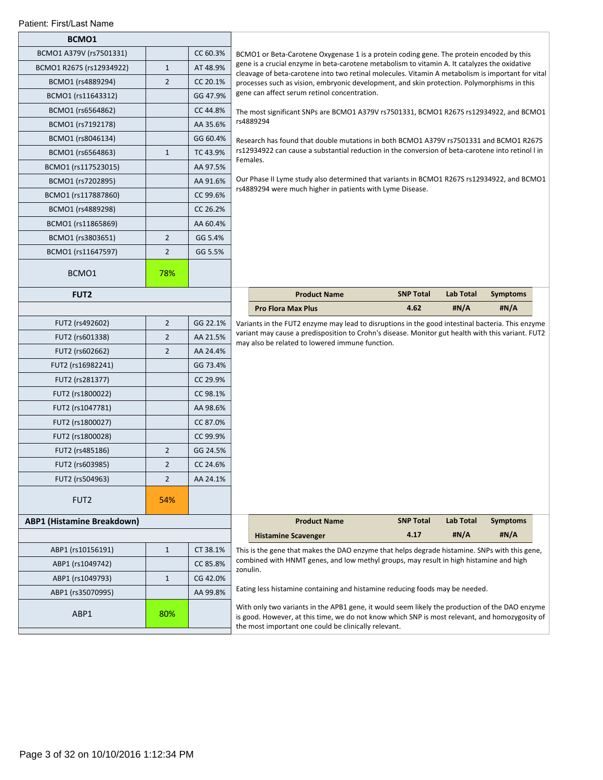|  | Patient: First/Last Name |  |
|--|--------------------------|--|
|--|--------------------------|--|

| BCMO1                             |                            |          |                                                                                                                                                                                                                                                                                                                                                                                                                                                |                                                                                                                                                                                                    |                                                                                                   |                  |                 |  |  |  |
|-----------------------------------|----------------------------|----------|------------------------------------------------------------------------------------------------------------------------------------------------------------------------------------------------------------------------------------------------------------------------------------------------------------------------------------------------------------------------------------------------------------------------------------------------|----------------------------------------------------------------------------------------------------------------------------------------------------------------------------------------------------|---------------------------------------------------------------------------------------------------|------------------|-----------------|--|--|--|
| BCMO1 A379V (rs7501331)           |                            | CC 60.3% |                                                                                                                                                                                                                                                                                                                                                                                                                                                | BCMO1 or Beta-Carotene Oxygenase 1 is a protein coding gene. The protein encoded by this                                                                                                           |                                                                                                   |                  |                 |  |  |  |
| BCMO1 R267S (rs12934922)          | $1\,$                      | AT 48.9% |                                                                                                                                                                                                                                                                                                                                                                                                                                                | gene is a crucial enzyme in beta-carotene metabolism to vitamin A. It catalyzes the oxidative<br>cleavage of beta-carotene into two retinal molecules. Vitamin A metabolism is important for vital |                                                                                                   |                  |                 |  |  |  |
| BCMO1 (rs4889294)                 | $\overline{2}$             | CC 20.1% |                                                                                                                                                                                                                                                                                                                                                                                                                                                | processes such as vision, embryonic development, and skin protection. Polymorphisms in this                                                                                                        |                                                                                                   |                  |                 |  |  |  |
| BCMO1 (rs11643312)                |                            | GG 47.9% |                                                                                                                                                                                                                                                                                                                                                                                                                                                | gene can affect serum retinol concentration.                                                                                                                                                       |                                                                                                   |                  |                 |  |  |  |
| BCMO1 (rs6564862)                 |                            | CC 44.8% |                                                                                                                                                                                                                                                                                                                                                                                                                                                | The most significant SNPs are BCMO1 A379V rs7501331, BCMO1 R267S rs12934922, and BCMO1                                                                                                             |                                                                                                   |                  |                 |  |  |  |
| BCMO1 (rs7192178)                 |                            | AA 35.6% |                                                                                                                                                                                                                                                                                                                                                                                                                                                | rs4889294                                                                                                                                                                                          |                                                                                                   |                  |                 |  |  |  |
| BCMO1 (rs8046134)                 |                            | GG 60.4% |                                                                                                                                                                                                                                                                                                                                                                                                                                                | Research has found that double mutations in both BCMO1 A379V rs7501331 and BCMO1 R267S                                                                                                             |                                                                                                   |                  |                 |  |  |  |
| BCMO1 (rs6564863)                 | $1\,$                      | TC 43.9% |                                                                                                                                                                                                                                                                                                                                                                                                                                                | rs12934922 can cause a substantial reduction in the conversion of beta-carotene into retinol I in<br>Females.                                                                                      |                                                                                                   |                  |                 |  |  |  |
| BCMO1 (rs117523015)               |                            | AA 97.5% |                                                                                                                                                                                                                                                                                                                                                                                                                                                |                                                                                                                                                                                                    |                                                                                                   |                  |                 |  |  |  |
| BCMO1 (rs7202895)                 |                            | AA 91.6% |                                                                                                                                                                                                                                                                                                                                                                                                                                                | Our Phase II Lyme study also determined that variants in BCMO1 R267S rs12934922, and BCMO1                                                                                                         |                                                                                                   |                  |                 |  |  |  |
| BCMO1 (rs117887860)               |                            | CC 99.6% |                                                                                                                                                                                                                                                                                                                                                                                                                                                | rs4889294 were much higher in patients with Lyme Disease.                                                                                                                                          |                                                                                                   |                  |                 |  |  |  |
| BCMO1 (rs4889298)                 |                            | CC 26.2% |                                                                                                                                                                                                                                                                                                                                                                                                                                                |                                                                                                                                                                                                    |                                                                                                   |                  |                 |  |  |  |
| BCMO1 (rs11865869)                |                            | AA 60.4% |                                                                                                                                                                                                                                                                                                                                                                                                                                                |                                                                                                                                                                                                    |                                                                                                   |                  |                 |  |  |  |
| BCMO1 (rs3803651)                 | $\overline{2}$             | GG 5.4%  |                                                                                                                                                                                                                                                                                                                                                                                                                                                |                                                                                                                                                                                                    |                                                                                                   |                  |                 |  |  |  |
| BCMO1 (rs11647597)                | $\overline{2}$             | GG 5.5%  |                                                                                                                                                                                                                                                                                                                                                                                                                                                |                                                                                                                                                                                                    |                                                                                                   |                  |                 |  |  |  |
| BCMO1                             | 78%                        |          |                                                                                                                                                                                                                                                                                                                                                                                                                                                |                                                                                                                                                                                                    |                                                                                                   |                  |                 |  |  |  |
| FUT <sub>2</sub>                  |                            |          |                                                                                                                                                                                                                                                                                                                                                                                                                                                | <b>Product Name</b>                                                                                                                                                                                | <b>SNP Total</b>                                                                                  | <b>Lab Total</b> | <b>Symptoms</b> |  |  |  |
|                                   |                            |          |                                                                                                                                                                                                                                                                                                                                                                                                                                                | <b>Pro Flora Max Plus</b>                                                                                                                                                                          | 4.62                                                                                              | #N/A             | #N/A            |  |  |  |
| FUT2 (rs492602)                   | $\overline{2}$             | GG 22.1% |                                                                                                                                                                                                                                                                                                                                                                                                                                                | Variants in the FUT2 enzyme may lead to disruptions in the good intestinal bacteria. This enzyme                                                                                                   |                                                                                                   |                  |                 |  |  |  |
| FUT2 (rs601338)                   | $\overline{2}$<br>AA 21.5% |          |                                                                                                                                                                                                                                                                                                                                                                                                                                                |                                                                                                                                                                                                    | variant may cause a predisposition to Crohn's disease. Monitor gut health with this variant. FUT2 |                  |                 |  |  |  |
| FUT2 (rs602662)                   | $\overline{2}$             | AA 24.4% |                                                                                                                                                                                                                                                                                                                                                                                                                                                | may also be related to lowered immune function.                                                                                                                                                    |                                                                                                   |                  |                 |  |  |  |
| FUT2 (rs16982241)                 |                            | GG 73.4% |                                                                                                                                                                                                                                                                                                                                                                                                                                                |                                                                                                                                                                                                    |                                                                                                   |                  |                 |  |  |  |
| FUT2 (rs281377)                   |                            | CC 29.9% |                                                                                                                                                                                                                                                                                                                                                                                                                                                |                                                                                                                                                                                                    |                                                                                                   |                  |                 |  |  |  |
| FUT2 (rs1800022)                  |                            | CC 98.1% |                                                                                                                                                                                                                                                                                                                                                                                                                                                |                                                                                                                                                                                                    |                                                                                                   |                  |                 |  |  |  |
| FUT2 (rs1047781)                  |                            | AA 98.6% |                                                                                                                                                                                                                                                                                                                                                                                                                                                |                                                                                                                                                                                                    |                                                                                                   |                  |                 |  |  |  |
| FUT2 (rs1800027)                  |                            | CC 87.0% |                                                                                                                                                                                                                                                                                                                                                                                                                                                |                                                                                                                                                                                                    |                                                                                                   |                  |                 |  |  |  |
| FUT2 (rs1800028)                  |                            | CC 99.9% |                                                                                                                                                                                                                                                                                                                                                                                                                                                |                                                                                                                                                                                                    |                                                                                                   |                  |                 |  |  |  |
| FUT2 (rs485186)                   | $\overline{2}$             | GG 24.5% |                                                                                                                                                                                                                                                                                                                                                                                                                                                |                                                                                                                                                                                                    |                                                                                                   |                  |                 |  |  |  |
| FUT2 (rs603985)                   | $\overline{2}$             | CC 24.6% |                                                                                                                                                                                                                                                                                                                                                                                                                                                |                                                                                                                                                                                                    |                                                                                                   |                  |                 |  |  |  |
| FUT2 (rs504963)                   | $\overline{2}$             | AA 24.1% |                                                                                                                                                                                                                                                                                                                                                                                                                                                |                                                                                                                                                                                                    |                                                                                                   |                  |                 |  |  |  |
| FUT <sub>2</sub>                  | 54%                        |          |                                                                                                                                                                                                                                                                                                                                                                                                                                                |                                                                                                                                                                                                    |                                                                                                   |                  |                 |  |  |  |
| <b>ABP1 (Histamine Breakdown)</b> |                            |          |                                                                                                                                                                                                                                                                                                                                                                                                                                                | <b>Product Name</b>                                                                                                                                                                                | <b>SNP Total</b>                                                                                  | <b>Lab Total</b> | <b>Symptoms</b> |  |  |  |
|                                   |                            |          |                                                                                                                                                                                                                                                                                                                                                                                                                                                | <b>Histamine Scavenger</b>                                                                                                                                                                         | 4.17                                                                                              | #N/A             | #N/A            |  |  |  |
| ABP1 (rs10156191)                 | $\mathbf{1}$               | CT 38.1% |                                                                                                                                                                                                                                                                                                                                                                                                                                                | This is the gene that makes the DAO enzyme that helps degrade histamine. SNPs with this gene,                                                                                                      |                                                                                                   |                  |                 |  |  |  |
| ABP1 (rs1049742)                  |                            | CC 85.8% | combined with HNMT genes, and low methyl groups, may result in high histamine and high<br>zonulin.<br>Eating less histamine containing and histamine reducing foods may be needed.<br>With only two variants in the APB1 gene, it would seem likely the production of the DAO enzyme<br>is good. However, at this time, we do not know which SNP is most relevant, and homozygosity of<br>the most important one could be clinically relevant. |                                                                                                                                                                                                    |                                                                                                   |                  |                 |  |  |  |
| ABP1 (rs1049793)                  | $\mathbf{1}$               | CG 42.0% |                                                                                                                                                                                                                                                                                                                                                                                                                                                |                                                                                                                                                                                                    |                                                                                                   |                  |                 |  |  |  |
| ABP1 (rs35070995)                 |                            | AA 99.8% |                                                                                                                                                                                                                                                                                                                                                                                                                                                |                                                                                                                                                                                                    |                                                                                                   |                  |                 |  |  |  |
| ABP1                              | 80%                        |          |                                                                                                                                                                                                                                                                                                                                                                                                                                                |                                                                                                                                                                                                    |                                                                                                   |                  |                 |  |  |  |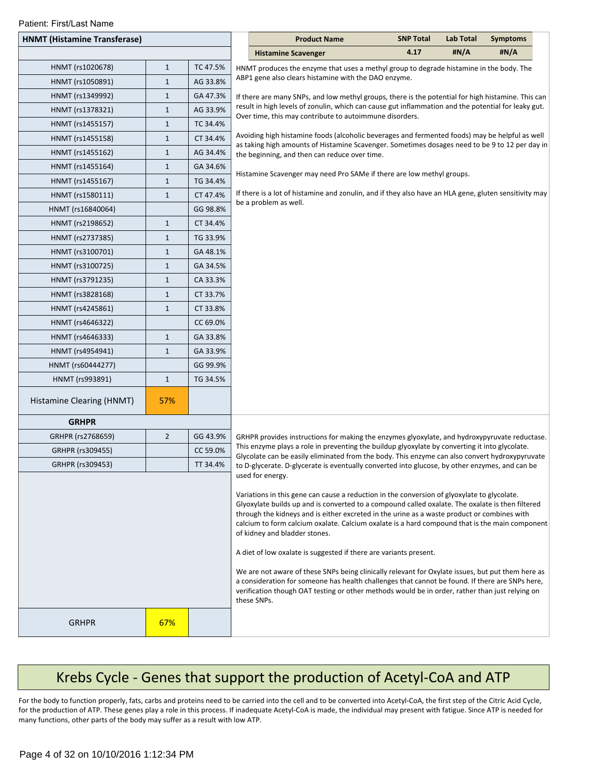| Patient: First/Last Name |  |  |  |
|--------------------------|--|--|--|
|--------------------------|--|--|--|

| Falletti. Fiisvlast Ivalite<br><b>HNMT (Histamine Transferase)</b> |                              |          | <b>Product Name</b>                                                                                                                                                                                                                                                                                                                                                                                                                                                                                                                                                                                                                                                                                                                                                                                                                                  | <b>SNP Total</b> | <b>Lab Total</b> | <b>Symptoms</b> |
|--------------------------------------------------------------------|------------------------------|----------|------------------------------------------------------------------------------------------------------------------------------------------------------------------------------------------------------------------------------------------------------------------------------------------------------------------------------------------------------------------------------------------------------------------------------------------------------------------------------------------------------------------------------------------------------------------------------------------------------------------------------------------------------------------------------------------------------------------------------------------------------------------------------------------------------------------------------------------------------|------------------|------------------|-----------------|
|                                                                    |                              |          |                                                                                                                                                                                                                                                                                                                                                                                                                                                                                                                                                                                                                                                                                                                                                                                                                                                      | 4.17             | #N/A             | #N/A            |
|                                                                    |                              |          | <b>Histamine Scavenger</b>                                                                                                                                                                                                                                                                                                                                                                                                                                                                                                                                                                                                                                                                                                                                                                                                                           |                  |                  |                 |
| HNMT (rs1020678)                                                   | $\mathbf{1}$<br>$\mathbf{1}$ | TC 47.5% | HNMT produces the enzyme that uses a methyl group to degrade histamine in the body. The<br>ABP1 gene also clears histamine with the DAO enzyme.                                                                                                                                                                                                                                                                                                                                                                                                                                                                                                                                                                                                                                                                                                      |                  |                  |                 |
| HNMT (rs1050891)                                                   |                              | AG 33.8% |                                                                                                                                                                                                                                                                                                                                                                                                                                                                                                                                                                                                                                                                                                                                                                                                                                                      |                  |                  |                 |
| HNMT (rs1349992)                                                   | $\mathbf{1}$                 | GA 47.3% | If there are many SNPs, and low methyl groups, there is the potential for high histamine. This can<br>result in high levels of zonulin, which can cause gut inflammation and the potential for leaky gut.                                                                                                                                                                                                                                                                                                                                                                                                                                                                                                                                                                                                                                            |                  |                  |                 |
| HNMT (rs1378321)                                                   | $\mathbf{1}$                 | AG 33.9% | Over time, this may contribute to autoimmune disorders.                                                                                                                                                                                                                                                                                                                                                                                                                                                                                                                                                                                                                                                                                                                                                                                              |                  |                  |                 |
| HNMT (rs1455157)                                                   | $\mathbf{1}$                 | TC 34.4% | Avoiding high histamine foods (alcoholic beverages and fermented foods) may be helpful as well                                                                                                                                                                                                                                                                                                                                                                                                                                                                                                                                                                                                                                                                                                                                                       |                  |                  |                 |
| HNMT (rs1455158)                                                   | $\mathbf{1}$                 | CT 34.4% | as taking high amounts of Histamine Scavenger. Sometimes dosages need to be 9 to 12 per day in                                                                                                                                                                                                                                                                                                                                                                                                                                                                                                                                                                                                                                                                                                                                                       |                  |                  |                 |
| HNMT (rs1455162)                                                   | $\mathbf{1}$                 | AG 34.4% | the beginning, and then can reduce over time.                                                                                                                                                                                                                                                                                                                                                                                                                                                                                                                                                                                                                                                                                                                                                                                                        |                  |                  |                 |
| HNMT (rs1455164)                                                   | $\mathbf{1}$                 | GA 34.6% | Histamine Scavenger may need Pro SAMe if there are low methyl groups.                                                                                                                                                                                                                                                                                                                                                                                                                                                                                                                                                                                                                                                                                                                                                                                |                  |                  |                 |
| HNMT (rs1455167)                                                   | $\mathbf{1}$                 | TG 34.4% |                                                                                                                                                                                                                                                                                                                                                                                                                                                                                                                                                                                                                                                                                                                                                                                                                                                      |                  |                  |                 |
| HNMT (rs1580111)                                                   | $\mathbf{1}$                 | CT 47.4% | If there is a lot of histamine and zonulin, and if they also have an HLA gene, gluten sensitivity may<br>be a problem as well.                                                                                                                                                                                                                                                                                                                                                                                                                                                                                                                                                                                                                                                                                                                       |                  |                  |                 |
| HNMT (rs16840064)                                                  |                              | GG 98.8% |                                                                                                                                                                                                                                                                                                                                                                                                                                                                                                                                                                                                                                                                                                                                                                                                                                                      |                  |                  |                 |
| HNMT (rs2198652)                                                   | $\mathbf{1}$                 | CT 34.4% |                                                                                                                                                                                                                                                                                                                                                                                                                                                                                                                                                                                                                                                                                                                                                                                                                                                      |                  |                  |                 |
| HNMT (rs2737385)                                                   | $\mathbf{1}$                 | TG 33.9% |                                                                                                                                                                                                                                                                                                                                                                                                                                                                                                                                                                                                                                                                                                                                                                                                                                                      |                  |                  |                 |
| HNMT (rs3100701)                                                   | $\mathbf{1}$                 | GA 48.1% |                                                                                                                                                                                                                                                                                                                                                                                                                                                                                                                                                                                                                                                                                                                                                                                                                                                      |                  |                  |                 |
| HNMT (rs3100725)                                                   | $\mathbf{1}$                 | GA 34.5% |                                                                                                                                                                                                                                                                                                                                                                                                                                                                                                                                                                                                                                                                                                                                                                                                                                                      |                  |                  |                 |
| HNMT (rs3791235)                                                   | $\mathbf{1}$                 | CA 33.3% |                                                                                                                                                                                                                                                                                                                                                                                                                                                                                                                                                                                                                                                                                                                                                                                                                                                      |                  |                  |                 |
| HNMT (rs3828168)                                                   | $\mathbf{1}$                 | CT 33.7% |                                                                                                                                                                                                                                                                                                                                                                                                                                                                                                                                                                                                                                                                                                                                                                                                                                                      |                  |                  |                 |
| HNMT (rs4245861)                                                   | $\mathbf{1}$                 | CT 33.8% |                                                                                                                                                                                                                                                                                                                                                                                                                                                                                                                                                                                                                                                                                                                                                                                                                                                      |                  |                  |                 |
| HNMT (rs4646322)                                                   |                              | CC 69.0% |                                                                                                                                                                                                                                                                                                                                                                                                                                                                                                                                                                                                                                                                                                                                                                                                                                                      |                  |                  |                 |
| HNMT (rs4646333)                                                   | $\mathbf{1}$                 | GA 33.8% |                                                                                                                                                                                                                                                                                                                                                                                                                                                                                                                                                                                                                                                                                                                                                                                                                                                      |                  |                  |                 |
| HNMT (rs4954941)                                                   | $\mathbf{1}$                 | GA 33.9% |                                                                                                                                                                                                                                                                                                                                                                                                                                                                                                                                                                                                                                                                                                                                                                                                                                                      |                  |                  |                 |
| HNMT (rs60444277)                                                  |                              | GG 99.9% |                                                                                                                                                                                                                                                                                                                                                                                                                                                                                                                                                                                                                                                                                                                                                                                                                                                      |                  |                  |                 |
| HNMT (rs993891)                                                    | $\mathbf{1}$                 | TG 34.5% |                                                                                                                                                                                                                                                                                                                                                                                                                                                                                                                                                                                                                                                                                                                                                                                                                                                      |                  |                  |                 |
| Histamine Clearing (HNMT)                                          | 57%                          |          |                                                                                                                                                                                                                                                                                                                                                                                                                                                                                                                                                                                                                                                                                                                                                                                                                                                      |                  |                  |                 |
| <b>GRHPR</b>                                                       |                              |          |                                                                                                                                                                                                                                                                                                                                                                                                                                                                                                                                                                                                                                                                                                                                                                                                                                                      |                  |                  |                 |
| GRHPR (rs2768659)                                                  | $\overline{2}$               | GG 43.9% | GRHPR provides instructions for making the enzymes glyoxylate, and hydroxypyruvate reductase.                                                                                                                                                                                                                                                                                                                                                                                                                                                                                                                                                                                                                                                                                                                                                        |                  |                  |                 |
| GRHPR (rs309455)                                                   |                              | CC 59.0% | This enzyme plays a role in preventing the buildup glyoxylate by converting it into glycolate.<br>Glycolate can be easily eliminated from the body. This enzyme can also convert hydroxypyruvate                                                                                                                                                                                                                                                                                                                                                                                                                                                                                                                                                                                                                                                     |                  |                  |                 |
| GRHPR (rs309453)                                                   |                              | TT 34.4% | to D-glycerate. D-glycerate is eventually converted into glucose, by other enzymes, and can be                                                                                                                                                                                                                                                                                                                                                                                                                                                                                                                                                                                                                                                                                                                                                       |                  |                  |                 |
|                                                                    |                              |          | used for energy.<br>Variations in this gene can cause a reduction in the conversion of glyoxylate to glycolate.<br>Glyoxylate builds up and is converted to a compound called oxalate. The oxalate is then filtered<br>through the kidneys and is either excreted in the urine as a waste product or combines with<br>calcium to form calcium oxalate. Calcium oxalate is a hard compound that is the main component<br>of kidney and bladder stones.<br>A diet of low oxalate is suggested if there are variants present.<br>We are not aware of these SNPs being clinically relevant for Oxylate issues, but put them here as<br>a consideration for someone has health challenges that cannot be found. If there are SNPs here,<br>verification though OAT testing or other methods would be in order, rather than just relying on<br>these SNPs. |                  |                  |                 |
| <b>GRHPR</b>                                                       | 67%                          |          |                                                                                                                                                                                                                                                                                                                                                                                                                                                                                                                                                                                                                                                                                                                                                                                                                                                      |                  |                  |                 |

# Krebs Cycle - Genes that support the production of Acetyl-CoA and ATP

For the body to function properly, fats, carbs and proteins need to be carried into the cell and to be converted into Acetyl-CoA, the first step of the Citric Acid Cycle, for the production of ATP. These genes play a role in this process. If inadequate Acetyl-CoA is made, the individual may present with fatigue. Since ATP is needed for many functions, other parts of the body may suffer as a result with low ATP.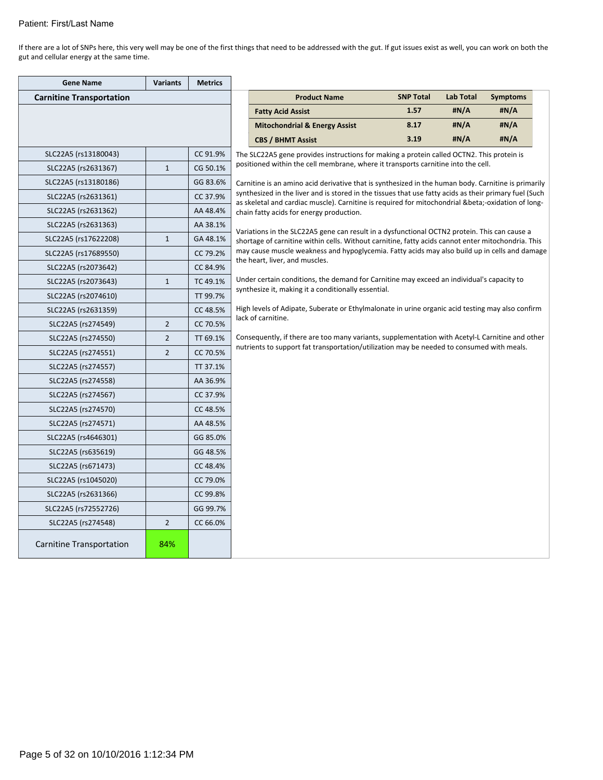If there are a lot of SNPs here, this very well may be one of the first things that need to be addressed with the gut. If gut issues exist as well, you can work on both the gut and cellular energy at the same time.

| <b>Gene Name</b>                | <b>Variants</b> | <b>Metrics</b> |                                                                                                                                           |                                                                                                                                                                                                    |                  |                  |                 |  |  |  |  |  |
|---------------------------------|-----------------|----------------|-------------------------------------------------------------------------------------------------------------------------------------------|----------------------------------------------------------------------------------------------------------------------------------------------------------------------------------------------------|------------------|------------------|-----------------|--|--|--|--|--|
| <b>Carnitine Transportation</b> |                 |                |                                                                                                                                           | <b>Product Name</b>                                                                                                                                                                                | <b>SNP Total</b> | <b>Lab Total</b> | <b>Symptoms</b> |  |  |  |  |  |
|                                 |                 |                |                                                                                                                                           | <b>Fatty Acid Assist</b>                                                                                                                                                                           | 1.57             | #N/A             | #N/A            |  |  |  |  |  |
|                                 |                 |                |                                                                                                                                           | <b>Mitochondrial &amp; Energy Assist</b>                                                                                                                                                           | 8.17             | #N/A             | #N/A            |  |  |  |  |  |
|                                 |                 |                |                                                                                                                                           | <b>CBS / BHMT Assist</b>                                                                                                                                                                           | 3.19             | #N/A             | #N/A            |  |  |  |  |  |
| SLC22A5 (rs13180043)            |                 | CC 91.9%       |                                                                                                                                           | The SLC22A5 gene provides instructions for making a protein called OCTN2. This protein is<br>positioned within the cell membrane, where it transports carnitine into the cell.                     |                  |                  |                 |  |  |  |  |  |
| SLC22A5 (rs2631367)             | $\mathbf{1}$    | CG 50.1%       |                                                                                                                                           |                                                                                                                                                                                                    |                  |                  |                 |  |  |  |  |  |
| SLC22A5 (rs13180186)            |                 | GG 83.6%       |                                                                                                                                           | Carnitine is an amino acid derivative that is synthesized in the human body. Carnitine is primarily                                                                                                |                  |                  |                 |  |  |  |  |  |
| SLC22A5 (rs2631361)             |                 | CC 37.9%       |                                                                                                                                           | synthesized in the liver and is stored in the tissues that use fatty acids as their primary fuel (Such                                                                                             |                  |                  |                 |  |  |  |  |  |
| SLC22A5 (rs2631362)             |                 | AA 48.4%       | as skeletal and cardiac muscle). Carnitine is required for mitochondrial β-oxidation of long-<br>chain fatty acids for energy production. |                                                                                                                                                                                                    |                  |                  |                 |  |  |  |  |  |
| SLC22A5 (rs2631363)             |                 | AA 38.1%       |                                                                                                                                           |                                                                                                                                                                                                    |                  |                  |                 |  |  |  |  |  |
| SLC22A5 (rs17622208)            | $\mathbf{1}$    | GA 48.1%       |                                                                                                                                           | Variations in the SLC22A5 gene can result in a dysfunctional OCTN2 protein. This can cause a<br>shortage of carnitine within cells. Without carnitine, fatty acids cannot enter mitochondria. This |                  |                  |                 |  |  |  |  |  |
| SLC22A5 (rs17689550)            |                 | CC 79.2%       | may cause muscle weakness and hypoglycemia. Fatty acids may also build up in cells and damage<br>the heart, liver, and muscles.           |                                                                                                                                                                                                    |                  |                  |                 |  |  |  |  |  |
| SLC22A5 (rs2073642)             |                 | CC 84.9%       |                                                                                                                                           |                                                                                                                                                                                                    |                  |                  |                 |  |  |  |  |  |
| SLC22A5 (rs2073643)             | $\mathbf{1}$    | TC 49.1%       |                                                                                                                                           | Under certain conditions, the demand for Carnitine may exceed an individual's capacity to                                                                                                          |                  |                  |                 |  |  |  |  |  |
| SLC22A5 (rs2074610)             |                 | TT 99.7%       |                                                                                                                                           | synthesize it, making it a conditionally essential.                                                                                                                                                |                  |                  |                 |  |  |  |  |  |
| SLC22A5 (rs2631359)             |                 | CC 48.5%       | High levels of Adipate, Suberate or Ethylmalonate in urine organic acid testing may also confirm                                          |                                                                                                                                                                                                    |                  |                  |                 |  |  |  |  |  |
| SLC22A5 (rs274549)              | $\overline{2}$  | CC 70.5%       |                                                                                                                                           | lack of carnitine.                                                                                                                                                                                 |                  |                  |                 |  |  |  |  |  |
| SLC22A5 (rs274550)              | $\overline{2}$  | TT 69.1%       |                                                                                                                                           | Consequently, if there are too many variants, supplementation with Acetyl-L Carnitine and other                                                                                                    |                  |                  |                 |  |  |  |  |  |
| SLC22A5 (rs274551)              | $\overline{2}$  | CC 70.5%       |                                                                                                                                           | nutrients to support fat transportation/utilization may be needed to consumed with meals.                                                                                                          |                  |                  |                 |  |  |  |  |  |
| SLC22A5 (rs274557)              |                 | TT 37.1%       |                                                                                                                                           |                                                                                                                                                                                                    |                  |                  |                 |  |  |  |  |  |
| SLC22A5 (rs274558)              |                 | AA 36.9%       |                                                                                                                                           |                                                                                                                                                                                                    |                  |                  |                 |  |  |  |  |  |
| SLC22A5 (rs274567)              |                 | CC 37.9%       |                                                                                                                                           |                                                                                                                                                                                                    |                  |                  |                 |  |  |  |  |  |
| SLC22A5 (rs274570)              |                 | CC 48.5%       |                                                                                                                                           |                                                                                                                                                                                                    |                  |                  |                 |  |  |  |  |  |
| SLC22A5 (rs274571)              |                 | AA 48.5%       |                                                                                                                                           |                                                                                                                                                                                                    |                  |                  |                 |  |  |  |  |  |
| SLC22A5 (rs4646301)             |                 | GG 85.0%       |                                                                                                                                           |                                                                                                                                                                                                    |                  |                  |                 |  |  |  |  |  |
| SLC22A5 (rs635619)              |                 | GG 48.5%       |                                                                                                                                           |                                                                                                                                                                                                    |                  |                  |                 |  |  |  |  |  |
| SLC22A5 (rs671473)              |                 | CC 48.4%       |                                                                                                                                           |                                                                                                                                                                                                    |                  |                  |                 |  |  |  |  |  |
| SLC22A5 (rs1045020)             |                 | CC 79.0%       |                                                                                                                                           |                                                                                                                                                                                                    |                  |                  |                 |  |  |  |  |  |
| SLC22A5 (rs2631366)             |                 | CC 99.8%       |                                                                                                                                           |                                                                                                                                                                                                    |                  |                  |                 |  |  |  |  |  |
| SLC22A5 (rs72552726)            |                 | GG 99.7%       |                                                                                                                                           |                                                                                                                                                                                                    |                  |                  |                 |  |  |  |  |  |
| SLC22A5 (rs274548)              | $\overline{2}$  | CC 66.0%       |                                                                                                                                           |                                                                                                                                                                                                    |                  |                  |                 |  |  |  |  |  |
| <b>Carnitine Transportation</b> | 84%             |                |                                                                                                                                           |                                                                                                                                                                                                    |                  |                  |                 |  |  |  |  |  |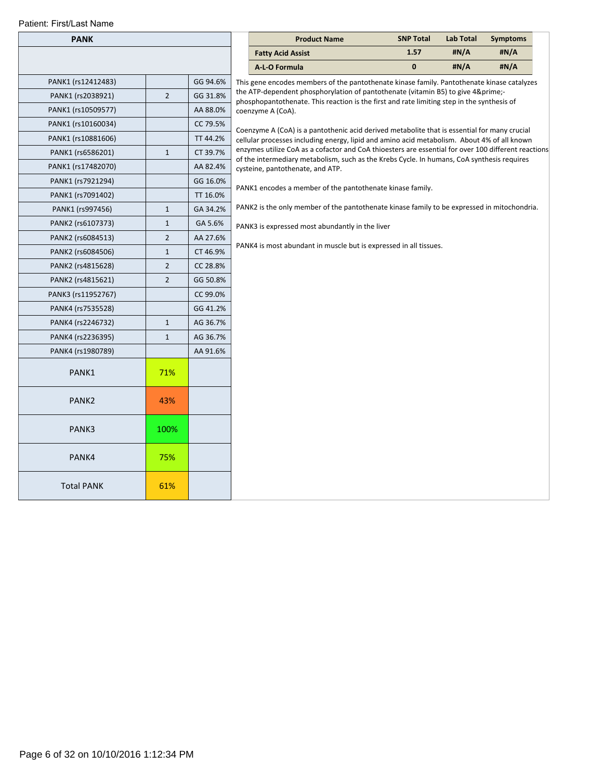| <b>PANK</b>        |                |          | <b>Product Name</b>                                                                 |  |
|--------------------|----------------|----------|-------------------------------------------------------------------------------------|--|
|                    |                |          | <b>Fatty Acid Assist</b>                                                            |  |
|                    |                |          | A-L-O Formula                                                                       |  |
| PANK1 (rs12412483) |                | GG 94.6% | This gene encodes members of the panto                                              |  |
| PANK1 (rs2038921)  | 2              | GG 31.8% | the ATP-dependent phosphorylation of p.<br>phosphopantothenate. This reaction is th |  |
| PANK1 (rs10509577) |                | AA 88.0% | coenzyme A (CoA).                                                                   |  |
| PANK1 (rs10160034) |                | CC 79.5% | Coenzyme A (CoA) is a pantothenic acid d                                            |  |
| PANK1 (rs10881606) |                | TT 44.2% | cellular processes including energy, lipid a                                        |  |
| PANK1 (rs6586201)  | $\mathbf{1}$   | CT 39.7% | enzymes utilize CoA as a cofactor and Co<br>of the intermediary metabolism, such as |  |
| PANK1 (rs17482070) |                | AA 82.4% | cysteine, pantothenate, and ATP.                                                    |  |
| PANK1 (rs7921294)  |                | GG 16.0% | PANK1 encodes a member of the pantoth                                               |  |
| PANK1 (rs7091402)  |                | TT 16.0% |                                                                                     |  |
| PANK1 (rs997456)   | $\mathbf{1}$   | GA 34.2% | PANK2 is the only member of the pantoth                                             |  |
| PANK2 (rs6107373)  | $\mathbf{1}$   | GA 5.6%  | PANK3 is expressed most abundantly in tl                                            |  |
| PANK2 (rs6084513)  | $\overline{2}$ | AA 27.6% |                                                                                     |  |
| PANK2 (rs6084506)  | $\mathbf{1}$   | CT 46.9% | PANK4 is most abundant in muscle but is                                             |  |
| PANK2 (rs4815628)  | 2              | CC 28.8% |                                                                                     |  |
| PANK2 (rs4815621)  | $\overline{2}$ | GG 50.8% |                                                                                     |  |
| PANK3 (rs11952767) |                | CC 99.0% |                                                                                     |  |
| PANK4 (rs7535528)  |                | GG 41.2% |                                                                                     |  |
| PANK4 (rs2246732)  | $\mathbf{1}$   | AG 36.7% |                                                                                     |  |
| PANK4 (rs2236395)  | $\mathbf{1}$   | AG 36.7% |                                                                                     |  |
| PANK4 (rs1980789)  |                | AA 91.6% |                                                                                     |  |
| PANK1              | 71%            |          |                                                                                     |  |
| PANK <sub>2</sub>  | 43%            |          |                                                                                     |  |
| PANK3              | 100%           |          |                                                                                     |  |
| PANK4              | 75%            |          |                                                                                     |  |
| <b>Total PANK</b>  | 61%            |          |                                                                                     |  |

| <b>PANK</b>  |                |          |                                                                                                                                                                                                    | <b>Product Name</b>                                                                                                                                                      | <b>SNP Total</b> | <b>Lab Total</b> | <b>Symptoms</b> |  |  |  |  |  |
|--------------|----------------|----------|----------------------------------------------------------------------------------------------------------------------------------------------------------------------------------------------------|--------------------------------------------------------------------------------------------------------------------------------------------------------------------------|------------------|------------------|-----------------|--|--|--|--|--|
|              |                |          |                                                                                                                                                                                                    | <b>Fatty Acid Assist</b>                                                                                                                                                 | 1.57             | #N/A             | #N/A            |  |  |  |  |  |
|              |                |          |                                                                                                                                                                                                    | A-L-O Formula                                                                                                                                                            | $\mathbf 0$      | #N/A             | #N/A            |  |  |  |  |  |
| (rs12412483) |                | GG 94.6% |                                                                                                                                                                                                    | This gene encodes members of the pantothenate kinase family. Pantothenate kinase catalyzes                                                                               |                  |                  |                 |  |  |  |  |  |
| (rs2038921)  | $\overline{2}$ | GG 31.8% |                                                                                                                                                                                                    | the ATP-dependent phosphorylation of pantothenate (vitamin B5) to give 4′-<br>phosphopantothenate. This reaction is the first and rate limiting step in the synthesis of |                  |                  |                 |  |  |  |  |  |
| (rs10509577) |                | AA 88.0% |                                                                                                                                                                                                    | coenzyme A (CoA).                                                                                                                                                        |                  |                  |                 |  |  |  |  |  |
| (rs10160034) |                | CC 79.5% | Coenzyme A (CoA) is a pantothenic acid derived metabolite that is essential for many crucial                                                                                                       |                                                                                                                                                                          |                  |                  |                 |  |  |  |  |  |
| (rs10881606) |                | TT 44.2% | cellular processes including energy, lipid and amino acid metabolism. About 4% of all known<br>enzymes utilize CoA as a cofactor and CoA thioesters are essential for over 100 different reactions |                                                                                                                                                                          |                  |                  |                 |  |  |  |  |  |
| (rs6586201)  | $\mathbf{1}$   | CT 39.7% |                                                                                                                                                                                                    |                                                                                                                                                                          |                  |                  |                 |  |  |  |  |  |
| (rs17482070) |                | AA 82.4% | of the intermediary metabolism, such as the Krebs Cycle. In humans, CoA synthesis requires<br>cysteine, pantothenate, and ATP.                                                                     |                                                                                                                                                                          |                  |                  |                 |  |  |  |  |  |
| (rs7921294)  |                | GG 16.0% |                                                                                                                                                                                                    | PANK1 encodes a member of the pantothenate kinase family.                                                                                                                |                  |                  |                 |  |  |  |  |  |
| (rs7091402)  |                | TT 16.0% |                                                                                                                                                                                                    |                                                                                                                                                                          |                  |                  |                 |  |  |  |  |  |
| 1 (rs997456) | $\mathbf{1}$   | GA 34.2% |                                                                                                                                                                                                    | PANK2 is the only member of the pantothenate kinase family to be expressed in mitochondria.                                                                              |                  |                  |                 |  |  |  |  |  |
| (rs6107373)  | $\mathbf{1}$   | GA 5.6%  |                                                                                                                                                                                                    | PANK3 is expressed most abundantly in the liver                                                                                                                          |                  |                  |                 |  |  |  |  |  |
| (rs6084513)  | $\overline{2}$ | AA 27.6% |                                                                                                                                                                                                    |                                                                                                                                                                          |                  |                  |                 |  |  |  |  |  |
| (rs6084506)  | $\mathbf{1}$   | CT 46.9% | PANK4 is most abundant in muscle but is expressed in all tissues.                                                                                                                                  |                                                                                                                                                                          |                  |                  |                 |  |  |  |  |  |
| (rs4815628)  | $\overline{2}$ | CC 28.8% |                                                                                                                                                                                                    |                                                                                                                                                                          |                  |                  |                 |  |  |  |  |  |
| (rs4815621)  | $\overline{2}$ | GG 50.8% |                                                                                                                                                                                                    |                                                                                                                                                                          |                  |                  |                 |  |  |  |  |  |
| (rs11952767) |                | CC 99.0% |                                                                                                                                                                                                    |                                                                                                                                                                          |                  |                  |                 |  |  |  |  |  |
| (rs7535528)  |                | GG 41.2% |                                                                                                                                                                                                    |                                                                                                                                                                          |                  |                  |                 |  |  |  |  |  |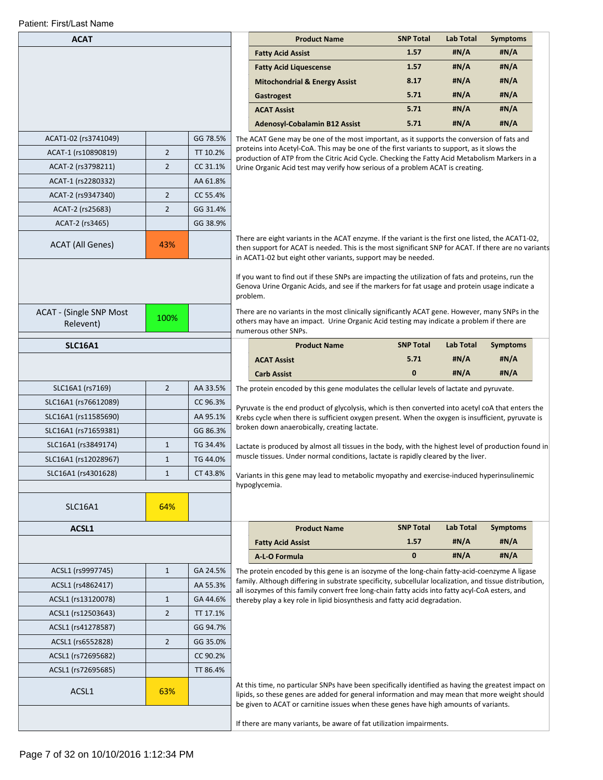| <b>ACAT</b>                                 |                |          | <b>Product Name</b>                                                                                                                                                                                                                                                                                                                                                                                                                    | <b>SNP Total</b> | <b>Lab Total</b> | <b>Symptoms</b> |  |
|---------------------------------------------|----------------|----------|----------------------------------------------------------------------------------------------------------------------------------------------------------------------------------------------------------------------------------------------------------------------------------------------------------------------------------------------------------------------------------------------------------------------------------------|------------------|------------------|-----------------|--|
|                                             |                |          | <b>Fatty Acid Assist</b>                                                                                                                                                                                                                                                                                                                                                                                                               | 1.57             | #N/A             | #N/A            |  |
|                                             |                |          | <b>Fatty Acid Liquescense</b>                                                                                                                                                                                                                                                                                                                                                                                                          | 1.57             | #N/A             | #N/A            |  |
|                                             |                |          | <b>Mitochondrial &amp; Energy Assist</b>                                                                                                                                                                                                                                                                                                                                                                                               | 8.17             | #N/A             | #N/A            |  |
|                                             |                |          | Gastrogest                                                                                                                                                                                                                                                                                                                                                                                                                             | 5.71             | #N/A             | #N/A            |  |
|                                             |                |          | <b>ACAT Assist</b>                                                                                                                                                                                                                                                                                                                                                                                                                     | 5.71             | #N/A             | #N/A            |  |
|                                             |                |          | <b>Adenosyl-Cobalamin B12 Assist</b>                                                                                                                                                                                                                                                                                                                                                                                                   | 5.71             | #N/A             | #N/A            |  |
| ACAT1-02 (rs3741049)                        |                | GG 78.5% | The ACAT Gene may be one of the most important, as it supports the conversion of fats and                                                                                                                                                                                                                                                                                                                                              |                  |                  |                 |  |
| ACAT-1 (rs10890819)                         | $\overline{2}$ | TT 10.2% | proteins into Acetyl-CoA. This may be one of the first variants to support, as it slows the<br>production of ATP from the Citric Acid Cycle. Checking the Fatty Acid Metabolism Markers in a                                                                                                                                                                                                                                           |                  |                  |                 |  |
| ACAT-2 (rs3798211)                          | $\overline{2}$ | CC 31.1% | Urine Organic Acid test may verify how serious of a problem ACAT is creating.                                                                                                                                                                                                                                                                                                                                                          |                  |                  |                 |  |
| ACAT-1 (rs2280332)                          |                | AA 61.8% |                                                                                                                                                                                                                                                                                                                                                                                                                                        |                  |                  |                 |  |
| ACAT-2 (rs9347340)                          | $\overline{2}$ | CC 55.4% |                                                                                                                                                                                                                                                                                                                                                                                                                                        |                  |                  |                 |  |
| ACAT-2 (rs25683)                            | $\overline{2}$ | GG 31.4% |                                                                                                                                                                                                                                                                                                                                                                                                                                        |                  |                  |                 |  |
| ACAT-2 (rs3465)                             |                | GG 38.9% |                                                                                                                                                                                                                                                                                                                                                                                                                                        |                  |                  |                 |  |
| <b>ACAT (All Genes)</b>                     | 43%            |          | There are eight variants in the ACAT enzyme. If the variant is the first one listed, the ACAT1-02,<br>then support for ACAT is needed. This is the most significant SNP for ACAT. If there are no variants<br>in ACAT1-02 but eight other variants, support may be needed.                                                                                                                                                             |                  |                  |                 |  |
| <b>ACAT - (Single SNP Most</b><br>Relevent) | 100%           |          | If you want to find out if these SNPs are impacting the utilization of fats and proteins, run the<br>Genova Urine Organic Acids, and see if the markers for fat usage and protein usage indicate a<br>problem.<br>There are no variants in the most clinically significantly ACAT gene. However, many SNPs in the<br>others may have an impact. Urine Organic Acid testing may indicate a problem if there are<br>numerous other SNPs. |                  |                  |                 |  |
| <b>SLC16A1</b>                              |                |          | <b>Product Name</b>                                                                                                                                                                                                                                                                                                                                                                                                                    | <b>SNP Total</b> | <b>Lab Total</b> | <b>Symptoms</b> |  |
|                                             |                |          | <b>ACAT Assist</b>                                                                                                                                                                                                                                                                                                                                                                                                                     | 5.71             | #N/A             | #N/A            |  |
|                                             |                |          | <b>Carb Assist</b>                                                                                                                                                                                                                                                                                                                                                                                                                     | $\mathbf{0}$     | #N/A             | #N/A            |  |
| SLC16A1 (rs7169)                            | $\overline{2}$ | AA 33.5% | The protein encoded by this gene modulates the cellular levels of lactate and pyruvate.                                                                                                                                                                                                                                                                                                                                                |                  |                  |                 |  |
| SLC16A1 (rs76612089)                        |                | CC 96.3% |                                                                                                                                                                                                                                                                                                                                                                                                                                        |                  |                  |                 |  |
| SLC16A1 (rs11585690)                        |                | AA 95.1% | Pyruvate is the end product of glycolysis, which is then converted into acetyl coA that enters the<br>Krebs cycle when there is sufficient oxygen present. When the oxygen is insufficient, pyruvate is                                                                                                                                                                                                                                |                  |                  |                 |  |
| SLC16A1 (rs71659381)                        |                | GG 86.3% | broken down anaerobically, creating lactate.                                                                                                                                                                                                                                                                                                                                                                                           |                  |                  |                 |  |
| SLC16A1 (rs3849174)                         | $\mathbf{1}$   | TG 34.4% | Lactate is produced by almost all tissues in the body, with the highest level of production found in                                                                                                                                                                                                                                                                                                                                   |                  |                  |                 |  |
| SLC16A1 (rs12028967)                        | $\mathbf{1}$   | TG 44.0% | muscle tissues. Under normal conditions, lactate is rapidly cleared by the liver.                                                                                                                                                                                                                                                                                                                                                      |                  |                  |                 |  |
| SLC16A1 (rs4301628)                         | $\mathbf{1}$   | CT 43.8% | Variants in this gene may lead to metabolic myopathy and exercise-induced hyperinsulinemic                                                                                                                                                                                                                                                                                                                                             |                  |                  |                 |  |
|                                             |                |          | hypoglycemia.                                                                                                                                                                                                                                                                                                                                                                                                                          |                  |                  |                 |  |
| <b>SLC16A1</b>                              | 64%            |          |                                                                                                                                                                                                                                                                                                                                                                                                                                        |                  |                  |                 |  |
|                                             |                |          |                                                                                                                                                                                                                                                                                                                                                                                                                                        |                  |                  |                 |  |
| ACSL1                                       |                |          | <b>Product Name</b>                                                                                                                                                                                                                                                                                                                                                                                                                    | <b>SNP Total</b> | <b>Lab Total</b> | <b>Symptoms</b> |  |
|                                             |                |          | <b>Fatty Acid Assist</b>                                                                                                                                                                                                                                                                                                                                                                                                               | 1.57             | #N/A             | #N/A            |  |
|                                             |                |          | A-L-O Formula                                                                                                                                                                                                                                                                                                                                                                                                                          | 0                | #N/A             | #N/A            |  |
| ACSL1 (rs9997745)                           | $\mathbf{1}$   | GA 24.5% | The protein encoded by this gene is an isozyme of the long-chain fatty-acid-coenzyme A ligase                                                                                                                                                                                                                                                                                                                                          |                  |                  |                 |  |
| ACSL1 (rs4862417)                           |                | AA 55.3% | family. Although differing in substrate specificity, subcellular localization, and tissue distribution,                                                                                                                                                                                                                                                                                                                                |                  |                  |                 |  |
| ACSL1 (rs13120078)                          | $\mathbf{1}$   | GA 44.6% | all isozymes of this family convert free long-chain fatty acids into fatty acyl-CoA esters, and<br>thereby play a key role in lipid biosynthesis and fatty acid degradation.                                                                                                                                                                                                                                                           |                  |                  |                 |  |
| ACSL1 (rs12503643)                          | $\overline{2}$ | TT 17.1% |                                                                                                                                                                                                                                                                                                                                                                                                                                        |                  |                  |                 |  |
| ACSL1 (rs41278587)                          |                | GG 94.7% |                                                                                                                                                                                                                                                                                                                                                                                                                                        |                  |                  |                 |  |
| ACSL1 (rs6552828)                           | $\overline{2}$ | GG 35.0% |                                                                                                                                                                                                                                                                                                                                                                                                                                        |                  |                  |                 |  |
| ACSL1 (rs72695682)                          |                | CC 90.2% |                                                                                                                                                                                                                                                                                                                                                                                                                                        |                  |                  |                 |  |
| ACSL1 (rs72695685)                          |                | TT 86.4% |                                                                                                                                                                                                                                                                                                                                                                                                                                        |                  |                  |                 |  |
| ACSL1                                       | 63%            |          | At this time, no particular SNPs have been specifically identified as having the greatest impact on<br>lipids, so these genes are added for general information and may mean that more weight should                                                                                                                                                                                                                                   |                  |                  |                 |  |
|                                             |                |          | be given to ACAT or carnitine issues when these genes have high amounts of variants.<br>If there are many variants, be aware of fat utilization impairments.                                                                                                                                                                                                                                                                           |                  |                  |                 |  |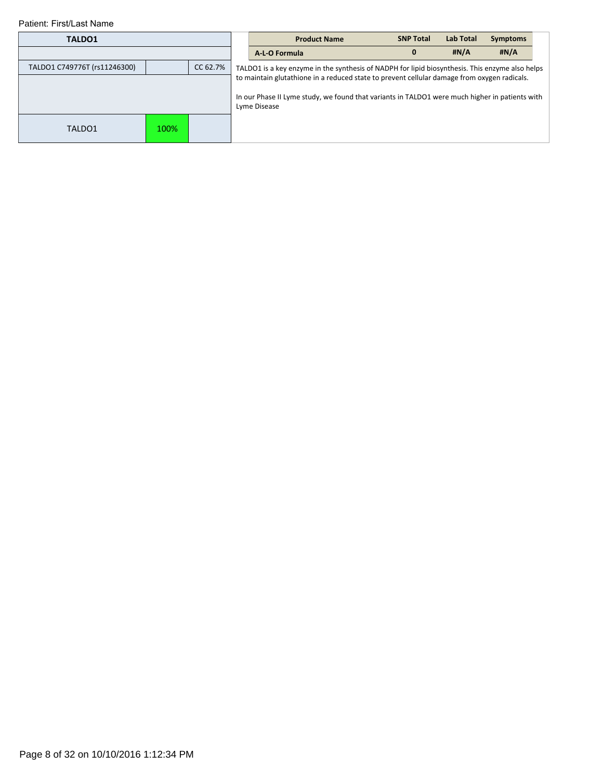| TALDO1                       |          |  | <b>Product Name</b>                                                                             | <b>SNP Total</b> | Lab Total | <b>Symptoms</b> |  |
|------------------------------|----------|--|-------------------------------------------------------------------------------------------------|------------------|-----------|-----------------|--|
|                              |          |  | A-L-O Formula                                                                                   | $\mathbf{0}$     | H N/A     | H N/A           |  |
| TALDO1 C749776T (rs11246300) | CC 62.7% |  | TALDO1 is a key enzyme in the synthesis of NADPH for lipid biosynthesis. This enzyme also helps |                  |           |                 |  |
|                              |          |  | to maintain glutathione in a reduced state to prevent cellular damage from oxygen radicals.     |                  |           |                 |  |
|                              |          |  | In our Phase II Lyme study, we found that variants in TALDO1 were much higher in patients with  |                  |           |                 |  |
|                              |          |  | Lyme Disease                                                                                    |                  |           |                 |  |
| TALDO1                       | 100%     |  |                                                                                                 |                  |           |                 |  |
|                              |          |  |                                                                                                 |                  |           |                 |  |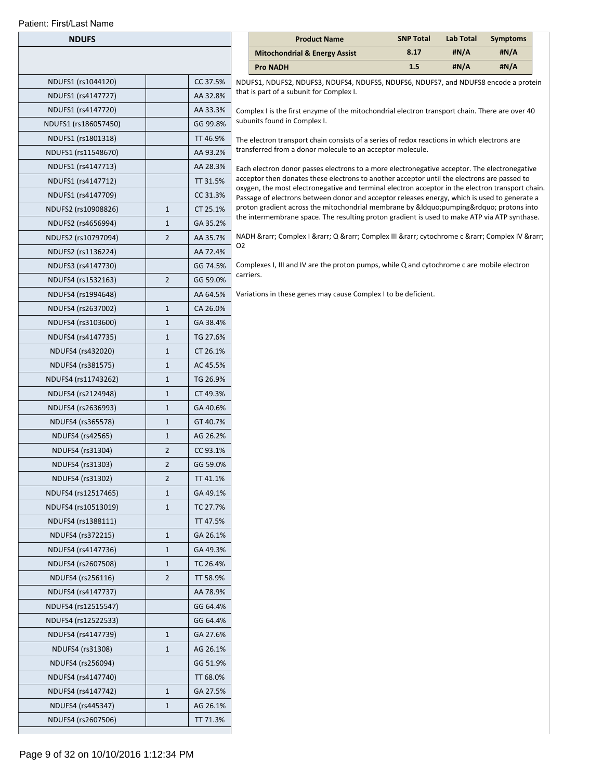|                                       |          |                                                                                                                                                                             | <b>Mitochondrial &amp; Energy Assist</b>                                                                                                                                                        | 8.17 | #N/A | #N/A |
|---------------------------------------|----------|-----------------------------------------------------------------------------------------------------------------------------------------------------------------------------|-------------------------------------------------------------------------------------------------------------------------------------------------------------------------------------------------|------|------|------|
|                                       |          |                                                                                                                                                                             | <b>Pro NADH</b>                                                                                                                                                                                 | 1.5  | #N/A | #N/A |
| NDUFS1 (rs1044120)                    | CC 37.5% |                                                                                                                                                                             | NDUFS1, NDUFS2, NDUFS3, NDUFS4, NDUFS5, NDUFS6, NDUFS7, and NDUFS8 encode a protein                                                                                                             |      |      |      |
| NDUFS1 (rs4147727)                    | AA 32.8% |                                                                                                                                                                             | that is part of a subunit for Complex I.                                                                                                                                                        |      |      |      |
| NDUFS1 (rs4147720)                    | AA 33.3% |                                                                                                                                                                             | Complex I is the first enzyme of the mitochondrial electron transport chain. There are over 40                                                                                                  |      |      |      |
| NDUFS1 (rs186057450)                  | GG 99.8% |                                                                                                                                                                             | subunits found in Complex I.                                                                                                                                                                    |      |      |      |
| NDUFS1 (rs1801318)                    | TT 46.9% |                                                                                                                                                                             | The electron transport chain consists of a series of redox reactions in which electrons are                                                                                                     |      |      |      |
| NDUFS1 (rs11548670)                   | AA 93.2% |                                                                                                                                                                             | transferred from a donor molecule to an acceptor molecule.                                                                                                                                      |      |      |      |
| NDUFS1 (rs4147713)                    | AA 28.3% |                                                                                                                                                                             | Each electron donor passes electrons to a more electronegative acceptor. The electronegative                                                                                                    |      |      |      |
| NDUFS1 (rs4147712)                    | TT 31.5% |                                                                                                                                                                             | acceptor then donates these electrons to another acceptor until the electrons are passed to<br>oxygen, the most electronegative and terminal electron acceptor in the electron transport chain. |      |      |      |
| NDUFS1 (rs4147709)                    | CC 31.3% |                                                                                                                                                                             | Passage of electrons between donor and acceptor releases energy, which is used to generate a                                                                                                    |      |      |      |
| $\mathbf{1}$<br>NDUFS2 (rs10908826)   | CT 25.1% | proton gradient across the mitochondrial membrane by "pumping" protons into<br>the intermembrane space. The resulting proton gradient is used to make ATP via ATP synthase. |                                                                                                                                                                                                 |      |      |      |
| $1\,$<br>NDUFS2 (rs4656994)           | GA 35.2% |                                                                                                                                                                             |                                                                                                                                                                                                 |      |      |      |
| $\overline{2}$<br>NDUFS2 (rs10797094) | AA 35.7% |                                                                                                                                                                             | NADH → Complex I → Q → Complex III → cytochrome c → Complex IV →                                                                                                                                |      |      |      |
| NDUFS2 (rs1136224)                    | AA 72.4% | 02                                                                                                                                                                          |                                                                                                                                                                                                 |      |      |      |
| NDUFS3 (rs4147730)                    | GG 74.5% |                                                                                                                                                                             | Complexes I, III and IV are the proton pumps, while Q and cytochrome c are mobile electron                                                                                                      |      |      |      |
| $\overline{2}$<br>NDUFS4 (rs1532163)  | GG 59.0% |                                                                                                                                                                             | carriers.                                                                                                                                                                                       |      |      |      |
| NDUFS4 (rs1994648)                    | AA 64.5% |                                                                                                                                                                             | Variations in these genes may cause Complex I to be deficient.                                                                                                                                  |      |      |      |
| $\mathbf{1}$<br>NDUFS4 (rs2637002)    | CA 26.0% |                                                                                                                                                                             |                                                                                                                                                                                                 |      |      |      |
| NDUFS4 (rs3103600)<br>$\mathbf{1}$    | GA 38.4% |                                                                                                                                                                             |                                                                                                                                                                                                 |      |      |      |
| $1\,$<br>NDUFS4 (rs4147735)           | TG 27.6% |                                                                                                                                                                             |                                                                                                                                                                                                 |      |      |      |
| $\mathbf{1}$<br>NDUFS4 (rs432020)     | CT 26.1% |                                                                                                                                                                             |                                                                                                                                                                                                 |      |      |      |
| $1\,$<br>NDUFS4 (rs381575)            | AC 45.5% |                                                                                                                                                                             |                                                                                                                                                                                                 |      |      |      |
| $1\,$<br>NDUFS4 (rs11743262)          | TG 26.9% |                                                                                                                                                                             |                                                                                                                                                                                                 |      |      |      |
| NDUFS4 (rs2124948)<br>$\mathbf{1}$    | CT 49.3% |                                                                                                                                                                             |                                                                                                                                                                                                 |      |      |      |
| $1\,$<br>NDUFS4 (rs2636993)           | GA 40.6% |                                                                                                                                                                             |                                                                                                                                                                                                 |      |      |      |
| $\mathbf{1}$<br>NDUFS4 (rs365578)     | GT 40.7% |                                                                                                                                                                             |                                                                                                                                                                                                 |      |      |      |
| $1\,$<br>NDUFS4 (rs42565)             | AG 26.2% |                                                                                                                                                                             |                                                                                                                                                                                                 |      |      |      |
| $\overline{2}$<br>NDUFS4 (rs31304)    | CC 93.1% |                                                                                                                                                                             |                                                                                                                                                                                                 |      |      |      |
| $\overline{2}$<br>NDUFS4 (rs31303)    | GG 59.0% |                                                                                                                                                                             |                                                                                                                                                                                                 |      |      |      |
| NDUFS4 (rs31302)<br>$\overline{2}$    | TT 41.1% |                                                                                                                                                                             |                                                                                                                                                                                                 |      |      |      |
| NDUFS4 (rs12517465)<br>$\mathbf{1}$   | GA 49.1% |                                                                                                                                                                             |                                                                                                                                                                                                 |      |      |      |
| $\mathbf{1}$<br>NDUFS4 (rs10513019)   | TC 27.7% |                                                                                                                                                                             |                                                                                                                                                                                                 |      |      |      |
| NDUFS4 (rs1388111)                    | TT 47.5% |                                                                                                                                                                             |                                                                                                                                                                                                 |      |      |      |
| NDUFS4 (rs372215)<br>$\mathbf{1}$     | GA 26.1% |                                                                                                                                                                             |                                                                                                                                                                                                 |      |      |      |
| $\mathbf{1}$<br>NDUFS4 (rs4147736)    | GA 49.3% |                                                                                                                                                                             |                                                                                                                                                                                                 |      |      |      |
| NDUFS4 (rs2607508)<br>$\mathbf{1}$    | TC 26.4% |                                                                                                                                                                             |                                                                                                                                                                                                 |      |      |      |
| $\overline{2}$<br>NDUFS4 (rs256116)   | TT 58.9% |                                                                                                                                                                             |                                                                                                                                                                                                 |      |      |      |
| NDUFS4 (rs4147737)                    | AA 78.9% |                                                                                                                                                                             |                                                                                                                                                                                                 |      |      |      |
| NDUFS4 (rs12515547)                   | GG 64.4% |                                                                                                                                                                             |                                                                                                                                                                                                 |      |      |      |
| NDUFS4 (rs12522533)                   | GG 64.4% |                                                                                                                                                                             |                                                                                                                                                                                                 |      |      |      |
| $\mathbf{1}$<br>NDUFS4 (rs4147739)    | GA 27.6% |                                                                                                                                                                             |                                                                                                                                                                                                 |      |      |      |
| NDUFS4 (rs31308)<br>$\mathbf{1}$      | AG 26.1% |                                                                                                                                                                             |                                                                                                                                                                                                 |      |      |      |
| NDUFS4 (rs256094)                     | GG 51.9% |                                                                                                                                                                             |                                                                                                                                                                                                 |      |      |      |
| NDUFS4 (rs4147740)                    | TT 68.0% |                                                                                                                                                                             |                                                                                                                                                                                                 |      |      |      |
| $\mathbf{1}$<br>NDUFS4 (rs4147742)    | GA 27.5% |                                                                                                                                                                             |                                                                                                                                                                                                 |      |      |      |
| NDUFS4 (rs445347)<br>$\mathbf{1}$     | AG 26.1% |                                                                                                                                                                             |                                                                                                                                                                                                 |      |      |      |
| NDUFS4 (rs2607506)                    | TT 71.3% |                                                                                                                                                                             |                                                                                                                                                                                                 |      |      |      |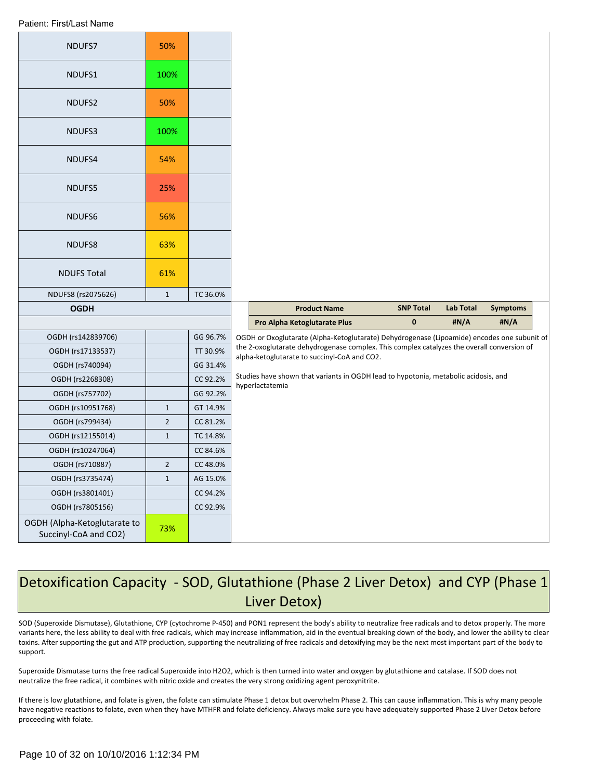| NDUFS7                                                | 50%            |          |                                                                                                                                            |                  |                  |                 |
|-------------------------------------------------------|----------------|----------|--------------------------------------------------------------------------------------------------------------------------------------------|------------------|------------------|-----------------|
| NDUFS1                                                | 100%           |          |                                                                                                                                            |                  |                  |                 |
| NDUFS2                                                | 50%            |          |                                                                                                                                            |                  |                  |                 |
| NDUFS3                                                | 100%           |          |                                                                                                                                            |                  |                  |                 |
| NDUFS4                                                | 54%            |          |                                                                                                                                            |                  |                  |                 |
| NDUFS5                                                | 25%            |          |                                                                                                                                            |                  |                  |                 |
| NDUFS6                                                | 56%            |          |                                                                                                                                            |                  |                  |                 |
| NDUFS8                                                | 63%            |          |                                                                                                                                            |                  |                  |                 |
| <b>NDUFS Total</b>                                    | 61%            |          |                                                                                                                                            |                  |                  |                 |
| NDUFS8 (rs2075626)                                    | $\mathbf{1}$   | TC 36.0% |                                                                                                                                            |                  |                  |                 |
| <b>OGDH</b>                                           |                |          | <b>Product Name</b>                                                                                                                        | <b>SNP Total</b> | <b>Lab Total</b> | <b>Symptoms</b> |
|                                                       |                |          | Pro Alpha Ketoglutarate Plus                                                                                                               | $\pmb{0}$        | #N/A             | #N/A            |
| OGDH (rs142839706)                                    |                | GG 96.7% | OGDH or Oxoglutarate (Alpha-Ketoglutarate) Dehydrogenase (Lipoamide) encodes one subunit of                                                |                  |                  |                 |
| OGDH (rs17133537)                                     |                | TT 30.9% | the 2-oxoglutarate dehydrogenase complex. This complex catalyzes the overall conversion of<br>alpha-ketoglutarate to succinyl-CoA and CO2. |                  |                  |                 |
| OGDH (rs740094)                                       |                | GG 31.4% |                                                                                                                                            |                  |                  |                 |
| OGDH (rs2268308)                                      |                | CC 92.2% | Studies have shown that variants in OGDH lead to hypotonia, metabolic acidosis, and<br>hyperlactatemia                                     |                  |                  |                 |
| OGDH (rs757702)                                       |                | GG 92.2% |                                                                                                                                            |                  |                  |                 |
| OGDH (rs10951768)                                     | $\mathbf{1}$   | GT 14.9% |                                                                                                                                            |                  |                  |                 |
| OGDH (rs799434)                                       | $\overline{2}$ | CC 81.2% |                                                                                                                                            |                  |                  |                 |
| OGDH (rs12155014)                                     | $\mathbf{1}$   | TC 14.8% |                                                                                                                                            |                  |                  |                 |
| OGDH (rs10247064)                                     |                | CC 84.6% |                                                                                                                                            |                  |                  |                 |
| OGDH (rs710887)                                       | $\overline{2}$ | CC 48.0% |                                                                                                                                            |                  |                  |                 |
| OGDH (rs3735474)                                      | $\mathbf{1}$   | AG 15.0% |                                                                                                                                            |                  |                  |                 |
| OGDH (rs3801401)                                      |                | CC 94.2% |                                                                                                                                            |                  |                  |                 |
| OGDH (rs7805156)                                      |                | CC 92.9% |                                                                                                                                            |                  |                  |                 |
| OGDH (Alpha-Ketoglutarate to<br>Succinyl-CoA and CO2) | 73%            |          |                                                                                                                                            |                  |                  |                 |

# Detoxification Capacity - SOD, Glutathione (Phase 2 Liver Detox) and CYP (Phase 1 Liver Detox)

SOD (Superoxide Dismutase), Glutathione, CYP (cytochrome P-450) and PON1 represent the body's ability to neutralize free radicals and to detox properly. The more variants here, the less ability to deal with free radicals, which may increase inflammation, aid in the eventual breaking down of the body, and lower the ability to clear toxins. After supporting the gut and ATP production, supporting the neutralizing of free radicals and detoxifying may be the next most important part of the body to support.

Superoxide Dismutase turns the free radical Superoxide into H2O2, which is then turned into water and oxygen by glutathione and catalase. If SOD does not neutralize the free radical, it combines with nitric oxide and creates the very strong oxidizing agent peroxynitrite.

If there is low glutathione, and folate is given, the folate can stimulate Phase 1 detox but overwhelm Phase 2. This can cause inflammation. This is why many people have negative reactions to folate, even when they have MTHFR and folate deficiency. Always make sure you have adequately supported Phase 2 Liver Detox before proceeding with folate.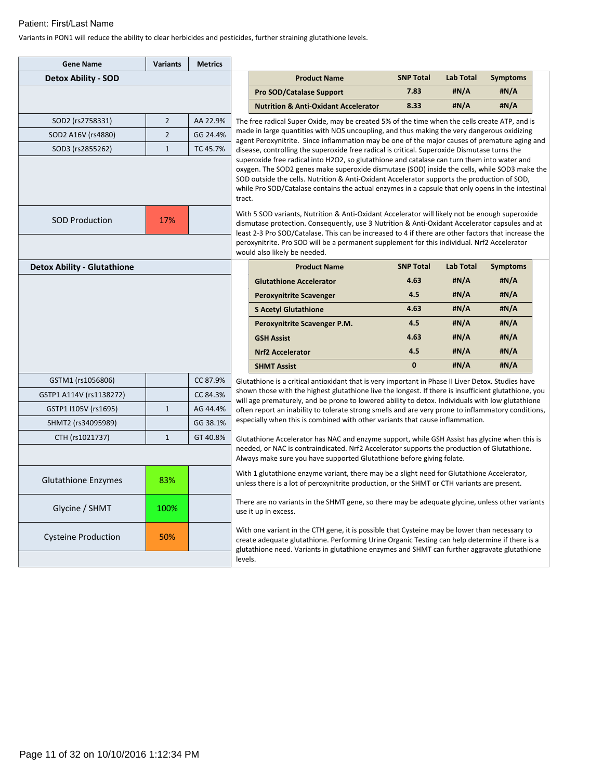Variants in PON1 will reduce the ability to clear herbicides and pesticides, further straining glutathione levels.

| <b>Gene Name</b>                   | <b>Variants</b> | <b>Metrics</b> |                                                                                                                                                                                           |                                                                                                                                                                                                                                                                                                                                                                                                        |                  |                  |                 |  |
|------------------------------------|-----------------|----------------|-------------------------------------------------------------------------------------------------------------------------------------------------------------------------------------------|--------------------------------------------------------------------------------------------------------------------------------------------------------------------------------------------------------------------------------------------------------------------------------------------------------------------------------------------------------------------------------------------------------|------------------|------------------|-----------------|--|
| <b>Detox Ability - SOD</b>         |                 |                |                                                                                                                                                                                           | <b>Product Name</b>                                                                                                                                                                                                                                                                                                                                                                                    | <b>SNP Total</b> | Lab Total        | <b>Symptoms</b> |  |
|                                    |                 |                |                                                                                                                                                                                           | <b>Pro SOD/Catalase Support</b>                                                                                                                                                                                                                                                                                                                                                                        | 7.83             | #N/A             | #N/A            |  |
|                                    |                 |                |                                                                                                                                                                                           | <b>Nutrition &amp; Anti-Oxidant Accelerator</b>                                                                                                                                                                                                                                                                                                                                                        | 8.33             | #N/A             | #N/A            |  |
| SOD2 (rs2758331)                   | $\overline{2}$  | AA 22.9%       |                                                                                                                                                                                           | The free radical Super Oxide, may be created 5% of the time when the cells create ATP, and is                                                                                                                                                                                                                                                                                                          |                  |                  |                 |  |
| SOD2 A16V (rs4880)                 | $\overline{2}$  | GG 24.4%       |                                                                                                                                                                                           | made in large quantities with NOS uncoupling, and thus making the very dangerous oxidizing<br>agent Peroxynitrite. Since inflammation may be one of the major causes of premature aging and                                                                                                                                                                                                            |                  |                  |                 |  |
| SOD3 (rs2855262)                   | $\mathbf{1}$    | TC 45.7%       |                                                                                                                                                                                           | disease, controlling the superoxide free radical is critical. Superoxide Dismutase turns the                                                                                                                                                                                                                                                                                                           |                  |                  |                 |  |
|                                    |                 |                | tract.                                                                                                                                                                                    | superoxide free radical into H2O2, so glutathione and catalase can turn them into water and<br>oxygen. The SOD2 genes make superoxide dismutase (SOD) inside the cells, while SOD3 make the<br>SOD outside the cells. Nutrition & Anti-Oxidant Accelerator supports the production of SOD,<br>while Pro SOD/Catalase contains the actual enzymes in a capsule that only opens in the intestinal        |                  |                  |                 |  |
| <b>SOD Production</b>              | 17%             |                |                                                                                                                                                                                           | With 5 SOD variants, Nutrition & Anti-Oxidant Accelerator will likely not be enough superoxide<br>dismutase protection. Consequently, use 3 Nutrition & Anti-Oxidant Accelerator capsules and at<br>least 2-3 Pro SOD/Catalase. This can be increased to 4 if there are other factors that increase the<br>peroxynitrite. Pro SOD will be a permanent supplement for this individual. Nrf2 Accelerator |                  |                  |                 |  |
| <b>Detox Ability - Glutathione</b> |                 |                |                                                                                                                                                                                           | would also likely be needed.<br><b>Product Name</b>                                                                                                                                                                                                                                                                                                                                                    | <b>SNP Total</b> | <b>Lab Total</b> | <b>Symptoms</b> |  |
|                                    |                 |                |                                                                                                                                                                                           | <b>Glutathione Accelerator</b>                                                                                                                                                                                                                                                                                                                                                                         | 4.63             | #N/A             | #N/A            |  |
|                                    |                 |                |                                                                                                                                                                                           | <b>Peroxynitrite Scavenger</b>                                                                                                                                                                                                                                                                                                                                                                         | 4.5              | #N/A             | #N/A            |  |
|                                    |                 |                |                                                                                                                                                                                           | <b>S Acetyl Glutathione</b>                                                                                                                                                                                                                                                                                                                                                                            | 4.63             | #N/A             | #N/A            |  |
|                                    |                 |                |                                                                                                                                                                                           | Peroxynitrite Scavenger P.M.                                                                                                                                                                                                                                                                                                                                                                           | 4.5              | #N/A             | #N/A            |  |
|                                    |                 |                |                                                                                                                                                                                           | <b>GSH Assist</b>                                                                                                                                                                                                                                                                                                                                                                                      | 4.63             | #N/A             | #N/A            |  |
|                                    |                 |                |                                                                                                                                                                                           | <b>Nrf2 Accelerator</b>                                                                                                                                                                                                                                                                                                                                                                                | 4.5              | #N/A             | #N/A            |  |
|                                    |                 |                |                                                                                                                                                                                           | <b>SHMT Assist</b>                                                                                                                                                                                                                                                                                                                                                                                     | $\mathbf{0}$     | #N/A             | #N/A            |  |
| GSTM1 (rs1056806)                  |                 | CC 87.9%       |                                                                                                                                                                                           | Glutathione is a critical antioxidant that is very important in Phase II Liver Detox. Studies have                                                                                                                                                                                                                                                                                                     |                  |                  |                 |  |
| GSTP1 A114V (rs1138272)            |                 | CC 84.3%       |                                                                                                                                                                                           | shown those with the highest glutathione live the longest. If there is insufficient glutathione, you                                                                                                                                                                                                                                                                                                   |                  |                  |                 |  |
| GSTP1 I105V (rs1695)               | $\mathbf{1}$    | AG 44.4%       |                                                                                                                                                                                           | will age prematurely, and be prone to lowered ability to detox. Individuals with low glutathione<br>often report an inability to tolerate strong smells and are very prone to inflammatory conditions,                                                                                                                                                                                                 |                  |                  |                 |  |
| SHMT2 (rs34095989)                 |                 | GG 38.1%       |                                                                                                                                                                                           | especially when this is combined with other variants that cause inflammation.                                                                                                                                                                                                                                                                                                                          |                  |                  |                 |  |
| CTH (rs1021737)                    | $\mathbf{1}$    | GT 40.8%       |                                                                                                                                                                                           |                                                                                                                                                                                                                                                                                                                                                                                                        |                  |                  |                 |  |
|                                    |                 |                |                                                                                                                                                                                           | Glutathione Accelerator has NAC and enzyme support, while GSH Assist has glycine when this is<br>needed, or NAC is contraindicated. Nrf2 Accelerator supports the production of Glutathione.<br>Always make sure you have supported Glutathione before giving folate.                                                                                                                                  |                  |                  |                 |  |
|                                    |                 |                | With 1 glutathione enzyme variant, there may be a slight need for Glutathione Accelerator,<br>unless there is a lot of peroxynitrite production, or the SHMT or CTH variants are present. |                                                                                                                                                                                                                                                                                                                                                                                                        |                  |                  |                 |  |
| <b>Glutathione Enzymes</b>         | 83%             |                |                                                                                                                                                                                           |                                                                                                                                                                                                                                                                                                                                                                                                        |                  |                  |                 |  |
| Glycine / SHMT                     | 100%            |                |                                                                                                                                                                                           | There are no variants in the SHMT gene, so there may be adequate glycine, unless other variants<br>use it up in excess.                                                                                                                                                                                                                                                                                |                  |                  |                 |  |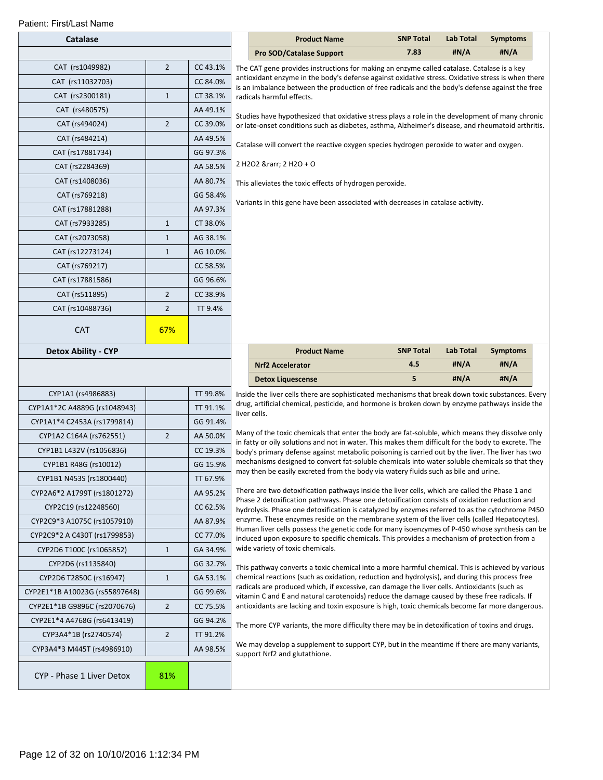| Patient: First/Last Name       |                |          |                                                                                                                                                                                                      |                  |                  |                 |  |
|--------------------------------|----------------|----------|------------------------------------------------------------------------------------------------------------------------------------------------------------------------------------------------------|------------------|------------------|-----------------|--|
| <b>Catalase</b>                |                |          | <b>Product Name</b>                                                                                                                                                                                  | <b>SNP Total</b> | <b>Lab Total</b> | <b>Symptoms</b> |  |
|                                |                |          | <b>Pro SOD/Catalase Support</b>                                                                                                                                                                      | 7.83             | #N/A             | #N/A            |  |
| CAT (rs1049982)                | $\overline{2}$ | CC 43.1% | The CAT gene provides instructions for making an enzyme called catalase. Catalase is a key                                                                                                           |                  |                  |                 |  |
| CAT (rs11032703)               |                | CC 84.0% | antioxidant enzyme in the body's defense against oxidative stress. Oxidative stress is when there<br>is an imbalance between the production of free radicals and the body's defense against the free |                  |                  |                 |  |
| CAT (rs2300181)                | $\mathbf{1}$   | CT 38.1% | radicals harmful effects.                                                                                                                                                                            |                  |                  |                 |  |
| CAT (rs480575)                 |                | AA 49.1% | Studies have hypothesized that oxidative stress plays a role in the development of many chronic                                                                                                      |                  |                  |                 |  |
| CAT (rs494024)                 | $\overline{2}$ | CC 39.0% | or late-onset conditions such as diabetes, asthma, Alzheimer's disease, and rheumatoid arthritis.                                                                                                    |                  |                  |                 |  |
| CAT (rs484214)                 |                | AA 49.5% | Catalase will convert the reactive oxygen species hydrogen peroxide to water and oxygen.                                                                                                             |                  |                  |                 |  |
| CAT (rs17881734)               |                | GG 97.3% |                                                                                                                                                                                                      |                  |                  |                 |  |
| CAT (rs2284369)                |                | AA 58.5% | 2 H2O2 → 2 H2O + O                                                                                                                                                                                   |                  |                  |                 |  |
| CAT (rs1408036)                |                | AA 80.7% | This alleviates the toxic effects of hydrogen peroxide.                                                                                                                                              |                  |                  |                 |  |
| CAT (rs769218)                 |                | GG 58.4% |                                                                                                                                                                                                      |                  |                  |                 |  |
| CAT (rs17881288)               |                | AA 97.3% | Variants in this gene have been associated with decreases in catalase activity.                                                                                                                      |                  |                  |                 |  |
| CAT (rs7933285)                | $\mathbf{1}$   | CT 38.0% |                                                                                                                                                                                                      |                  |                  |                 |  |
| CAT (rs2073058)                | $\mathbf{1}$   | AG 38.1% |                                                                                                                                                                                                      |                  |                  |                 |  |
| CAT (rs12273124)               | $\mathbf{1}$   | AG 10.0% |                                                                                                                                                                                                      |                  |                  |                 |  |
| CAT (rs769217)                 |                | CC 58.5% |                                                                                                                                                                                                      |                  |                  |                 |  |
| CAT (rs17881586)               |                | GG 96.6% |                                                                                                                                                                                                      |                  |                  |                 |  |
| CAT (rs511895)                 | $\overline{2}$ | CC 38.9% |                                                                                                                                                                                                      |                  |                  |                 |  |
| CAT (rs10488736)               | $\overline{2}$ | TT 9.4%  |                                                                                                                                                                                                      |                  |                  |                 |  |
| <b>CAT</b>                     | 67%            |          |                                                                                                                                                                                                      |                  |                  |                 |  |
|                                |                |          |                                                                                                                                                                                                      |                  |                  |                 |  |
| <b>Detox Ability - CYP</b>     |                |          | <b>Product Name</b>                                                                                                                                                                                  | <b>SNP Total</b> | <b>Lab Total</b> | <b>Symptoms</b> |  |
|                                |                |          | <b>Nrf2 Accelerator</b>                                                                                                                                                                              | 4.5              | #N/A             | #N/A            |  |
|                                |                |          | <b>Detox Liquescense</b>                                                                                                                                                                             | 5                | #N/A             | #N/A            |  |
| CYP1A1 (rs4986883)             |                | TT 99.8% | Inside the liver cells there are sophisticated mechanisms that break down toxic substances. Every<br>drug, artificial chemical, pesticide, and hormone is broken down by enzyme pathways inside the  |                  |                  |                 |  |
| CYP1A1*2C A4889G (rs1048943)   |                | TT 91.1% | liver cells.                                                                                                                                                                                         |                  |                  |                 |  |
| CYP1A1*4 C2453A (rs1799814)    |                | GG 91.4% | Many of the toxic chemicals that enter the body are fat-soluble, which means they dissolve only                                                                                                      |                  |                  |                 |  |
| CYP1A2 C164A (rs762551)        | $\overline{2}$ | AA 50.0% | in fatty or oily solutions and not in water. This makes them difficult for the body to excrete. The                                                                                                  |                  |                  |                 |  |
| CYP1B1 L432V (rs1056836)       |                | CC 19.3% | body's primary defense against metabolic poisoning is carried out by the liver. The liver has two<br>mechanisms designed to convert fat-soluble chemicals into water soluble chemicals so that they  |                  |                  |                 |  |
| CYP1B1 R48G (rs10012)          |                | GG 15.9% | may then be easily excreted from the body via watery fluids such as bile and urine.                                                                                                                  |                  |                  |                 |  |
| CYP1B1 N453S (rs1800440)       |                | TT 67.9% | There are two detoxification pathways inside the liver cells, which are called the Phase 1 and                                                                                                       |                  |                  |                 |  |
| CYP2A6*2 A1799T (rs1801272)    |                | AA 95.2% | Phase 2 detoxification pathways. Phase one detoxification consists of oxidation reduction and                                                                                                        |                  |                  |                 |  |
| CYP2C19 (rs12248560)           |                | CC 62.5% | hydrolysis. Phase one detoxification is catalyzed by enzymes referred to as the cytochrome P450<br>enzyme. These enzymes reside on the membrane system of the liver cells (called Hepatocytes).      |                  |                  |                 |  |
| CYP2C9*3 A1075C (rs1057910)    |                | AA 87.9% | Human liver cells possess the genetic code for many isoenzymes of P-450 whose synthesis can be                                                                                                       |                  |                  |                 |  |
| CYP2C9*2 A C430T (rs1799853)   |                | CC 77.0% | induced upon exposure to specific chemicals. This provides a mechanism of protection from a                                                                                                          |                  |                  |                 |  |
| CYP2D6 T100C (rs1065852)       | $\mathbf{1}$   | GA 34.9% | wide variety of toxic chemicals.                                                                                                                                                                     |                  |                  |                 |  |
| CYP2D6 (rs1135840)             |                | GG 32.7% | This pathway converts a toxic chemical into a more harmful chemical. This is achieved by various                                                                                                     |                  |                  |                 |  |
| CYP2D6 T2850C (rs16947)        | $\mathbf{1}$   | GA 53.1% | chemical reactions (such as oxidation, reduction and hydrolysis), and during this process free<br>radicals are produced which, if excessive, can damage the liver cells. Antioxidants (such as       |                  |                  |                 |  |
| CYP2E1*1B A10023G (rs55897648) |                | GG 99.6% | vitamin C and E and natural carotenoids) reduce the damage caused by these free radicals. If                                                                                                         |                  |                  |                 |  |
| CYP2E1*1B G9896C (rs2070676)   | $\overline{2}$ | CC 75.5% | antioxidants are lacking and toxin exposure is high, toxic chemicals become far more dangerous.                                                                                                      |                  |                  |                 |  |
| CYP2E1*4 A4768G (rs6413419)    |                | GG 94.2% | The more CYP variants, the more difficulty there may be in detoxification of toxins and drugs.                                                                                                       |                  |                  |                 |  |
| CYP3A4*1B (rs2740574)          | $\overline{2}$ | TT 91.2% | We may develop a supplement to support CYP, but in the meantime if there are many variants,                                                                                                          |                  |                  |                 |  |
| CYP3A4*3 M445T (rs4986910)     |                | AA 98.5% | support Nrf2 and glutathione.                                                                                                                                                                        |                  |                  |                 |  |
| CYP - Phase 1 Liver Detox      | 81%            |          |                                                                                                                                                                                                      |                  |                  |                 |  |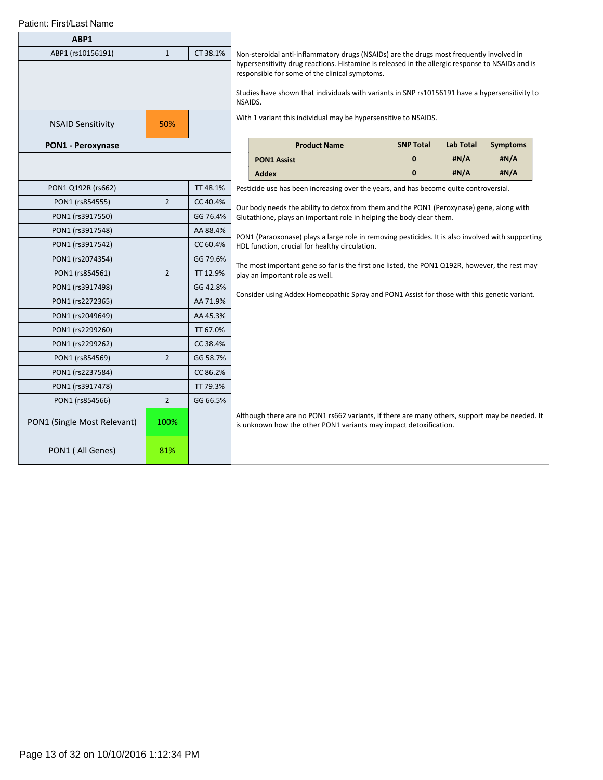| ABP1                        |                |          |  |                                                                                                                                                                                                                                                                       |                  |                  |                 |  |  |  |  |
|-----------------------------|----------------|----------|--|-----------------------------------------------------------------------------------------------------------------------------------------------------------------------------------------------------------------------------------------------------------------------|------------------|------------------|-----------------|--|--|--|--|
| ABP1 (rs10156191)           | $\mathbf{1}$   | CT 38.1% |  | Non-steroidal anti-inflammatory drugs (NSAIDs) are the drugs most frequently involved in                                                                                                                                                                              |                  |                  |                 |  |  |  |  |
|                             |                |          |  | hypersensitivity drug reactions. Histamine is released in the allergic response to NSAIDs and is<br>responsible for some of the clinical symptoms.<br>Studies have shown that individuals with variants in SNP rs10156191 have a hypersensitivity to<br>NSAIDS.       |                  |                  |                 |  |  |  |  |
| <b>NSAID Sensitivity</b>    | 50%            |          |  | With 1 variant this individual may be hypersensitive to NSAIDS.                                                                                                                                                                                                       |                  |                  |                 |  |  |  |  |
| <b>PON1 - Peroxynase</b>    |                |          |  | <b>Product Name</b>                                                                                                                                                                                                                                                   | <b>SNP Total</b> | <b>Lab Total</b> | <b>Symptoms</b> |  |  |  |  |
|                             |                |          |  | <b>PON1 Assist</b>                                                                                                                                                                                                                                                    | 0                | #N/A             | #N/A            |  |  |  |  |
|                             |                |          |  | <b>Addex</b>                                                                                                                                                                                                                                                          | $\mathbf{0}$     | #N/A             | #N/A            |  |  |  |  |
| PON1 Q192R (rs662)          |                | TT 48.1% |  | Pesticide use has been increasing over the years, and has become quite controversial.                                                                                                                                                                                 |                  |                  |                 |  |  |  |  |
| PON1 (rs854555)             | $\overline{2}$ | CC 40.4% |  |                                                                                                                                                                                                                                                                       |                  |                  |                 |  |  |  |  |
| PON1 (rs3917550)            |                | GG 76.4% |  | Our body needs the ability to detox from them and the PON1 (Peroxynase) gene, along with<br>Glutathione, plays an important role in helping the body clear them.<br>PON1 (Paraoxonase) plays a large role in removing pesticides. It is also involved with supporting |                  |                  |                 |  |  |  |  |
| PON1 (rs3917548)            |                | AA 88.4% |  |                                                                                                                                                                                                                                                                       |                  |                  |                 |  |  |  |  |
| PON1 (rs3917542)            |                | CC 60.4% |  | HDL function, crucial for healthy circulation.                                                                                                                                                                                                                        |                  |                  |                 |  |  |  |  |
| PON1 (rs2074354)            |                | GG 79.6% |  |                                                                                                                                                                                                                                                                       |                  |                  |                 |  |  |  |  |
| PON1 (rs854561)             | $\overline{2}$ | TT 12.9% |  | The most important gene so far is the first one listed, the PON1 Q192R, however, the rest may<br>play an important role as well.                                                                                                                                      |                  |                  |                 |  |  |  |  |
| PON1 (rs3917498)            |                | GG 42.8% |  |                                                                                                                                                                                                                                                                       |                  |                  |                 |  |  |  |  |
| PON1 (rs2272365)            |                | AA 71.9% |  | Consider using Addex Homeopathic Spray and PON1 Assist for those with this genetic variant.                                                                                                                                                                           |                  |                  |                 |  |  |  |  |
| PON1 (rs2049649)            |                | AA 45.3% |  |                                                                                                                                                                                                                                                                       |                  |                  |                 |  |  |  |  |
| PON1 (rs2299260)            |                | TT 67.0% |  |                                                                                                                                                                                                                                                                       |                  |                  |                 |  |  |  |  |
| PON1 (rs2299262)            |                | CC 38.4% |  |                                                                                                                                                                                                                                                                       |                  |                  |                 |  |  |  |  |
| PON1 (rs854569)             | $\overline{2}$ | GG 58.7% |  |                                                                                                                                                                                                                                                                       |                  |                  |                 |  |  |  |  |
| PON1 (rs2237584)            |                | CC 86.2% |  |                                                                                                                                                                                                                                                                       |                  |                  |                 |  |  |  |  |
| PON1 (rs3917478)            |                | TT 79.3% |  |                                                                                                                                                                                                                                                                       |                  |                  |                 |  |  |  |  |
| PON1 (rs854566)             | $\overline{2}$ | GG 66.5% |  |                                                                                                                                                                                                                                                                       |                  |                  |                 |  |  |  |  |
| PON1 (Single Most Relevant) | 100%           |          |  | Although there are no PON1 rs662 variants, if there are many others, support may be needed. It<br>is unknown how the other PON1 variants may impact detoxification.                                                                                                   |                  |                  |                 |  |  |  |  |
| PON1 (All Genes)            | 81%            |          |  |                                                                                                                                                                                                                                                                       |                  |                  |                 |  |  |  |  |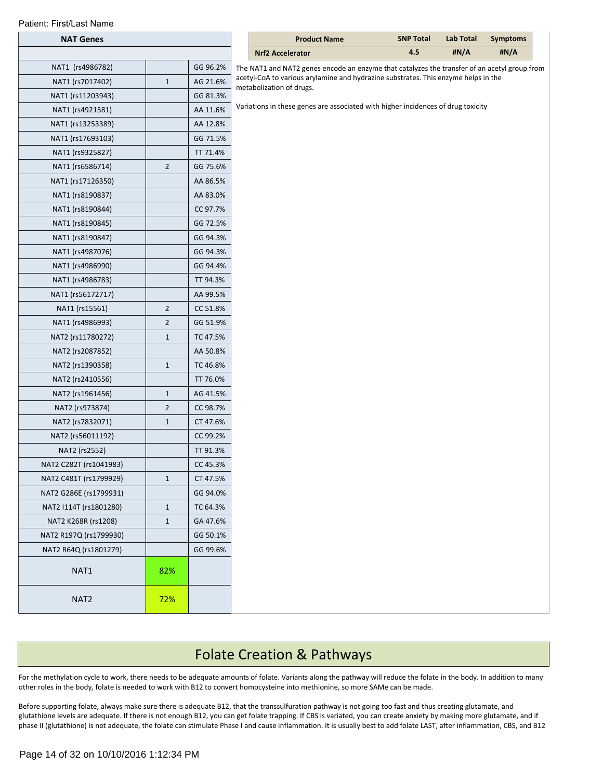|  | Patient: First/Last Name |  |
|--|--------------------------|--|
|--|--------------------------|--|

| <b>NAT Genes</b>       |                |          | <b>Product Name</b>                                                                          | <b>SNP Total</b> | <b>Lab Total</b> | <b>Symptoms</b> |
|------------------------|----------------|----------|----------------------------------------------------------------------------------------------|------------------|------------------|-----------------|
|                        |                |          | <b>Nrf2 Accelerator</b>                                                                      | 4.5              | #N/A             | #N/A            |
| NAT1 (rs4986782)       |                | GG 96.2% | The NAT1 and NAT2 genes encode an enzyme that catalyzes the transfer of an acetyl group from |                  |                  |                 |
| NAT1 (rs7017402)       | $1\,$          | AG 21.6% | acetyl-CoA to various arylamine and hydrazine substrates. This enzyme helps in the           |                  |                  |                 |
| NAT1 (rs11203943)      |                | GG 81.3% | metabolization of drugs.                                                                     |                  |                  |                 |
| NAT1 (rs4921581)       |                | AA 11.6% | Variations in these genes are associated with higher incidences of drug toxicity             |                  |                  |                 |
| NAT1 (rs13253389)      |                | AA 12.8% |                                                                                              |                  |                  |                 |
| NAT1 (rs17693103)      |                | GG 71.5% |                                                                                              |                  |                  |                 |
| NAT1 (rs9325827)       |                | TT 71.4% |                                                                                              |                  |                  |                 |
| NAT1 (rs6586714)       | $\overline{2}$ | GG 75.6% |                                                                                              |                  |                  |                 |
| NAT1 (rs17126350)      |                | AA 86.5% |                                                                                              |                  |                  |                 |
| NAT1 (rs8190837)       |                | AA 83.0% |                                                                                              |                  |                  |                 |
| NAT1 (rs8190844)       |                | CC 97.7% |                                                                                              |                  |                  |                 |
| NAT1 (rs8190845)       |                | GG 72.5% |                                                                                              |                  |                  |                 |
| NAT1 (rs8190847)       |                | GG 94.3% |                                                                                              |                  |                  |                 |
| NAT1 (rs4987076)       |                | GG 94.3% |                                                                                              |                  |                  |                 |
| NAT1 (rs4986990)       |                | GG 94.4% |                                                                                              |                  |                  |                 |
| NAT1 (rs4986783)       |                | TT 94.3% |                                                                                              |                  |                  |                 |
| NAT1 (rs56172717)      |                | AA 99.5% |                                                                                              |                  |                  |                 |
| NAT1 (rs15561)         | $\overline{2}$ | CC 51.8% |                                                                                              |                  |                  |                 |
| NAT1 (rs4986993)       | $\overline{2}$ | GG 51.9% |                                                                                              |                  |                  |                 |
| NAT2 (rs11780272)      | $1\,$          | TC 47.5% |                                                                                              |                  |                  |                 |
| NAT2 (rs2087852)       |                | AA 50.8% |                                                                                              |                  |                  |                 |
| NAT2 (rs1390358)       | $1\,$          | TC 46.8% |                                                                                              |                  |                  |                 |
| NAT2 (rs2410556)       |                | TT 76.0% |                                                                                              |                  |                  |                 |
| NAT2 (rs1961456)       | $\mathbf{1}$   | AG 41.5% |                                                                                              |                  |                  |                 |
| NAT2 (rs973874)        | $\mathbf 2$    | CC 98.7% |                                                                                              |                  |                  |                 |
| NAT2 (rs7832071)       | $1\,$          | CT 47.6% |                                                                                              |                  |                  |                 |
| NAT2 (rs56011192)      |                | CC 99.2% |                                                                                              |                  |                  |                 |
| NAT2 (rs2552)          |                | TT 91.3% |                                                                                              |                  |                  |                 |
| NAT2 C282T (rs1041983) |                | CC 45.3% |                                                                                              |                  |                  |                 |
| NAT2 C481T (rs1799929) | $\mathbf{1}$   | CT 47.5% |                                                                                              |                  |                  |                 |
| NAT2 G286E (rs1799931) |                | GG 94.0% |                                                                                              |                  |                  |                 |
| NAT2 I114T (rs1801280) | $\mathbf{1}$   | TC 64.3% |                                                                                              |                  |                  |                 |
| NAT2 K268R (rs1208)    | $\mathbf{1}$   | GA 47.6% |                                                                                              |                  |                  |                 |
| NAT2 R197Q (rs1799930) |                | GG 50.1% |                                                                                              |                  |                  |                 |
| NAT2 R64Q (rs1801279)  |                | GG 99.6% |                                                                                              |                  |                  |                 |
| NAT1                   | 82%            |          |                                                                                              |                  |                  |                 |
| NAT <sub>2</sub>       | 72%            |          |                                                                                              |                  |                  |                 |

### Folate Creation & Pathways

For the methylation cycle to work, there needs to be adequate amounts of folate. Variants along the pathway will reduce the folate in the body. In addition to many other roles in the body, folate is needed to work with B12 to convert homocysteine into methionine, so more SAMe can be made.

Before supporting folate, always make sure there is adequate B12, that the transsulfuration pathway is not going too fast and thus creating glutamate, and glutathione levels are adequate. If there is not enough B12, you can get folate trapping. If CBS is variated, you can create anxiety by making more glutamate, and if phase II (glutathione) is not adequate, the folate can stimulate Phase I and cause inflammation. It is usually best to add folate LAST, after inflammation, CBS, and B12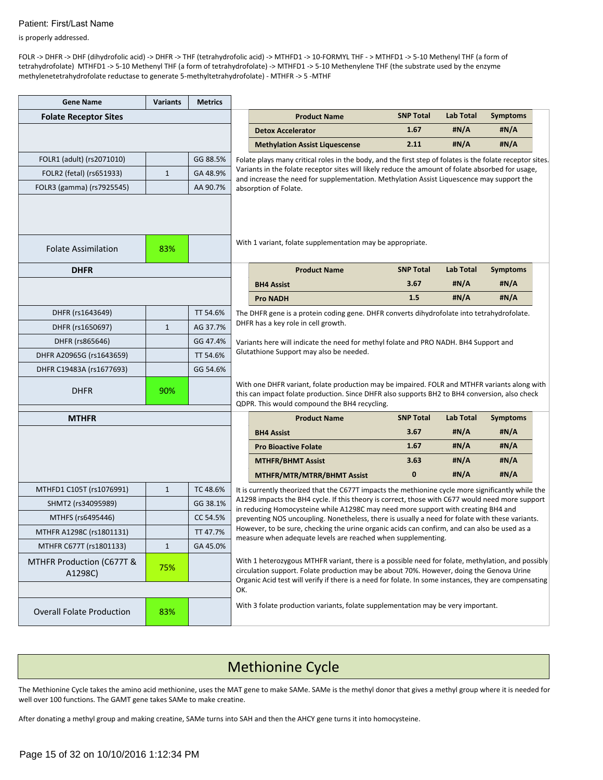is properly addressed.

FOLR -> DHFR -> DHF (dihydrofolic acid) -> DHFR -> THF (tetrahydrofolic acid) -> MTHFD1 -> 10-FORMYL THF - > MTHFD1 -> 5-10 Methenyl THF (a form of tetrahydrofolate) MTHFD1 -> 5-10 Methenyl THF (a form of tetrahydrofolate) -> MTHFD1 -> 5-10 Methenylene THF (the substrate used by the enzyme methylenetetrahydrofolate reductase to generate 5-methyltetrahydrofolate) - MTHFR -> 5 -MTHF

| <b>Gene Name</b>                     | <b>Variants</b> | <b>Metrics</b> |                                                                                                                                                                                                                           |                                                                                                                                                                                                                                                                                                        |                  |                  |                 |  |  |
|--------------------------------------|-----------------|----------------|---------------------------------------------------------------------------------------------------------------------------------------------------------------------------------------------------------------------------|--------------------------------------------------------------------------------------------------------------------------------------------------------------------------------------------------------------------------------------------------------------------------------------------------------|------------------|------------------|-----------------|--|--|
| <b>Folate Receptor Sites</b>         |                 |                |                                                                                                                                                                                                                           | <b>Product Name</b>                                                                                                                                                                                                                                                                                    | <b>SNP Total</b> | <b>Lab Total</b> | <b>Symptoms</b> |  |  |
|                                      |                 |                |                                                                                                                                                                                                                           | <b>Detox Accelerator</b>                                                                                                                                                                                                                                                                               | 1.67             | #N/A             | #N/A            |  |  |
|                                      |                 |                |                                                                                                                                                                                                                           | <b>Methylation Assist Liquescense</b>                                                                                                                                                                                                                                                                  | 2.11             | #N/A             | #N/A            |  |  |
| FOLR1 (adult) (rs2071010)            |                 | GG 88.5%       |                                                                                                                                                                                                                           | Folate plays many critical roles in the body, and the first step of folates is the folate receptor sites.                                                                                                                                                                                              |                  |                  |                 |  |  |
| FOLR2 (fetal) (rs651933)             | $\mathbf{1}$    | GA 48.9%       |                                                                                                                                                                                                                           | Variants in the folate receptor sites will likely reduce the amount of folate absorbed for usage,<br>and increase the need for supplementation. Methylation Assist Liquescence may support the                                                                                                         |                  |                  |                 |  |  |
| FOLR3 (gamma) (rs7925545)            |                 | AA 90.7%       |                                                                                                                                                                                                                           | absorption of Folate.                                                                                                                                                                                                                                                                                  |                  |                  |                 |  |  |
| <b>Folate Assimilation</b>           | 83%             |                |                                                                                                                                                                                                                           | With 1 variant, folate supplementation may be appropriate.                                                                                                                                                                                                                                             |                  |                  |                 |  |  |
| <b>DHFR</b>                          |                 |                |                                                                                                                                                                                                                           | <b>Product Name</b>                                                                                                                                                                                                                                                                                    | <b>SNP Total</b> | <b>Lab Total</b> | <b>Symptoms</b> |  |  |
|                                      |                 |                |                                                                                                                                                                                                                           | <b>BH4 Assist</b>                                                                                                                                                                                                                                                                                      | 3.67             | #N/A             | #N/A            |  |  |
|                                      |                 |                |                                                                                                                                                                                                                           | <b>Pro NADH</b>                                                                                                                                                                                                                                                                                        | 1.5              | #N/A             | #N/A            |  |  |
| DHFR (rs1643649)                     |                 | TT 54.6%       | The DHFR gene is a protein coding gene. DHFR converts dihydrofolate into tetrahydrofolate.<br>DHFR has a key role in cell growth.<br>Variants here will indicate the need for methyl folate and PRO NADH. BH4 Support and |                                                                                                                                                                                                                                                                                                        |                  |                  |                 |  |  |
| DHFR (rs1650697)                     | $\mathbf{1}$    | AG 37.7%       |                                                                                                                                                                                                                           |                                                                                                                                                                                                                                                                                                        |                  |                  |                 |  |  |
| DHFR (rs865646)                      |                 | GG 47.4%       |                                                                                                                                                                                                                           |                                                                                                                                                                                                                                                                                                        |                  |                  |                 |  |  |
| DHFR A20965G (rs1643659)             |                 | TT 54.6%       |                                                                                                                                                                                                                           | Glutathione Support may also be needed.                                                                                                                                                                                                                                                                |                  |                  |                 |  |  |
| DHFR C19483A (rs1677693)             |                 | GG 54.6%       |                                                                                                                                                                                                                           |                                                                                                                                                                                                                                                                                                        |                  |                  |                 |  |  |
| <b>DHFR</b>                          | 90%             |                |                                                                                                                                                                                                                           | With one DHFR variant, folate production may be impaired. FOLR and MTHFR variants along with<br>this can impact folate production. Since DHFR also supports BH2 to BH4 conversion, also check<br>QDPR. This would compound the BH4 recycling.                                                          |                  |                  |                 |  |  |
| <b>MTHFR</b>                         |                 |                |                                                                                                                                                                                                                           | <b>Product Name</b>                                                                                                                                                                                                                                                                                    | <b>SNP Total</b> | <b>Lab Total</b> | <b>Symptoms</b> |  |  |
|                                      |                 |                |                                                                                                                                                                                                                           | <b>BH4 Assist</b>                                                                                                                                                                                                                                                                                      | 3.67             | #N/A             | #N/A            |  |  |
|                                      |                 |                |                                                                                                                                                                                                                           | <b>Pro Bioactive Folate</b>                                                                                                                                                                                                                                                                            | 1.67             | #N/A             | #N/A            |  |  |
|                                      |                 |                |                                                                                                                                                                                                                           | <b>MTHFR/BHMT Assist</b>                                                                                                                                                                                                                                                                               | 3.63             | #N/A             | #N/A            |  |  |
|                                      |                 |                |                                                                                                                                                                                                                           | <b>MTHFR/MTR/MTRR/BHMT Assist</b>                                                                                                                                                                                                                                                                      | $\bf{0}$         | #N/A             | #N/A            |  |  |
| MTHFD1 C105T (rs1076991)             | $\mathbf{1}$    | TC 48.6%       |                                                                                                                                                                                                                           | It is currently theorized that the C677T impacts the methionine cycle more significantly while the                                                                                                                                                                                                     |                  |                  |                 |  |  |
| SHMT2 (rs34095989)                   |                 | GG 38.1%       |                                                                                                                                                                                                                           | A1298 impacts the BH4 cycle. If this theory is correct, those with C677 would need more support<br>in reducing Homocysteine while A1298C may need more support with creating BH4 and                                                                                                                   |                  |                  |                 |  |  |
| MTHFS (rs6495446)                    |                 | CC 54.5%       |                                                                                                                                                                                                                           | preventing NOS uncoupling. Nonetheless, there is usually a need for folate with these variants.                                                                                                                                                                                                        |                  |                  |                 |  |  |
| MTHFR A1298C (rs1801131)             |                 | TT 47.7%       |                                                                                                                                                                                                                           | However, to be sure, checking the urine organic acids can confirm, and can also be used as a<br>measure when adequate levels are reached when supplementing.                                                                                                                                           |                  |                  |                 |  |  |
| MTHFR C677T (rs1801133)              | $\mathbf{1}$    | GA 45.0%       |                                                                                                                                                                                                                           |                                                                                                                                                                                                                                                                                                        |                  |                  |                 |  |  |
| MTHFR Production (C677T &<br>A1298C) | 75%             |                |                                                                                                                                                                                                                           | With 1 heterozygous MTHFR variant, there is a possible need for folate, methylation, and possibly<br>circulation support. Folate production may be about 70%. However, doing the Genova Urine<br>Organic Acid test will verify if there is a need for folate. In some instances, they are compensating |                  |                  |                 |  |  |
| <b>Overall Folate Production</b>     | 83%             |                | OK.                                                                                                                                                                                                                       | With 3 folate production variants, folate supplementation may be very important.                                                                                                                                                                                                                       |                  |                  |                 |  |  |

# Methionine Cycle

The Methionine Cycle takes the amino acid methionine, uses the MAT gene to make SAMe. SAMe is the methyl donor that gives a methyl group where it is needed for well over 100 functions. The GAMT gene takes SAMe to make creatine.

After donating a methyl group and making creatine, SAMe turns into SAH and then the AHCY gene turns it into homocysteine.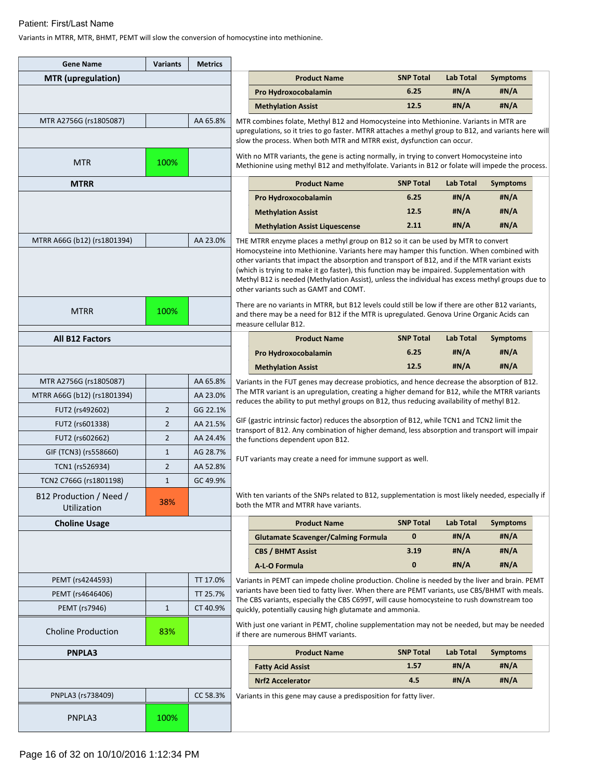Variants in MTRR, MTR, BHMT, PEMT will slow the conversion of homocystine into methionine.

| <b>Gene Name</b>                           | <b>Variants</b> | <b>Metrics</b> |                                                                                                                                                                                             |                                                                                                                                                                                                                                                                                                                                                                                                                                                                                                                                                                                                                                |                  |                  |                 |  |
|--------------------------------------------|-----------------|----------------|---------------------------------------------------------------------------------------------------------------------------------------------------------------------------------------------|--------------------------------------------------------------------------------------------------------------------------------------------------------------------------------------------------------------------------------------------------------------------------------------------------------------------------------------------------------------------------------------------------------------------------------------------------------------------------------------------------------------------------------------------------------------------------------------------------------------------------------|------------------|------------------|-----------------|--|
| <b>MTR</b> (upregulation)                  |                 |                |                                                                                                                                                                                             | <b>Product Name</b>                                                                                                                                                                                                                                                                                                                                                                                                                                                                                                                                                                                                            | <b>SNP Total</b> | <b>Lab Total</b> | <b>Symptoms</b> |  |
|                                            |                 |                |                                                                                                                                                                                             | Pro Hydroxocobalamin                                                                                                                                                                                                                                                                                                                                                                                                                                                                                                                                                                                                           | 6.25             | #N/A             | #N/A            |  |
|                                            |                 |                |                                                                                                                                                                                             | <b>Methylation Assist</b>                                                                                                                                                                                                                                                                                                                                                                                                                                                                                                                                                                                                      | 12.5             | #N/A             | #N/A            |  |
| MTR A2756G (rs1805087)                     |                 | AA 65.8%       |                                                                                                                                                                                             | MTR combines folate, Methyl B12 and Homocysteine into Methionine. Variants in MTR are<br>upregulations, so it tries to go faster. MTRR attaches a methyl group to B12, and variants here will<br>slow the process. When both MTR and MTRR exist, dysfunction can occur.                                                                                                                                                                                                                                                                                                                                                        |                  |                  |                 |  |
| <b>MTR</b>                                 | 100%            |                |                                                                                                                                                                                             | With no MTR variants, the gene is acting normally, in trying to convert Homocysteine into<br>Methionine using methyl B12 and methylfolate. Variants in B12 or folate will impede the process.                                                                                                                                                                                                                                                                                                                                                                                                                                  |                  |                  |                 |  |
| <b>MTRR</b>                                |                 |                |                                                                                                                                                                                             | <b>Product Name</b>                                                                                                                                                                                                                                                                                                                                                                                                                                                                                                                                                                                                            | <b>SNP Total</b> | Lab Total        | <b>Symptoms</b> |  |
|                                            |                 |                |                                                                                                                                                                                             | Pro Hydroxocobalamin                                                                                                                                                                                                                                                                                                                                                                                                                                                                                                                                                                                                           | 6.25             | #N/A             | #N/A            |  |
|                                            |                 |                |                                                                                                                                                                                             | <b>Methylation Assist</b>                                                                                                                                                                                                                                                                                                                                                                                                                                                                                                                                                                                                      | 12.5             | #N/A             | #N/A            |  |
|                                            |                 |                |                                                                                                                                                                                             | <b>Methylation Assist Liquescense</b>                                                                                                                                                                                                                                                                                                                                                                                                                                                                                                                                                                                          | 2.11             | #N/A             | #N/A            |  |
| MTRR A66G (b12) (rs1801394)                |                 | AA 23.0%       |                                                                                                                                                                                             | THE MTRR enzyme places a methyl group on B12 so it can be used by MTR to convert<br>Homocysteine into Methionine. Variants here may hamper this function. When combined with<br>other variants that impact the absorption and transport of B12, and if the MTR variant exists<br>(which is trying to make it go faster), this function may be impaired. Supplementation with<br>Methyl B12 is needed (Methylation Assist), unless the individual has excess methyl groups due to<br>other variants such as GAMT and COMT.<br>There are no variants in MTRR, but B12 levels could still be low if there are other B12 variants, |                  |                  |                 |  |
| <b>MTRR</b>                                | 100%            |                |                                                                                                                                                                                             | and there may be a need for B12 if the MTR is upregulated. Genova Urine Organic Acids can<br>measure cellular B12.                                                                                                                                                                                                                                                                                                                                                                                                                                                                                                             |                  |                  |                 |  |
| <b>All B12 Factors</b>                     |                 |                |                                                                                                                                                                                             | <b>Product Name</b>                                                                                                                                                                                                                                                                                                                                                                                                                                                                                                                                                                                                            | <b>SNP Total</b> | <b>Lab Total</b> | <b>Symptoms</b> |  |
|                                            |                 |                |                                                                                                                                                                                             | Pro Hydroxocobalamin                                                                                                                                                                                                                                                                                                                                                                                                                                                                                                                                                                                                           | 6.25             | #N/A             | #N/A            |  |
|                                            |                 |                |                                                                                                                                                                                             | <b>Methylation Assist</b>                                                                                                                                                                                                                                                                                                                                                                                                                                                                                                                                                                                                      | 12.5             | #N/A             | #N/A            |  |
| MTR A2756G (rs1805087)                     |                 | AA 65.8%       |                                                                                                                                                                                             | Variants in the FUT genes may decrease probiotics, and hence decrease the absorption of B12.                                                                                                                                                                                                                                                                                                                                                                                                                                                                                                                                   |                  |                  |                 |  |
| MTRR A66G (b12) (rs1801394)                |                 | AA 23.0%       | The MTR variant is an upregulation, creating a higher demand for B12, while the MTRR variants<br>reduces the ability to put methyl groups on B12, thus reducing availability of methyl B12. |                                                                                                                                                                                                                                                                                                                                                                                                                                                                                                                                                                                                                                |                  |                  |                 |  |
| FUT2 (rs492602)                            | $\overline{2}$  | GG 22.1%       |                                                                                                                                                                                             |                                                                                                                                                                                                                                                                                                                                                                                                                                                                                                                                                                                                                                |                  |                  |                 |  |
| FUT2 (rs601338)                            | $\overline{2}$  | AA 21.5%       |                                                                                                                                                                                             | GIF (gastric intrinsic factor) reduces the absorption of B12, while TCN1 and TCN2 limit the<br>transport of B12. Any combination of higher demand, less absorption and transport will impair                                                                                                                                                                                                                                                                                                                                                                                                                                   |                  |                  |                 |  |
| FUT2 (rs602662)                            | $\overline{2}$  | AA 24.4%       |                                                                                                                                                                                             | the functions dependent upon B12.                                                                                                                                                                                                                                                                                                                                                                                                                                                                                                                                                                                              |                  |                  |                 |  |
| GIF (TCN3) (rs558660)                      | $\mathbf{1}$    | AG 28.7%       |                                                                                                                                                                                             | FUT variants may create a need for immune support as well.                                                                                                                                                                                                                                                                                                                                                                                                                                                                                                                                                                     |                  |                  |                 |  |
| TCN1 (rs526934)                            | $\overline{2}$  | AA 52.8%       |                                                                                                                                                                                             |                                                                                                                                                                                                                                                                                                                                                                                                                                                                                                                                                                                                                                |                  |                  |                 |  |
| TCN2 C766G (rs1801198)                     | $\mathbf{1}$    | GC 49.9%       |                                                                                                                                                                                             |                                                                                                                                                                                                                                                                                                                                                                                                                                                                                                                                                                                                                                |                  |                  |                 |  |
| B12 Production / Need /<br>Utilization     | 38%             |                |                                                                                                                                                                                             | With ten variants of the SNPs related to B12, supplementation is most likely needed, especially if<br>both the MTR and MTRR have variants.                                                                                                                                                                                                                                                                                                                                                                                                                                                                                     |                  |                  |                 |  |
| <b>Choline Usage</b>                       |                 |                |                                                                                                                                                                                             | <b>Product Name</b>                                                                                                                                                                                                                                                                                                                                                                                                                                                                                                                                                                                                            | <b>SNP Total</b> | <b>Lab Total</b> | <b>Symptoms</b> |  |
|                                            |                 |                |                                                                                                                                                                                             | <b>Glutamate Scavenger/Calming Formula</b>                                                                                                                                                                                                                                                                                                                                                                                                                                                                                                                                                                                     | $\bf{0}$         | #N/A             | #N/A            |  |
|                                            |                 |                |                                                                                                                                                                                             | <b>CBS / BHMT Assist</b>                                                                                                                                                                                                                                                                                                                                                                                                                                                                                                                                                                                                       | 3.19             | #N/A             | #N/A            |  |
|                                            |                 |                |                                                                                                                                                                                             | A-L-O Formula                                                                                                                                                                                                                                                                                                                                                                                                                                                                                                                                                                                                                  | $\mathbf{0}$     | #N/A             | #N/A            |  |
| PEMT (rs4244593)                           |                 | TT 17.0%       |                                                                                                                                                                                             | Variants in PEMT can impede choline production. Choline is needed by the liver and brain. PEMT<br>variants have been tied to fatty liver. When there are PEMT variants, use CBS/BHMT with meals.                                                                                                                                                                                                                                                                                                                                                                                                                               |                  |                  |                 |  |
| PEMT (rs4646406)                           |                 | TT 25.7%       |                                                                                                                                                                                             | The CBS variants, especially the CBS C699T, will cause homocysteine to rush downstream too                                                                                                                                                                                                                                                                                                                                                                                                                                                                                                                                     |                  |                  |                 |  |
| PEMT (rs7946)<br><b>Choline Production</b> | $1\,$<br>83%    | CT 40.9%       |                                                                                                                                                                                             | quickly, potentially causing high glutamate and ammonia.<br>With just one variant in PEMT, choline supplementation may not be needed, but may be needed<br>if there are numerous BHMT variants.                                                                                                                                                                                                                                                                                                                                                                                                                                |                  |                  |                 |  |
| PNPLA3                                     |                 |                |                                                                                                                                                                                             | <b>Product Name</b>                                                                                                                                                                                                                                                                                                                                                                                                                                                                                                                                                                                                            | <b>SNP Total</b> | <b>Lab Total</b> | <b>Symptoms</b> |  |
|                                            |                 |                |                                                                                                                                                                                             | <b>Fatty Acid Assist</b>                                                                                                                                                                                                                                                                                                                                                                                                                                                                                                                                                                                                       | 1.57             | #N/A             | #N/A            |  |
|                                            |                 |                |                                                                                                                                                                                             | <b>Nrf2 Accelerator</b>                                                                                                                                                                                                                                                                                                                                                                                                                                                                                                                                                                                                        | 4.5              | #N/A             | #N/A            |  |
| PNPLA3 (rs738409)                          |                 | CC 58.3%       |                                                                                                                                                                                             | Variants in this gene may cause a predisposition for fatty liver.                                                                                                                                                                                                                                                                                                                                                                                                                                                                                                                                                              |                  |                  |                 |  |
| PNPLA3                                     | 100%            |                |                                                                                                                                                                                             |                                                                                                                                                                                                                                                                                                                                                                                                                                                                                                                                                                                                                                |                  |                  |                 |  |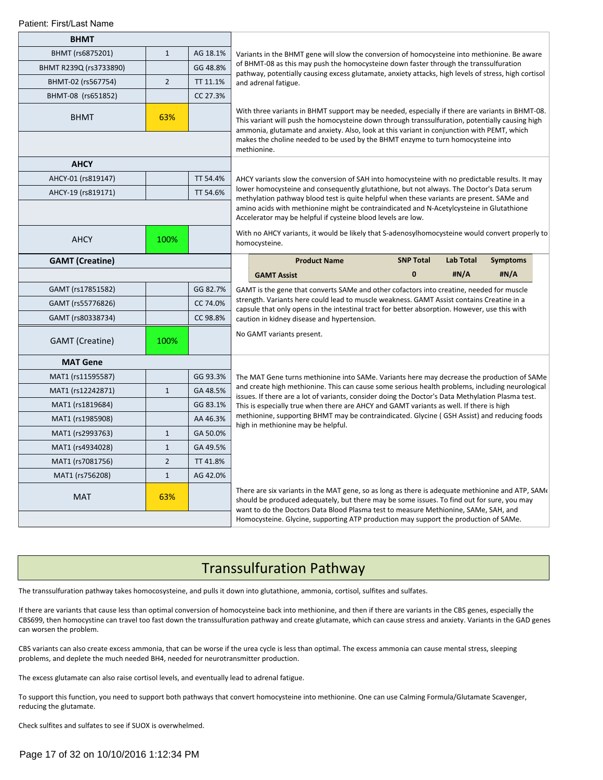| <b>BHMT</b>            |                |          |                                                                                                                                                                                                                                                                                      |                                                                                                                                                                                                                                                                                                  |                  |           |                 |  |  |
|------------------------|----------------|----------|--------------------------------------------------------------------------------------------------------------------------------------------------------------------------------------------------------------------------------------------------------------------------------------|--------------------------------------------------------------------------------------------------------------------------------------------------------------------------------------------------------------------------------------------------------------------------------------------------|------------------|-----------|-----------------|--|--|
| BHMT (rs6875201)       | $\mathbf{1}$   | AG 18.1% |                                                                                                                                                                                                                                                                                      | Variants in the BHMT gene will slow the conversion of homocysteine into methionine. Be aware                                                                                                                                                                                                     |                  |           |                 |  |  |
| BHMT R239Q (rs3733890) |                | GG 48.8% |                                                                                                                                                                                                                                                                                      | of BHMT-08 as this may push the homocysteine down faster through the transsulfuration<br>pathway, potentially causing excess glutamate, anxiety attacks, high levels of stress, high cortisol                                                                                                    |                  |           |                 |  |  |
| BHMT-02 (rs567754)     | $\overline{2}$ | TT 11.1% |                                                                                                                                                                                                                                                                                      | and adrenal fatigue.                                                                                                                                                                                                                                                                             |                  |           |                 |  |  |
| BHMT-08 (rs651852)     |                | CC 27.3% |                                                                                                                                                                                                                                                                                      |                                                                                                                                                                                                                                                                                                  |                  |           |                 |  |  |
| <b>BHMT</b>            | 63%            |          |                                                                                                                                                                                                                                                                                      | With three variants in BHMT support may be needed, especially if there are variants in BHMT-08.<br>This variant will push the homocysteine down through transsulfuration, potentially causing high<br>ammonia, glutamate and anxiety. Also, look at this variant in conjunction with PEMT, which |                  |           |                 |  |  |
|                        |                |          |                                                                                                                                                                                                                                                                                      | makes the choline needed to be used by the BHMT enzyme to turn homocysteine into<br>methionine.                                                                                                                                                                                                  |                  |           |                 |  |  |
| <b>AHCY</b>            |                |          |                                                                                                                                                                                                                                                                                      |                                                                                                                                                                                                                                                                                                  |                  |           |                 |  |  |
| AHCY-01 (rs819147)     |                | TT 54.4% | AHCY variants slow the conversion of SAH into homocysteine with no predictable results. It may                                                                                                                                                                                       |                                                                                                                                                                                                                                                                                                  |                  |           |                 |  |  |
| AHCY-19 (rs819171)     |                | TT 54.6% | lower homocysteine and consequently glutathione, but not always. The Doctor's Data serum<br>methylation pathway blood test is quite helpful when these variants are present. SAMe and                                                                                                |                                                                                                                                                                                                                                                                                                  |                  |           |                 |  |  |
|                        |                |          |                                                                                                                                                                                                                                                                                      | amino acids with methionine might be contraindicated and N-Acetylcysteine in Glutathione<br>Accelerator may be helpful if cysteine blood levels are low.                                                                                                                                         |                  |           |                 |  |  |
| <b>AHCY</b>            | 100%           |          | With no AHCY variants, it would be likely that S-adenosylhomocysteine would convert properly to<br>homocysteine.                                                                                                                                                                     |                                                                                                                                                                                                                                                                                                  |                  |           |                 |  |  |
| <b>GAMT</b> (Creatine) |                |          |                                                                                                                                                                                                                                                                                      | <b>Product Name</b>                                                                                                                                                                                                                                                                              | <b>SNP Total</b> | Lab Total | <b>Symptoms</b> |  |  |
|                        |                |          |                                                                                                                                                                                                                                                                                      | <b>GAMT Assist</b>                                                                                                                                                                                                                                                                               | $\mathbf{0}$     | #N/A      | #N/A            |  |  |
| GAMT (rs17851582)      |                | GG 82.7% |                                                                                                                                                                                                                                                                                      | GAMT is the gene that converts SAMe and other cofactors into creatine, needed for muscle                                                                                                                                                                                                         |                  |           |                 |  |  |
| GAMT (rs55776826)      |                | CC 74.0% |                                                                                                                                                                                                                                                                                      | strength. Variants here could lead to muscle weakness. GAMT Assist contains Creatine in a<br>capsule that only opens in the intestinal tract for better absorption. However, use this with                                                                                                       |                  |           |                 |  |  |
| GAMT (rs80338734)      |                | CC 98.8% |                                                                                                                                                                                                                                                                                      | caution in kidney disease and hypertension.                                                                                                                                                                                                                                                      |                  |           |                 |  |  |
| <b>GAMT</b> (Creatine) | 100%           |          |                                                                                                                                                                                                                                                                                      | No GAMT variants present.                                                                                                                                                                                                                                                                        |                  |           |                 |  |  |
| <b>MAT Gene</b>        |                |          |                                                                                                                                                                                                                                                                                      |                                                                                                                                                                                                                                                                                                  |                  |           |                 |  |  |
| MAT1 (rs11595587)      |                | GG 93.3% |                                                                                                                                                                                                                                                                                      | The MAT Gene turns methionine into SAMe. Variants here may decrease the production of SAMe                                                                                                                                                                                                       |                  |           |                 |  |  |
| MAT1 (rs12242871)      | $\mathbf{1}$   | GA 48.5% |                                                                                                                                                                                                                                                                                      | and create high methionine. This can cause some serious health problems, including neurological<br>issues. If there are a lot of variants, consider doing the Doctor's Data Methylation Plasma test.                                                                                             |                  |           |                 |  |  |
| MAT1 (rs1819684)       |                | GG 83.1% |                                                                                                                                                                                                                                                                                      | This is especially true when there are AHCY and GAMT variants as well. If there is high                                                                                                                                                                                                          |                  |           |                 |  |  |
| MAT1 (rs1985908)       |                | AA 46.3% |                                                                                                                                                                                                                                                                                      | methionine, supporting BHMT may be contraindicated. Glycine (GSH Assist) and reducing foods<br>high in methionine may be helpful.                                                                                                                                                                |                  |           |                 |  |  |
| MAT1 (rs2993763)       | $\mathbf{1}$   | GA 50.0% |                                                                                                                                                                                                                                                                                      |                                                                                                                                                                                                                                                                                                  |                  |           |                 |  |  |
| MAT1 (rs4934028)       | $\mathbf{1}$   | GA 49.5% |                                                                                                                                                                                                                                                                                      |                                                                                                                                                                                                                                                                                                  |                  |           |                 |  |  |
| MAT1 (rs7081756)       | $\overline{2}$ | TT 41.8% |                                                                                                                                                                                                                                                                                      |                                                                                                                                                                                                                                                                                                  |                  |           |                 |  |  |
| MAT1 (rs756208)        | $\mathbf{1}$   | AG 42.0% |                                                                                                                                                                                                                                                                                      |                                                                                                                                                                                                                                                                                                  |                  |           |                 |  |  |
| <b>MAT</b>             | 63%            |          | There are six variants in the MAT gene, so as long as there is adequate methionine and ATP, SAM<br>should be produced adequately, but there may be some issues. To find out for sure, you may<br>want to do the Doctors Data Blood Plasma test to measure Methionine, SAMe, SAH, and |                                                                                                                                                                                                                                                                                                  |                  |           |                 |  |  |
|                        |                |          |                                                                                                                                                                                                                                                                                      | Homocysteine. Glycine, supporting ATP production may support the production of SAMe.                                                                                                                                                                                                             |                  |           |                 |  |  |

## Transsulfuration Pathway

The transsulfuration pathway takes homocosysteine, and pulls it down into glutathione, ammonia, cortisol, sulfites and sulfates.

If there are variants that cause less than optimal conversion of homocysteine back into methionine, and then if there are variants in the CBS genes, especially the CBS699, then homocystine can travel too fast down the transsulfuration pathway and create glutamate, which can cause stress and anxiety. Variants in the GAD genes can worsen the problem.

CBS variants can also create excess ammonia, that can be worse if the urea cycle is less than optimal. The excess ammonia can cause mental stress, sleeping problems, and deplete the much needed BH4, needed for neurotransmitter production.

The excess glutamate can also raise cortisol levels, and eventually lead to adrenal fatigue.

To support this function, you need to support both pathways that convert homocysteine into methionine. One can use Calming Formula/Glutamate Scavenger, reducing the glutamate.

Check sulfites and sulfates to see if SUOX is overwhelmed.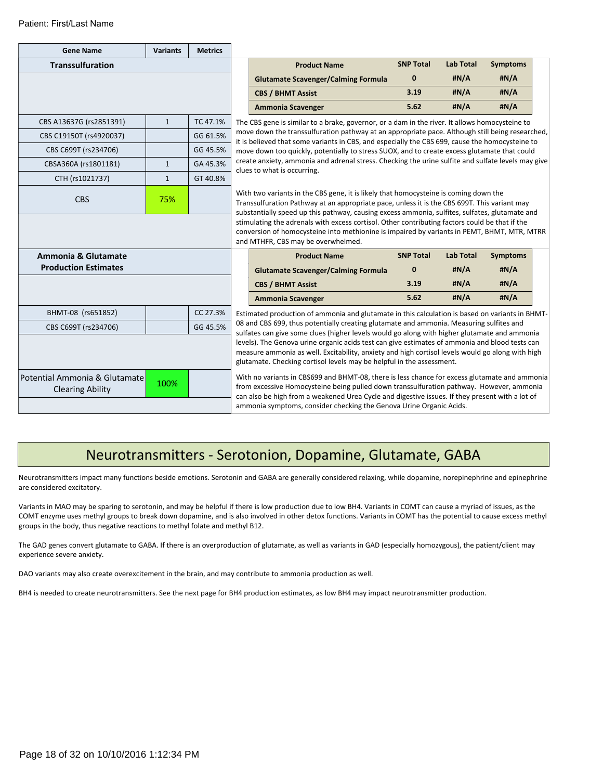| <b>Gene Name</b>                                                                                                                                                                                                                                                                                                                                                 | <b>Variants</b> | <b>Metrics</b> |                                                                                                                                                                                                                                                                                        |                                                                                                                                                                                                                                                                             |                  |                  |                 |  |  |
|------------------------------------------------------------------------------------------------------------------------------------------------------------------------------------------------------------------------------------------------------------------------------------------------------------------------------------------------------------------|-----------------|----------------|----------------------------------------------------------------------------------------------------------------------------------------------------------------------------------------------------------------------------------------------------------------------------------------|-----------------------------------------------------------------------------------------------------------------------------------------------------------------------------------------------------------------------------------------------------------------------------|------------------|------------------|-----------------|--|--|
| <b>Transsulfuration</b>                                                                                                                                                                                                                                                                                                                                          |                 |                |                                                                                                                                                                                                                                                                                        | <b>Product Name</b>                                                                                                                                                                                                                                                         | <b>SNP Total</b> | <b>Lab Total</b> | <b>Symptoms</b> |  |  |
|                                                                                                                                                                                                                                                                                                                                                                  |                 |                |                                                                                                                                                                                                                                                                                        | <b>Glutamate Scavenger/Calming Formula</b>                                                                                                                                                                                                                                  | $\bf{0}$         | #N/A             | #N/A            |  |  |
|                                                                                                                                                                                                                                                                                                                                                                  |                 |                |                                                                                                                                                                                                                                                                                        | <b>CBS / BHMT Assist</b>                                                                                                                                                                                                                                                    | 3.19             | #N/A             | #N/A            |  |  |
|                                                                                                                                                                                                                                                                                                                                                                  |                 |                |                                                                                                                                                                                                                                                                                        | <b>Ammonia Scavenger</b>                                                                                                                                                                                                                                                    | 5.62             | #N/A             | #N/A            |  |  |
| CBS A13637G (rs2851391)                                                                                                                                                                                                                                                                                                                                          | $\mathbf{1}$    | TC 47.1%       |                                                                                                                                                                                                                                                                                        | The CBS gene is similar to a brake, governor, or a dam in the river. It allows homocysteine to                                                                                                                                                                              |                  |                  |                 |  |  |
| CBS C19150T (rs4920037)                                                                                                                                                                                                                                                                                                                                          |                 | GG 61.5%       | move down the transsulfuration pathway at an appropriate pace. Although still being researched,<br>it is believed that some variants in CBS, and especially the CBS 699, cause the homocysteine to                                                                                     |                                                                                                                                                                                                                                                                             |                  |                  |                 |  |  |
| CBS C699T (rs234706)                                                                                                                                                                                                                                                                                                                                             |                 | GG 45.5%       | move down too quickly, potentially to stress SUOX, and to create excess glutamate that could<br>create anxiety, ammonia and adrenal stress. Checking the urine sulfite and sulfate levels may give<br>clues to what is occurring.                                                      |                                                                                                                                                                                                                                                                             |                  |                  |                 |  |  |
| CBSA360A (rs1801181)                                                                                                                                                                                                                                                                                                                                             | $\mathbf{1}$    | GA 45.3%       |                                                                                                                                                                                                                                                                                        |                                                                                                                                                                                                                                                                             |                  |                  |                 |  |  |
| CTH (rs1021737)                                                                                                                                                                                                                                                                                                                                                  | $\mathbf{1}$    | GT 40.8%       |                                                                                                                                                                                                                                                                                        |                                                                                                                                                                                                                                                                             |                  |                  |                 |  |  |
| <b>CBS</b>                                                                                                                                                                                                                                                                                                                                                       | 75%             |                | With two variants in the CBS gene, it is likely that homocysteine is coming down the<br>Transsulfuration Pathway at an appropriate pace, unless it is the CBS 699T. This variant may<br>substantially speed up this pathway, causing excess ammonia, sulfites, sulfates, glutamate and |                                                                                                                                                                                                                                                                             |                  |                  |                 |  |  |
|                                                                                                                                                                                                                                                                                                                                                                  |                 |                |                                                                                                                                                                                                                                                                                        | stimulating the adrenals with excess cortisol. Other contributing factors could be that if the<br>conversion of homocysteine into methionine is impaired by variants in PEMT, BHMT, MTR, MTRR<br>and MTHFR, CBS may be overwhelmed.                                         |                  |                  |                 |  |  |
| <b>Ammonia &amp; Glutamate</b>                                                                                                                                                                                                                                                                                                                                   |                 |                |                                                                                                                                                                                                                                                                                        | <b>Product Name</b>                                                                                                                                                                                                                                                         | <b>SNP Total</b> | <b>Lab Total</b> | <b>Symptoms</b> |  |  |
| <b>Production Estimates</b>                                                                                                                                                                                                                                                                                                                                      |                 |                |                                                                                                                                                                                                                                                                                        | <b>Glutamate Scavenger/Calming Formula</b>                                                                                                                                                                                                                                  | $\bf{0}$         | #N/A             | #N/A            |  |  |
|                                                                                                                                                                                                                                                                                                                                                                  |                 |                |                                                                                                                                                                                                                                                                                        | <b>CBS / BHMT Assist</b>                                                                                                                                                                                                                                                    | 3.19             | #N/A             | #N/A            |  |  |
|                                                                                                                                                                                                                                                                                                                                                                  |                 |                |                                                                                                                                                                                                                                                                                        | <b>Ammonia Scavenger</b>                                                                                                                                                                                                                                                    | 5.62             | #N/A             | #N/A            |  |  |
| BHMT-08 (rs651852)                                                                                                                                                                                                                                                                                                                                               |                 | CC 27.3%       |                                                                                                                                                                                                                                                                                        | Estimated production of ammonia and glutamate in this calculation is based on variants in BHMT-                                                                                                                                                                             |                  |                  |                 |  |  |
| CBS C699T (rs234706)                                                                                                                                                                                                                                                                                                                                             |                 | GG 45.5%       |                                                                                                                                                                                                                                                                                        | 08 and CBS 699, thus potentially creating glutamate and ammonia. Measuring sulfites and<br>sulfates can give some clues (higher levels would go along with higher glutamate and ammonia                                                                                     |                  |                  |                 |  |  |
|                                                                                                                                                                                                                                                                                                                                                                  |                 |                |                                                                                                                                                                                                                                                                                        | levels). The Genova urine organic acids test can give estimates of ammonia and blood tests can<br>measure ammonia as well. Excitability, anxiety and high cortisol levels would go along with high<br>glutamate. Checking cortisol levels may be helpful in the assessment. |                  |                  |                 |  |  |
| With no variants in CBS699 and BHMT-08, there is less chance for excess glutamate and ammonia<br>Potential Ammonia & Glutamate<br>100%<br>from excessive Homocysteine being pulled down transsulfuration pathway. However, ammonia<br><b>Clearing Ability</b><br>can also be high from a weakened Urea Cycle and digestive issues. If they present with a lot of |                 |                |                                                                                                                                                                                                                                                                                        |                                                                                                                                                                                                                                                                             |                  |                  |                 |  |  |
|                                                                                                                                                                                                                                                                                                                                                                  |                 |                |                                                                                                                                                                                                                                                                                        | ammonia symptoms, consider checking the Genova Urine Organic Acids.                                                                                                                                                                                                         |                  |                  |                 |  |  |

### Neurotransmitters - Serotonion, Dopamine, Glutamate, GABA

Neurotransmitters impact many functions beside emotions. Serotonin and GABA are generally considered relaxing, while dopamine, norepinephrine and epinephrine are considered excitatory.

Variants in MAO may be sparing to serotonin, and may be helpful if there is low production due to low BH4. Variants in COMT can cause a myriad of issues, as the COMT enzyme uses methyl groups to break down dopamine, and is also involved in other detox functions. Variants in COMT has the potential to cause excess methyl groups in the body, thus negative reactions to methyl folate and methyl B12.

The GAD genes convert glutamate to GABA. If there is an overproduction of glutamate, as well as variants in GAD (especially homozygous), the patient/client may experience severe anxiety.

DAO variants may also create overexcitement in the brain, and may contribute to ammonia production as well.

BH4 is needed to create neurotransmitters. See the next page for BH4 production estimates, as low BH4 may impact neurotransmitter production.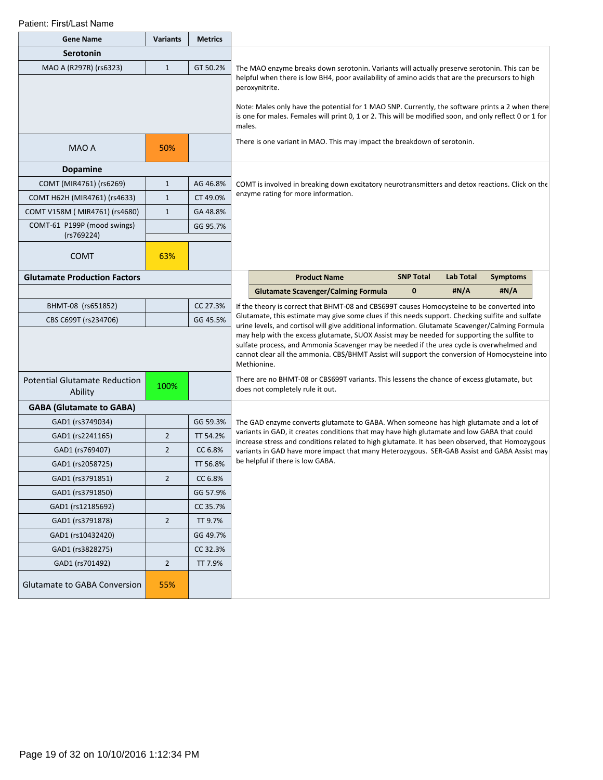| <b>Gene Name</b>                                | <b>Variants</b> | <b>Metrics</b> |                                                                                                                                                                                                                       |                                                                                                                                                                                                      |                                                                                                                                                                                                                                                                                                           |                  |                 |  |  |
|-------------------------------------------------|-----------------|----------------|-----------------------------------------------------------------------------------------------------------------------------------------------------------------------------------------------------------------------|------------------------------------------------------------------------------------------------------------------------------------------------------------------------------------------------------|-----------------------------------------------------------------------------------------------------------------------------------------------------------------------------------------------------------------------------------------------------------------------------------------------------------|------------------|-----------------|--|--|
| <b>Serotonin</b>                                |                 |                |                                                                                                                                                                                                                       |                                                                                                                                                                                                      |                                                                                                                                                                                                                                                                                                           |                  |                 |  |  |
| MAO A (R297R) (rs6323)                          | $\mathbf{1}$    | GT 50.2%       |                                                                                                                                                                                                                       | The MAO enzyme breaks down serotonin. Variants will actually preserve serotonin. This can be                                                                                                         |                                                                                                                                                                                                                                                                                                           |                  |                 |  |  |
|                                                 |                 |                |                                                                                                                                                                                                                       | helpful when there is low BH4, poor availability of amino acids that are the precursors to high<br>peroxynitrite.                                                                                    |                                                                                                                                                                                                                                                                                                           |                  |                 |  |  |
|                                                 |                 |                | Note: Males only have the potential for 1 MAO SNP. Currently, the software prints a 2 when there<br>is one for males. Females will print 0, 1 or 2. This will be modified soon, and only reflect 0 or 1 for<br>males. |                                                                                                                                                                                                      |                                                                                                                                                                                                                                                                                                           |                  |                 |  |  |
| MAO A                                           | 50%             |                |                                                                                                                                                                                                                       | There is one variant in MAO. This may impact the breakdown of serotonin.                                                                                                                             |                                                                                                                                                                                                                                                                                                           |                  |                 |  |  |
| Dopamine                                        |                 |                |                                                                                                                                                                                                                       |                                                                                                                                                                                                      |                                                                                                                                                                                                                                                                                                           |                  |                 |  |  |
| COMT (MIR4761) (rs6269)                         | $\mathbf{1}$    | AG 46.8%       |                                                                                                                                                                                                                       | COMT is involved in breaking down excitatory neurotransmitters and detox reactions. Click on the                                                                                                     |                                                                                                                                                                                                                                                                                                           |                  |                 |  |  |
| COMT H62H (MIR4761) (rs4633)                    | $\mathbf{1}$    | CT 49.0%       |                                                                                                                                                                                                                       | enzyme rating for more information.                                                                                                                                                                  |                                                                                                                                                                                                                                                                                                           |                  |                 |  |  |
| COMT V158M (MIR4761) (rs4680)                   | $\mathbf{1}$    | GA 48.8%       |                                                                                                                                                                                                                       |                                                                                                                                                                                                      |                                                                                                                                                                                                                                                                                                           |                  |                 |  |  |
| COMT-61 P199P (mood swings)<br>(rs769224)       |                 | GG 95.7%       |                                                                                                                                                                                                                       |                                                                                                                                                                                                      |                                                                                                                                                                                                                                                                                                           |                  |                 |  |  |
| <b>COMT</b>                                     | 63%             |                |                                                                                                                                                                                                                       |                                                                                                                                                                                                      |                                                                                                                                                                                                                                                                                                           |                  |                 |  |  |
| <b>Glutamate Production Factors</b>             |                 |                |                                                                                                                                                                                                                       | <b>Product Name</b>                                                                                                                                                                                  | <b>SNP Total</b>                                                                                                                                                                                                                                                                                          | <b>Lab Total</b> | <b>Symptoms</b> |  |  |
|                                                 |                 |                |                                                                                                                                                                                                                       | <b>Glutamate Scavenger/Calming Formula</b>                                                                                                                                                           | $\bf{0}$                                                                                                                                                                                                                                                                                                  | #N/A             | #N/A            |  |  |
| BHMT-08 (rs651852)                              |                 | CC 27.3%       |                                                                                                                                                                                                                       | If the theory is correct that BHMT-08 and CBS699T causes Homocysteine to be converted into                                                                                                           |                                                                                                                                                                                                                                                                                                           |                  |                 |  |  |
| CBS C699T (rs234706)                            |                 | GG 45.5%       |                                                                                                                                                                                                                       | Glutamate, this estimate may give some clues if this needs support. Checking sulfite and sulfate<br>urine levels, and cortisol will give additional information. Glutamate Scavenger/Calming Formula |                                                                                                                                                                                                                                                                                                           |                  |                 |  |  |
|                                                 |                 |                |                                                                                                                                                                                                                       |                                                                                                                                                                                                      | may help with the excess glutamate, SUOX Assist may be needed for supporting the sulfite to<br>sulfate process, and Ammonia Scavenger may be needed if the urea cycle is overwhelmed and<br>cannot clear all the ammonia. CBS/BHMT Assist will support the conversion of Homocysteine into<br>Methionine. |                  |                 |  |  |
| <b>Potential Glutamate Reduction</b><br>Ability | 100%            |                |                                                                                                                                                                                                                       | There are no BHMT-08 or CBS699T variants. This lessens the chance of excess glutamate, but<br>does not completely rule it out.                                                                       |                                                                                                                                                                                                                                                                                                           |                  |                 |  |  |
| <b>GABA (Glutamate to GABA)</b>                 |                 |                |                                                                                                                                                                                                                       |                                                                                                                                                                                                      |                                                                                                                                                                                                                                                                                                           |                  |                 |  |  |
| GAD1 (rs3749034)                                |                 | GG 59.3%       |                                                                                                                                                                                                                       | The GAD enzyme converts glutamate to GABA. When someone has high glutamate and a lot of                                                                                                              |                                                                                                                                                                                                                                                                                                           |                  |                 |  |  |
| GAD1 (rs2241165)                                | $\overline{2}$  | TT 54.2%       |                                                                                                                                                                                                                       | variants in GAD, it creates conditions that may have high glutamate and low GABA that could<br>increase stress and conditions related to high glutamate. It has been observed, that Homozygous       |                                                                                                                                                                                                                                                                                                           |                  |                 |  |  |
| GAD1 (rs769407)                                 | $\overline{2}$  | CC 6.8%        |                                                                                                                                                                                                                       | variants in GAD have more impact that many Heterozygous. SER-GAB Assist and GABA Assist may                                                                                                          |                                                                                                                                                                                                                                                                                                           |                  |                 |  |  |
| GAD1 (rs2058725)                                |                 | TT 56.8%       |                                                                                                                                                                                                                       | be helpful if there is low GABA.                                                                                                                                                                     |                                                                                                                                                                                                                                                                                                           |                  |                 |  |  |
| GAD1 (rs3791851)                                | $\overline{2}$  | CC 6.8%        |                                                                                                                                                                                                                       |                                                                                                                                                                                                      |                                                                                                                                                                                                                                                                                                           |                  |                 |  |  |
| GAD1 (rs3791850)                                |                 | GG 57.9%       |                                                                                                                                                                                                                       |                                                                                                                                                                                                      |                                                                                                                                                                                                                                                                                                           |                  |                 |  |  |
| GAD1 (rs12185692)                               |                 | CC 35.7%       |                                                                                                                                                                                                                       |                                                                                                                                                                                                      |                                                                                                                                                                                                                                                                                                           |                  |                 |  |  |
| GAD1 (rs3791878)                                | $\overline{2}$  | TT 9.7%        |                                                                                                                                                                                                                       |                                                                                                                                                                                                      |                                                                                                                                                                                                                                                                                                           |                  |                 |  |  |
| GAD1 (rs10432420)                               |                 | GG 49.7%       |                                                                                                                                                                                                                       |                                                                                                                                                                                                      |                                                                                                                                                                                                                                                                                                           |                  |                 |  |  |
| GAD1 (rs3828275)                                |                 | CC 32.3%       |                                                                                                                                                                                                                       |                                                                                                                                                                                                      |                                                                                                                                                                                                                                                                                                           |                  |                 |  |  |
| GAD1 (rs701492)                                 | $\overline{2}$  | TT 7.9%        |                                                                                                                                                                                                                       |                                                                                                                                                                                                      |                                                                                                                                                                                                                                                                                                           |                  |                 |  |  |
| Glutamate to GABA Conversion                    | 55%             |                |                                                                                                                                                                                                                       |                                                                                                                                                                                                      |                                                                                                                                                                                                                                                                                                           |                  |                 |  |  |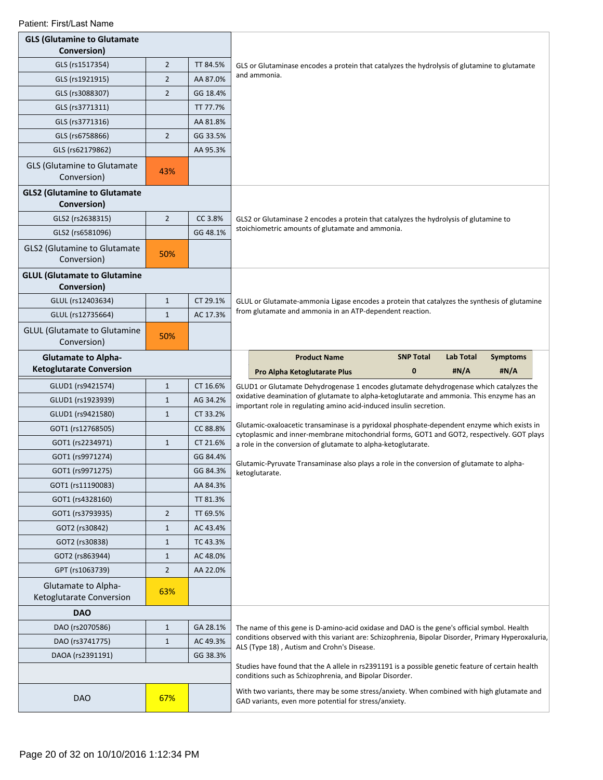| <b>GLS (Glutamine to Glutamate</b><br>Conversion)  |                |                      |                                                                                                                                                                                     |                  |                  |                 |  |  |
|----------------------------------------------------|----------------|----------------------|-------------------------------------------------------------------------------------------------------------------------------------------------------------------------------------|------------------|------------------|-----------------|--|--|
| GLS (rs1517354)                                    | $\overline{2}$ | TT 84.5%             |                                                                                                                                                                                     |                  |                  |                 |  |  |
| GLS (rs1921915)                                    | $\overline{2}$ | AA 87.0%             | GLS or Glutaminase encodes a protein that catalyzes the hydrolysis of glutamine to glutamate<br>and ammonia.                                                                        |                  |                  |                 |  |  |
| GLS (rs3088307)                                    | $\overline{2}$ | GG 18.4%             |                                                                                                                                                                                     |                  |                  |                 |  |  |
| GLS (rs3771311)                                    |                | TT 77.7%             |                                                                                                                                                                                     |                  |                  |                 |  |  |
|                                                    |                |                      |                                                                                                                                                                                     |                  |                  |                 |  |  |
| GLS (rs3771316)                                    |                | AA 81.8%             |                                                                                                                                                                                     |                  |                  |                 |  |  |
| GLS (rs6758866)                                    | $\overline{2}$ | GG 33.5%<br>AA 95.3% |                                                                                                                                                                                     |                  |                  |                 |  |  |
| GLS (rs62179862)                                   |                |                      |                                                                                                                                                                                     |                  |                  |                 |  |  |
| <b>GLS (Glutamine to Glutamate</b><br>Conversion)  | 43%            |                      |                                                                                                                                                                                     |                  |                  |                 |  |  |
| <b>GLS2 (Glutamine to Glutamate</b><br>Conversion) |                |                      |                                                                                                                                                                                     |                  |                  |                 |  |  |
| GLS2 (rs2638315)                                   | $\overline{2}$ | CC 3.8%              | GLS2 or Glutaminase 2 encodes a protein that catalyzes the hydrolysis of glutamine to                                                                                               |                  |                  |                 |  |  |
| GLS2 (rs6581096)                                   |                | GG 48.1%             | stoichiometric amounts of glutamate and ammonia.                                                                                                                                    |                  |                  |                 |  |  |
| <b>GLS2 (Glutamine to Glutamate</b><br>Conversion) | 50%            |                      |                                                                                                                                                                                     |                  |                  |                 |  |  |
| <b>GLUL (Glutamate to Glutamine</b><br>Conversion) |                |                      |                                                                                                                                                                                     |                  |                  |                 |  |  |
| GLUL (rs12403634)                                  | $\mathbf{1}$   | CT 29.1%             | GLUL or Glutamate-ammonia Ligase encodes a protein that catalyzes the synthesis of glutamine                                                                                        |                  |                  |                 |  |  |
| GLUL (rs12735664)                                  | $\mathbf{1}$   | AC 17.3%             | from glutamate and ammonia in an ATP-dependent reaction.                                                                                                                            |                  |                  |                 |  |  |
| <b>GLUL (Glutamate to Glutamine</b><br>Conversion) | 50%            |                      |                                                                                                                                                                                     |                  |                  |                 |  |  |
| <b>Glutamate to Alpha-</b>                         |                |                      | <b>Product Name</b>                                                                                                                                                                 | <b>SNP Total</b> | <b>Lab Total</b> | <b>Symptoms</b> |  |  |
| <b>Ketoglutarate Conversion</b>                    |                |                      | Pro Alpha Ketoglutarate Plus                                                                                                                                                        | $\mathbf{0}$     | #N/A             | #N/A            |  |  |
|                                                    |                |                      |                                                                                                                                                                                     |                  |                  |                 |  |  |
| GLUD1 (rs9421574)                                  | $\mathbf{1}$   | CT 16.6%             | GLUD1 or Glutamate Dehydrogenase 1 encodes glutamate dehydrogenase which catalyzes the<br>oxidative deamination of glutamate to alpha-ketoglutarate and ammonia. This enzyme has an |                  |                  |                 |  |  |
| GLUD1 (rs1923939)                                  | $\mathbf{1}$   | AG 34.2%             |                                                                                                                                                                                     |                  |                  |                 |  |  |
| GLUD1 (rs9421580)                                  | $\mathbf{1}$   | CT 33.2%             | important role in regulating amino acid-induced insulin secretion.                                                                                                                  |                  |                  |                 |  |  |
| GOT1 (rs12768505)                                  |                | CC 88.8%             | Glutamic-oxaloacetic transaminase is a pyridoxal phosphate-dependent enzyme which exists in                                                                                         |                  |                  |                 |  |  |
| GOT1 (rs2234971)                                   | $\mathbf{1}$   | CT 21.6%             | cytoplasmic and inner-membrane mitochondrial forms, GOT1 and GOT2, respectively. GOT plays<br>a role in the conversion of glutamate to alpha-ketoglutarate.                         |                  |                  |                 |  |  |
| GOT1 (rs9971274)                                   |                | GG 84.4%             |                                                                                                                                                                                     |                  |                  |                 |  |  |
| GOT1 (rs9971275)                                   |                | GG 84.3%             | Glutamic-Pyruvate Transaminase also plays a role in the conversion of glutamate to alpha-<br>ketoglutarate.                                                                         |                  |                  |                 |  |  |
| GOT1 (rs11190083)                                  |                | AA 84.3%             |                                                                                                                                                                                     |                  |                  |                 |  |  |
| GOT1 (rs4328160)                                   |                | TT 81.3%             |                                                                                                                                                                                     |                  |                  |                 |  |  |
| GOT1 (rs3793935)                                   | $\overline{2}$ | TT 69.5%             |                                                                                                                                                                                     |                  |                  |                 |  |  |
| GOT2 (rs30842)                                     | $\mathbf{1}$   | AC 43.4%             |                                                                                                                                                                                     |                  |                  |                 |  |  |
| GOT2 (rs30838)                                     | $\mathbf{1}$   | TC 43.3%             |                                                                                                                                                                                     |                  |                  |                 |  |  |
| GOT2 (rs863944)                                    | $\mathbf{1}$   | AC 48.0%             |                                                                                                                                                                                     |                  |                  |                 |  |  |
| GPT (rs1063739)                                    | $\overline{2}$ | AA 22.0%             |                                                                                                                                                                                     |                  |                  |                 |  |  |
| Glutamate to Alpha-<br>Ketoglutarate Conversion    | 63%            |                      |                                                                                                                                                                                     |                  |                  |                 |  |  |
| <b>DAO</b>                                         |                |                      |                                                                                                                                                                                     |                  |                  |                 |  |  |
| DAO (rs2070586)                                    | $\mathbf{1}$   | GA 28.1%             | The name of this gene is D-amino-acid oxidase and DAO is the gene's official symbol. Health                                                                                         |                  |                  |                 |  |  |
| DAO (rs3741775)                                    | $\mathbf{1}$   | AC 49.3%             | conditions observed with this variant are: Schizophrenia, Bipolar Disorder, Primary Hyperoxaluria,                                                                                  |                  |                  |                 |  |  |
| DAOA (rs2391191)                                   |                | GG 38.3%             | ALS (Type 18), Autism and Crohn's Disease.                                                                                                                                          |                  |                  |                 |  |  |
|                                                    |                |                      | Studies have found that the A allele in rs2391191 is a possible genetic feature of certain health<br>conditions such as Schizophrenia, and Bipolar Disorder.                        |                  |                  |                 |  |  |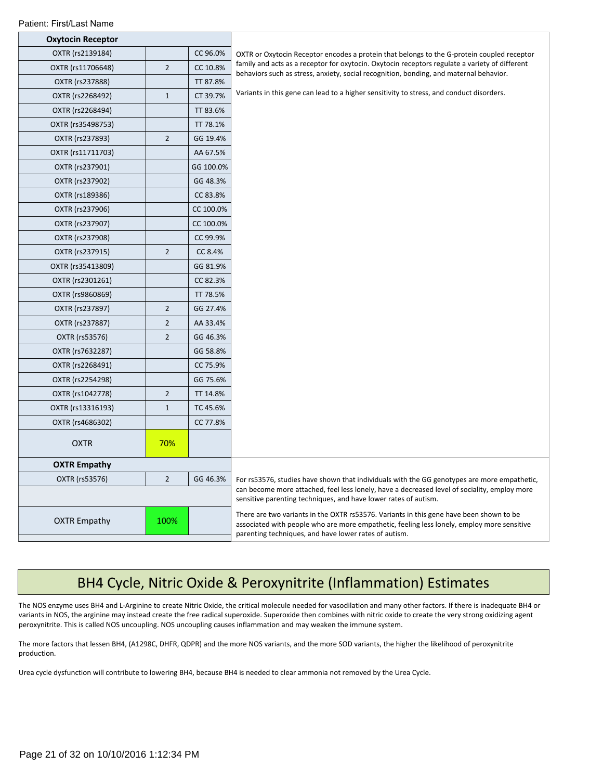| OXTR (rs2139184)    |                | CC 96.0%  | OXTR or Oxytocin Receptor encodes a protein that belongs to the G-protein coupled receptor                                                                                                                                                     |
|---------------------|----------------|-----------|------------------------------------------------------------------------------------------------------------------------------------------------------------------------------------------------------------------------------------------------|
| OXTR (rs11706648)   | $\overline{2}$ | CC 10.8%  | family and acts as a receptor for oxytocin. Oxytocin receptors regulate a variety of different<br>behaviors such as stress, anxiety, social recognition, bonding, and maternal behavior.                                                       |
| OXTR (rs237888)     |                | TT 87.8%  |                                                                                                                                                                                                                                                |
| OXTR (rs2268492)    | $1\,$          | CT 39.7%  | Variants in this gene can lead to a higher sensitivity to stress, and conduct disorders.                                                                                                                                                       |
| OXTR (rs2268494)    |                | TT 83.6%  |                                                                                                                                                                                                                                                |
| OXTR (rs35498753)   |                | TT 78.1%  |                                                                                                                                                                                                                                                |
| OXTR (rs237893)     | $\overline{2}$ | GG 19.4%  |                                                                                                                                                                                                                                                |
| OXTR (rs11711703)   |                | AA 67.5%  |                                                                                                                                                                                                                                                |
| OXTR (rs237901)     |                | GG 100.0% |                                                                                                                                                                                                                                                |
| OXTR (rs237902)     |                | GG 48.3%  |                                                                                                                                                                                                                                                |
| OXTR (rs189386)     |                | CC 83.8%  |                                                                                                                                                                                                                                                |
| OXTR (rs237906)     |                | CC 100.0% |                                                                                                                                                                                                                                                |
| OXTR (rs237907)     |                | CC 100.0% |                                                                                                                                                                                                                                                |
| OXTR (rs237908)     |                | CC 99.9%  |                                                                                                                                                                                                                                                |
| OXTR (rs237915)     | $\overline{2}$ | CC 8.4%   |                                                                                                                                                                                                                                                |
| OXTR (rs35413809)   |                | GG 81.9%  |                                                                                                                                                                                                                                                |
| OXTR (rs2301261)    |                | CC 82.3%  |                                                                                                                                                                                                                                                |
| OXTR (rs9860869)    |                | TT 78.5%  |                                                                                                                                                                                                                                                |
| OXTR (rs237897)     | $\mathbf 2$    | GG 27.4%  |                                                                                                                                                                                                                                                |
| OXTR (rs237887)     | $\overline{2}$ | AA 33.4%  |                                                                                                                                                                                                                                                |
| OXTR (rs53576)      | $\overline{2}$ | GG 46.3%  |                                                                                                                                                                                                                                                |
| OXTR (rs7632287)    |                | GG 58.8%  |                                                                                                                                                                                                                                                |
| OXTR (rs2268491)    |                | CC 75.9%  |                                                                                                                                                                                                                                                |
| OXTR (rs2254298)    |                | GG 75.6%  |                                                                                                                                                                                                                                                |
| OXTR (rs1042778)    | $\overline{2}$ | TT 14.8%  |                                                                                                                                                                                                                                                |
| OXTR (rs13316193)   | $\mathbf{1}$   | TC 45.6%  |                                                                                                                                                                                                                                                |
| OXTR (rs4686302)    |                | CC 77.8%  |                                                                                                                                                                                                                                                |
| <b>OXTR</b>         | 70%            |           |                                                                                                                                                                                                                                                |
| <b>OXTR Empathy</b> |                |           |                                                                                                                                                                                                                                                |
| OXTR (rs53576)      | $\overline{2}$ | GG 46.3%  | For rs53576, studies have shown that individuals with the GG genotypes are more empathetic,                                                                                                                                                    |
|                     |                |           | can become more attached, feel less lonely, have a decreased level of sociality, employ more<br>sensitive parenting techniques, and have lower rates of autism.                                                                                |
| <b>OXTR Empathy</b> | 100%           |           | There are two variants in the OXTR rs53576. Variants in this gene have been shown to be<br>associated with people who are more empathetic, feeling less lonely, employ more sensitive<br>parenting techniques, and have lower rates of autism. |

## BH4 Cycle, Nitric Oxide & Peroxynitrite (Inflammation) Estimates

The NOS enzyme uses BH4 and L-Arginine to create Nitric Oxide, the critical molecule needed for vasodilation and many other factors. If there is inadequate BH4 or variants in NOS, the arginine may instead create the free radical superoxide. Superoxide then combines with nitric oxide to create the very strong oxidizing agent peroxynitrite. This is called NOS uncoupling. NOS uncoupling causes inflammation and may weaken the immune system.

The more factors that lessen BH4, (A1298C, DHFR, QDPR) and the more NOS variants, and the more SOD variants, the higher the likelihood of peroxynitrite production.

Urea cycle dysfunction will contribute to lowering BH4, because BH4 is needed to clear ammonia not removed by the Urea Cycle.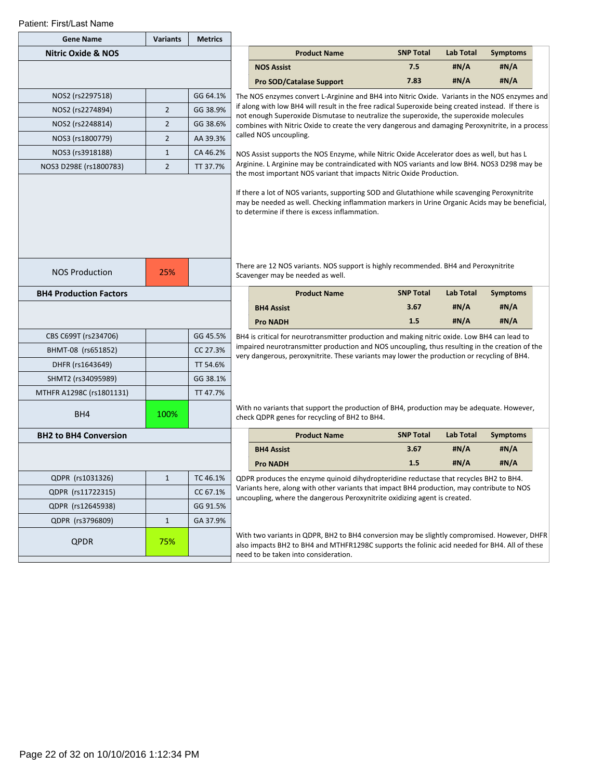| <b>Gene Name</b>              | <b>Variants</b> | <b>Metrics</b> |                                                                                                                                                                                                                                      |                                                                                                                                                                                                                                                                            |                  |                  |                         |  |  |  |
|-------------------------------|-----------------|----------------|--------------------------------------------------------------------------------------------------------------------------------------------------------------------------------------------------------------------------------------|----------------------------------------------------------------------------------------------------------------------------------------------------------------------------------------------------------------------------------------------------------------------------|------------------|------------------|-------------------------|--|--|--|
| <b>Nitric Oxide &amp; NOS</b> |                 |                |                                                                                                                                                                                                                                      | <b>Product Name</b>                                                                                                                                                                                                                                                        | <b>SNP Total</b> | <b>Lab Total</b> | <b>Symptoms</b>         |  |  |  |
|                               |                 |                |                                                                                                                                                                                                                                      | <b>NOS Assist</b>                                                                                                                                                                                                                                                          | 7.5              | #N/A             | #N/A                    |  |  |  |
|                               |                 |                |                                                                                                                                                                                                                                      | <b>Pro SOD/Catalase Support</b>                                                                                                                                                                                                                                            | 7.83             | #N/A             | #N/A                    |  |  |  |
| NOS2 (rs2297518)              |                 | GG 64.1%       |                                                                                                                                                                                                                                      | The NOS enzymes convert L-Arginine and BH4 into Nitric Oxide. Variants in the NOS enzymes and                                                                                                                                                                              |                  |                  |                         |  |  |  |
| NOS2 (rs2274894)              | $\overline{2}$  | GG 38.9%       |                                                                                                                                                                                                                                      | if along with low BH4 will result in the free radical Superoxide being created instead. If there is<br>not enough Superoxide Dismutase to neutralize the superoxide, the superoxide molecules                                                                              |                  |                  |                         |  |  |  |
| NOS2 (rs2248814)              | $\overline{2}$  | GG 38.6%       |                                                                                                                                                                                                                                      | combines with Nitric Oxide to create the very dangerous and damaging Peroxynitrite, in a process                                                                                                                                                                           |                  |                  |                         |  |  |  |
| NOS3 (rs1800779)              | $\overline{2}$  | AA 39.3%       |                                                                                                                                                                                                                                      | called NOS uncoupling.                                                                                                                                                                                                                                                     |                  |                  |                         |  |  |  |
| NOS3 (rs3918188)              | $\mathbf{1}$    | CA 46.2%       |                                                                                                                                                                                                                                      | NOS Assist supports the NOS Enzyme, while Nitric Oxide Accelerator does as well, but has L                                                                                                                                                                                 |                  |                  |                         |  |  |  |
| NOS3 D298E (rs1800783)        | $\overline{2}$  | TT 37.7%       |                                                                                                                                                                                                                                      | Arginine. L Arginine may be contraindicated with NOS variants and low BH4. NOS3 D298 may be<br>the most important NOS variant that impacts Nitric Oxide Production.                                                                                                        |                  |                  |                         |  |  |  |
| <b>NOS Production</b>         | 25%             |                |                                                                                                                                                                                                                                      | may be needed as well. Checking inflammation markers in Urine Organic Acids may be beneficial,<br>to determine if there is excess inflammation.<br>There are 12 NOS variants. NOS support is highly recommended. BH4 and Peroxynitrite<br>Scavenger may be needed as well. |                  |                  |                         |  |  |  |
|                               |                 |                |                                                                                                                                                                                                                                      |                                                                                                                                                                                                                                                                            | <b>SNP Total</b> | <b>Lab Total</b> |                         |  |  |  |
| <b>BH4 Production Factors</b> |                 |                |                                                                                                                                                                                                                                      | <b>Product Name</b>                                                                                                                                                                                                                                                        | 3.67             | #N/A             | <b>Symptoms</b><br>#N/A |  |  |  |
|                               |                 |                |                                                                                                                                                                                                                                      | <b>BH4 Assist</b><br><b>Pro NADH</b>                                                                                                                                                                                                                                       | 1.5              | #N/A             | #N/A                    |  |  |  |
| CBS C699T (rs234706)          |                 | GG 45.5%       |                                                                                                                                                                                                                                      | BH4 is critical for neurotransmitter production and making nitric oxide. Low BH4 can lead to                                                                                                                                                                               |                  |                  |                         |  |  |  |
| BHMT-08 (rs651852)            |                 | CC 27.3%       |                                                                                                                                                                                                                                      | impaired neurotransmitter production and NOS uncoupling, thus resulting in the creation of the                                                                                                                                                                             |                  |                  |                         |  |  |  |
| DHFR (rs1643649)              |                 | TT 54.6%       |                                                                                                                                                                                                                                      | very dangerous, peroxynitrite. These variants may lower the production or recycling of BH4.                                                                                                                                                                                |                  |                  |                         |  |  |  |
| SHMT2 (rs34095989)            |                 | GG 38.1%       |                                                                                                                                                                                                                                      |                                                                                                                                                                                                                                                                            |                  |                  |                         |  |  |  |
| MTHFR A1298C (rs1801131)      |                 | TT 47.7%       |                                                                                                                                                                                                                                      |                                                                                                                                                                                                                                                                            |                  |                  |                         |  |  |  |
| BH4                           | 100%            |                |                                                                                                                                                                                                                                      | With no variants that support the production of BH4, production may be adequate. However,<br>check QDPR genes for recycling of BH2 to BH4.                                                                                                                                 |                  |                  |                         |  |  |  |
| <b>BH2 to BH4 Conversion</b>  |                 |                |                                                                                                                                                                                                                                      | <b>Product Name</b>                                                                                                                                                                                                                                                        | <b>SNP Total</b> | <b>Lab Total</b> | <b>Symptoms</b>         |  |  |  |
|                               |                 |                |                                                                                                                                                                                                                                      | <b>BH4 Assist</b>                                                                                                                                                                                                                                                          | 3.67             | #N/A             | #N/A                    |  |  |  |
|                               |                 |                |                                                                                                                                                                                                                                      | <b>Pro NADH</b>                                                                                                                                                                                                                                                            | 1.5              | #N/A             | #N/A                    |  |  |  |
| QDPR (rs1031326)              | $\mathbf{1}$    | TC 46.1%       |                                                                                                                                                                                                                                      | QDPR produces the enzyme quinoid dihydropteridine reductase that recycles BH2 to BH4.                                                                                                                                                                                      |                  |                  |                         |  |  |  |
| QDPR (rs11722315)             |                 | CC 67.1%       |                                                                                                                                                                                                                                      | Variants here, along with other variants that impact BH4 production, may contribute to NOS<br>uncoupling, where the dangerous Peroxynitrite oxidizing agent is created.                                                                                                    |                  |                  |                         |  |  |  |
| QDPR (rs12645938)             |                 | GG 91.5%       |                                                                                                                                                                                                                                      |                                                                                                                                                                                                                                                                            |                  |                  |                         |  |  |  |
| QDPR (rs3796809)              | $\mathbf{1}$    | GA 37.9%       |                                                                                                                                                                                                                                      |                                                                                                                                                                                                                                                                            |                  |                  |                         |  |  |  |
| <b>QPDR</b>                   | 75%             |                | With two variants in QDPR, BH2 to BH4 conversion may be slightly compromised. However, DHFR<br>also impacts BH2 to BH4 and MTHFR1298C supports the folinic acid needed for BH4. All of these<br>need to be taken into consideration. |                                                                                                                                                                                                                                                                            |                  |                  |                         |  |  |  |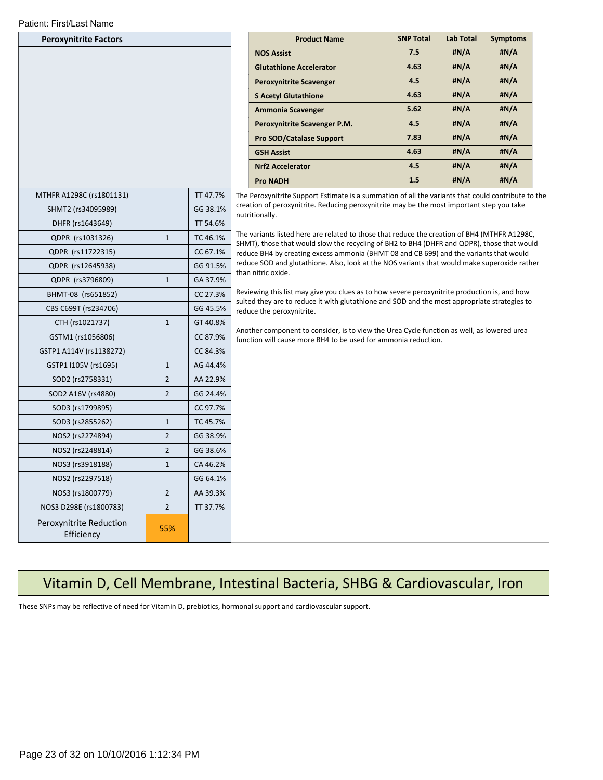| <b>Peroxynitrite Factors</b>          |                |          |                          |
|---------------------------------------|----------------|----------|--------------------------|
|                                       |                |          | NO:                      |
|                                       |                |          | Glu                      |
|                                       |                |          | Per                      |
|                                       |                |          | S A                      |
|                                       |                |          | Am                       |
|                                       |                |          | Per                      |
|                                       |                |          | Pro                      |
|                                       |                |          | GSI                      |
|                                       |                |          | Nrf.                     |
|                                       |                |          | Pro                      |
| MTHFR A1298C (rs1801131)              |                | TT 47.7% | The Perox                |
| SHMT2 (rs34095989)                    |                | GG 38.1% | creation c<br>nutritiona |
| DHFR (rs1643649)                      |                | TT 54.6% |                          |
| QDPR (rs1031326)                      | $\mathbf{1}$   | TC 46.1% | The variar               |
| QDPR (rs11722315)                     |                | CC 67.1% | SHMT), th<br>reduce BI   |
| QDPR (rs12645938)                     |                | GG 91.5% | reduce SC                |
| QDPR (rs3796809)                      | $\mathbf{1}$   | GA 37.9% | than nitrio              |
| BHMT-08 (rs651852)                    |                | CC 27.3% | Reviewing                |
| CBS C699T (rs234706)                  |                | GG 45.5% | suited the<br>reduce th  |
| CTH (rs1021737)                       | $\mathbf{1}$   | GT 40.8% |                          |
| GSTM1 (rs1056806)                     |                | CC 87.9% | Another c<br>function v  |
| GSTP1 A114V (rs1138272)               |                | CC 84.3% |                          |
| GSTP1 I105V (rs1695)                  | $\mathbf{1}$   | AG 44.4% |                          |
| SOD2 (rs2758331)                      | $\overline{2}$ | AA 22.9% |                          |
| SOD2 A16V (rs4880)                    | $\overline{2}$ | GG 24.4% |                          |
| SOD3 (rs1799895)                      |                | CC 97.7% |                          |
| SOD3 (rs2855262)                      | 1              | TC 45.7% |                          |
| NOS2 (rs2274894)                      | 2              | GG 38.9% |                          |
| NOS2 (rs2248814)                      | $\overline{2}$ | GG 38.6% |                          |
| NOS3 (rs3918188)                      | $\mathbf{1}$   | CA 46.2% |                          |
| NOS2 (rs2297518)                      |                | GG 64.1% |                          |
| NOS3 (rs1800779)                      | $\overline{2}$ | AA 39.3% |                          |
| NOS3 D298E (rs1800783)                | 2              | TT 37.7% |                          |
| Peroxynitrite Reduction<br>Efficiency | 55%            |          |                          |

| <b>Peroxynitrite Factors</b> | <b>Product Name</b>             | <b>SNP Total</b> | <b>Lab Total</b> | <b>Symptoms</b> |
|------------------------------|---------------------------------|------------------|------------------|-----------------|
|                              | <b>NOS Assist</b>               | 7.5              | #N/A             | #N/A            |
|                              | <b>Glutathione Accelerator</b>  | 4.63             | #N/A             | #N/A            |
|                              | <b>Peroxynitrite Scavenger</b>  | 4.5              | #N/A             | #N/A            |
|                              | <b>S Acetyl Glutathione</b>     | 4.63             | #N/A             | #N/A            |
|                              | <b>Ammonia Scavenger</b>        | 5.62             | #N/A             | #N/A            |
|                              | Peroxynitrite Scavenger P.M.    | 4.5              | #N/A             | #N/A            |
|                              | <b>Pro SOD/Catalase Support</b> | 7.83             | #N/A             | #N/A            |
|                              | <b>GSH Assist</b>               | 4.63             | #N/A             | #N/A            |
|                              | <b>Nrf2 Accelerator</b>         | 4.5              | #N/A             | #N/A            |
|                              | <b>Pro NADH</b>                 | 1.5              | #N/A             | #N/A            |

cynitrite Support Estimate is a summation of all the variants that could contribute to the of peroxynitrite. Reducing peroxynitrite may be the most important step you take ally.

nts listed here are related to those that reduce the creation of BH4 (MTHFR A1298C, iose that would slow the recycling of BH2 to BH4 (DHFR and QDPR), those that would 14 by creating excess ammonia (BHMT 08 and CB 699) and the variants that would DD and glutathione. Also, look at the NOS variants that would make superoxide rather c oxide.

g this list may give you clues as to how severe peroxynitrite production is, and how ey are to reduce it with glutathione and SOD and the most appropriate strategies to e peroxynitrite.

component to consider, is to view the Urea Cycle function as well, as lowered urea will cause more BH4 to be used for ammonia reduction.

### Vitamin D, Cell Membrane, Intestinal Bacteria, SHBG & Cardiovascular, Iron

These SNPs may be reflective of need for Vitamin D, prebiotics, hormonal support and cardiovascular support.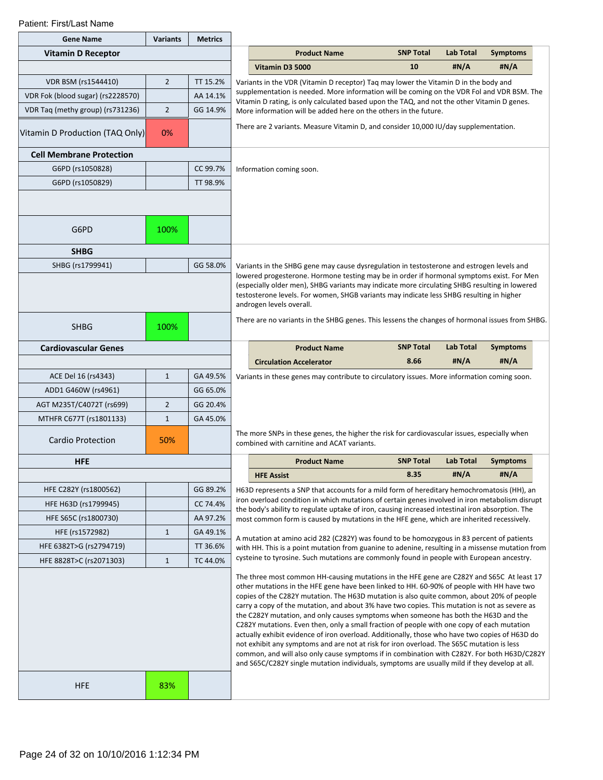| <b>Gene Name</b>                  | <b>Variants</b> | <b>Metrics</b> |                                                                                                                                                                                                                                                                                                                                                                                                                                                                                                                                                                                                                                                                                                                                                                                                                                                                                                                                                                          |                                                                                                                                                                                               |                  |                  |                 |  |
|-----------------------------------|-----------------|----------------|--------------------------------------------------------------------------------------------------------------------------------------------------------------------------------------------------------------------------------------------------------------------------------------------------------------------------------------------------------------------------------------------------------------------------------------------------------------------------------------------------------------------------------------------------------------------------------------------------------------------------------------------------------------------------------------------------------------------------------------------------------------------------------------------------------------------------------------------------------------------------------------------------------------------------------------------------------------------------|-----------------------------------------------------------------------------------------------------------------------------------------------------------------------------------------------|------------------|------------------|-----------------|--|
| <b>Vitamin D Receptor</b>         |                 |                |                                                                                                                                                                                                                                                                                                                                                                                                                                                                                                                                                                                                                                                                                                                                                                                                                                                                                                                                                                          | <b>Product Name</b>                                                                                                                                                                           | <b>SNP Total</b> | <b>Lab Total</b> | <b>Symptoms</b> |  |
|                                   |                 |                |                                                                                                                                                                                                                                                                                                                                                                                                                                                                                                                                                                                                                                                                                                                                                                                                                                                                                                                                                                          | Vitamin D3 5000                                                                                                                                                                               | 10               | #N/A             | #N/A            |  |
| <b>VDR BSM (rs1544410)</b>        | $\overline{2}$  | TT 15.2%       |                                                                                                                                                                                                                                                                                                                                                                                                                                                                                                                                                                                                                                                                                                                                                                                                                                                                                                                                                                          | Variants in the VDR (Vitamin D receptor) Tag may lower the Vitamin D in the body and                                                                                                          |                  |                  |                 |  |
| VDR Fok (blood sugar) (rs2228570) |                 | AA 14.1%       |                                                                                                                                                                                                                                                                                                                                                                                                                                                                                                                                                                                                                                                                                                                                                                                                                                                                                                                                                                          | supplementation is needed. More information will be coming on the VDR Fol and VDR BSM. The<br>Vitamin D rating, is only calculated based upon the TAQ, and not the other Vitamin D genes.     |                  |                  |                 |  |
| VDR Tag (methy group) (rs731236)  | $\overline{2}$  | GG 14.9%       |                                                                                                                                                                                                                                                                                                                                                                                                                                                                                                                                                                                                                                                                                                                                                                                                                                                                                                                                                                          | More information will be added here on the others in the future.                                                                                                                              |                  |                  |                 |  |
| Vitamin D Production (TAQ Only)   | 0%              |                |                                                                                                                                                                                                                                                                                                                                                                                                                                                                                                                                                                                                                                                                                                                                                                                                                                                                                                                                                                          | There are 2 variants. Measure Vitamin D, and consider 10,000 IU/day supplementation.                                                                                                          |                  |                  |                 |  |
| <b>Cell Membrane Protection</b>   |                 |                |                                                                                                                                                                                                                                                                                                                                                                                                                                                                                                                                                                                                                                                                                                                                                                                                                                                                                                                                                                          |                                                                                                                                                                                               |                  |                  |                 |  |
| G6PD (rs1050828)                  |                 | CC 99.7%       |                                                                                                                                                                                                                                                                                                                                                                                                                                                                                                                                                                                                                                                                                                                                                                                                                                                                                                                                                                          | Information coming soon.                                                                                                                                                                      |                  |                  |                 |  |
| G6PD (rs1050829)                  |                 | TT 98.9%       |                                                                                                                                                                                                                                                                                                                                                                                                                                                                                                                                                                                                                                                                                                                                                                                                                                                                                                                                                                          |                                                                                                                                                                                               |                  |                  |                 |  |
| G6PD                              | 100%            |                |                                                                                                                                                                                                                                                                                                                                                                                                                                                                                                                                                                                                                                                                                                                                                                                                                                                                                                                                                                          |                                                                                                                                                                                               |                  |                  |                 |  |
| <b>SHBG</b>                       |                 |                |                                                                                                                                                                                                                                                                                                                                                                                                                                                                                                                                                                                                                                                                                                                                                                                                                                                                                                                                                                          |                                                                                                                                                                                               |                  |                  |                 |  |
| SHBG (rs1799941)                  |                 | GG 58.0%       |                                                                                                                                                                                                                                                                                                                                                                                                                                                                                                                                                                                                                                                                                                                                                                                                                                                                                                                                                                          | Variants in the SHBG gene may cause dysregulation in testosterone and estrogen levels and                                                                                                     |                  |                  |                 |  |
|                                   |                 |                | lowered progesterone. Hormone testing may be in order if hormonal symptoms exist. For Men<br>(especially older men), SHBG variants may indicate more circulating SHBG resulting in lowered<br>testosterone levels. For women, SHGB variants may indicate less SHBG resulting in higher<br>androgen levels overall.<br>There are no variants in the SHBG genes. This lessens the changes of hormonal issues from SHBG.                                                                                                                                                                                                                                                                                                                                                                                                                                                                                                                                                    |                                                                                                                                                                                               |                  |                  |                 |  |
| <b>SHBG</b>                       | 100%            |                |                                                                                                                                                                                                                                                                                                                                                                                                                                                                                                                                                                                                                                                                                                                                                                                                                                                                                                                                                                          |                                                                                                                                                                                               |                  |                  |                 |  |
| <b>Cardiovascular Genes</b>       |                 |                |                                                                                                                                                                                                                                                                                                                                                                                                                                                                                                                                                                                                                                                                                                                                                                                                                                                                                                                                                                          | <b>Product Name</b>                                                                                                                                                                           | <b>SNP Total</b> | Lab Total        | <b>Symptoms</b> |  |
|                                   |                 |                |                                                                                                                                                                                                                                                                                                                                                                                                                                                                                                                                                                                                                                                                                                                                                                                                                                                                                                                                                                          | <b>Circulation Accelerator</b>                                                                                                                                                                | 8.66             | #N/A             | #N/A            |  |
| ACE Del 16 (rs4343)               | $\mathbf{1}$    | GA 49.5%       |                                                                                                                                                                                                                                                                                                                                                                                                                                                                                                                                                                                                                                                                                                                                                                                                                                                                                                                                                                          | Variants in these genes may contribute to circulatory issues. More information coming soon.                                                                                                   |                  |                  |                 |  |
| ADD1 G460W (rs4961)               |                 | GG 65.0%       |                                                                                                                                                                                                                                                                                                                                                                                                                                                                                                                                                                                                                                                                                                                                                                                                                                                                                                                                                                          |                                                                                                                                                                                               |                  |                  |                 |  |
| AGT M235T/C4072T (rs699)          | $\overline{2}$  | GG 20.4%       |                                                                                                                                                                                                                                                                                                                                                                                                                                                                                                                                                                                                                                                                                                                                                                                                                                                                                                                                                                          |                                                                                                                                                                                               |                  |                  |                 |  |
| MTHFR C677T (rs1801133)           | $\mathbf{1}$    | GA 45.0%       |                                                                                                                                                                                                                                                                                                                                                                                                                                                                                                                                                                                                                                                                                                                                                                                                                                                                                                                                                                          |                                                                                                                                                                                               |                  |                  |                 |  |
| <b>Cardio Protection</b>          | 50%             |                |                                                                                                                                                                                                                                                                                                                                                                                                                                                                                                                                                                                                                                                                                                                                                                                                                                                                                                                                                                          | The more SNPs in these genes, the higher the risk for cardiovascular issues, especially when<br>combined with carnitine and ACAT variants.                                                    |                  |                  |                 |  |
| <b>HFE</b>                        |                 |                |                                                                                                                                                                                                                                                                                                                                                                                                                                                                                                                                                                                                                                                                                                                                                                                                                                                                                                                                                                          | <b>Product Name</b>                                                                                                                                                                           | <b>SNP Total</b> | <b>Lab Total</b> | <b>Symptoms</b> |  |
|                                   |                 |                |                                                                                                                                                                                                                                                                                                                                                                                                                                                                                                                                                                                                                                                                                                                                                                                                                                                                                                                                                                          | <b>HFE Assist</b>                                                                                                                                                                             | 8.35             | #N/A             | #N/A            |  |
| HFE C282Y (rs1800562)             |                 | GG 89.2%       |                                                                                                                                                                                                                                                                                                                                                                                                                                                                                                                                                                                                                                                                                                                                                                                                                                                                                                                                                                          | H63D represents a SNP that accounts for a mild form of hereditary hemochromatosis (HH), an<br>iron overload condition in which mutations of certain genes involved in iron metabolism disrupt |                  |                  |                 |  |
| HFE H63D (rs1799945)              |                 | CC 74.4%       |                                                                                                                                                                                                                                                                                                                                                                                                                                                                                                                                                                                                                                                                                                                                                                                                                                                                                                                                                                          | the body's ability to regulate uptake of iron, causing increased intestinal iron absorption. The                                                                                              |                  |                  |                 |  |
| HFE S65C (rs1800730)              |                 | AA 97.2%       |                                                                                                                                                                                                                                                                                                                                                                                                                                                                                                                                                                                                                                                                                                                                                                                                                                                                                                                                                                          | most common form is caused by mutations in the HFE gene, which are inherited recessively.                                                                                                     |                  |                  |                 |  |
| HFE (rs1572982)                   | $\mathbf{1}$    | GA 49.1%       |                                                                                                                                                                                                                                                                                                                                                                                                                                                                                                                                                                                                                                                                                                                                                                                                                                                                                                                                                                          | A mutation at amino acid 282 (C282Y) was found to be homozygous in 83 percent of patients                                                                                                     |                  |                  |                 |  |
| HFE 6382T>G (rs2794719)           |                 | TT 36.6%       |                                                                                                                                                                                                                                                                                                                                                                                                                                                                                                                                                                                                                                                                                                                                                                                                                                                                                                                                                                          | with HH. This is a point mutation from guanine to adenine, resulting in a missense mutation from<br>cysteine to tyrosine. Such mutations are commonly found in people with European ancestry. |                  |                  |                 |  |
| HFE 8828T>C (rs2071303)           | $\mathbf{1}$    | TC 44.0%       |                                                                                                                                                                                                                                                                                                                                                                                                                                                                                                                                                                                                                                                                                                                                                                                                                                                                                                                                                                          |                                                                                                                                                                                               |                  |                  |                 |  |
|                                   |                 |                | The three most common HH-causing mutations in the HFE gene are C282Y and S65C At least 17<br>other mutations in the HFE gene have been linked to HH. 60-90% of people with HH have two<br>copies of the C282Y mutation. The H63D mutation is also quite common, about 20% of people<br>carry a copy of the mutation, and about 3% have two copies. This mutation is not as severe as<br>the C282Y mutation, and only causes symptoms when someone has both the H63D and the<br>C282Y mutations. Even then, only a small fraction of people with one copy of each mutation<br>actually exhibit evidence of iron overload. Additionally, those who have two copies of H63D do<br>not exhibit any symptoms and are not at risk for iron overload. The S65C mutation is less<br>common, and will also only cause symptoms if in combination with C282Y. For both H63D/C282Y<br>and S65C/C282Y single mutation individuals, symptoms are usually mild if they develop at all. |                                                                                                                                                                                               |                  |                  |                 |  |
| <b>HFE</b>                        | 83%             |                |                                                                                                                                                                                                                                                                                                                                                                                                                                                                                                                                                                                                                                                                                                                                                                                                                                                                                                                                                                          |                                                                                                                                                                                               |                  |                  |                 |  |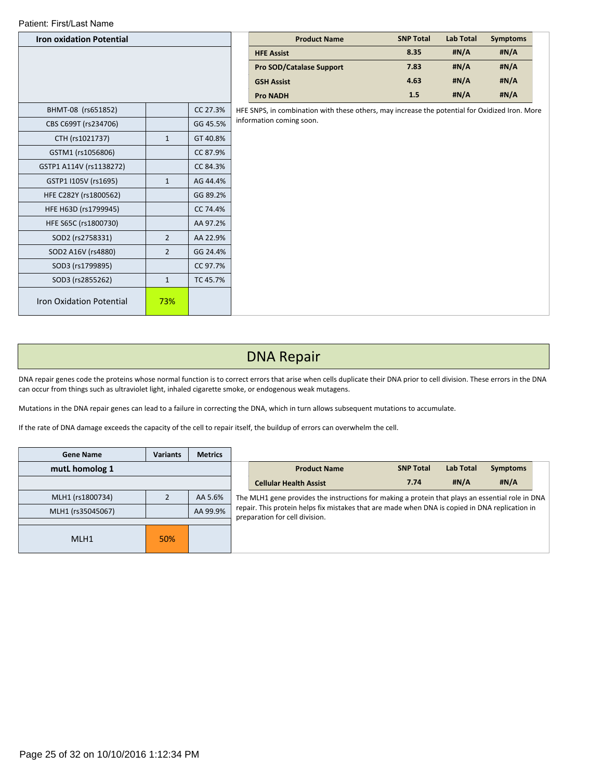| <b>Iron oxidation Potential</b> |                |          | <b>Product Name</b>                                                                            | <b>SNP Total</b> | <b>Lab Total</b> | <b>Symptoms</b> |
|---------------------------------|----------------|----------|------------------------------------------------------------------------------------------------|------------------|------------------|-----------------|
|                                 |                |          | <b>HFE Assist</b>                                                                              | 8.35             | #N/A             | #N/A            |
|                                 |                |          | <b>Pro SOD/Catalase Support</b>                                                                | 7.83             | #N/A             | #N/A            |
|                                 |                |          | <b>GSH Assist</b>                                                                              | 4.63             | #N/A             | #N/A            |
|                                 |                |          | <b>Pro NADH</b>                                                                                | 1.5              | H N/A            | #N/A            |
| BHMT-08 (rs651852)              |                | CC 27.3% | HFE SNPS, in combination with these others, may increase the potential for Oxidized Iron. More |                  |                  |                 |
| CBS C699T (rs234706)            |                | GG 45.5% | information coming soon.                                                                       |                  |                  |                 |
| CTH (rs1021737)                 | $\mathbf{1}$   | GT 40.8% |                                                                                                |                  |                  |                 |
| GSTM1 (rs1056806)               |                | CC 87.9% |                                                                                                |                  |                  |                 |
| GSTP1 A114V (rs1138272)         |                | CC 84.3% |                                                                                                |                  |                  |                 |
| GSTP1 I105V (rs1695)            | $\mathbf{1}$   | AG 44.4% |                                                                                                |                  |                  |                 |
| HFE C282Y (rs1800562)           |                | GG 89.2% |                                                                                                |                  |                  |                 |
| HFE H63D (rs1799945)            |                | CC 74.4% |                                                                                                |                  |                  |                 |
| HFE S65C (rs1800730)            |                | AA 97.2% |                                                                                                |                  |                  |                 |
| SOD2 (rs2758331)                | $\overline{2}$ | AA 22.9% |                                                                                                |                  |                  |                 |
| SOD2 A16V (rs4880)              | $\overline{2}$ | GG 24.4% |                                                                                                |                  |                  |                 |
| SOD3 (rs1799895)                |                | CC 97.7% |                                                                                                |                  |                  |                 |
| SOD3 (rs2855262)                | $\mathbf{1}$   | TC 45.7% |                                                                                                |                  |                  |                 |
| <b>Iron Oxidation Potential</b> | 73%            |          |                                                                                                |                  |                  |                 |

## DNA Repair

DNA repair genes code the proteins whose normal function is to correct errors that arise when cells duplicate their DNA prior to cell division. These errors in the DNA can occur from things such as ultraviolet light, inhaled cigarette smoke, or endogenous weak mutagens.

Mutations in the DNA repair genes can lead to a failure in correcting the DNA, which in turn allows subsequent mutations to accumulate.

If the rate of DNA damage exceeds the capacity of the cell to repair itself, the buildup of errors can overwhelm the cell.

| <b>Gene Name</b>  | <b>Variants</b> | <b>Metrics</b> |                                                                                                                                  |                     |                  |                  |                 |  |  |  |
|-------------------|-----------------|----------------|----------------------------------------------------------------------------------------------------------------------------------|---------------------|------------------|------------------|-----------------|--|--|--|
| mutL homolog 1    |                 |                |                                                                                                                                  | <b>Product Name</b> | <b>SNP Total</b> | <b>Lab Total</b> | <b>Symptoms</b> |  |  |  |
|                   |                 |                | <b>Cellular Health Assist</b>                                                                                                    | 7.74                | H N/A            | H N/A            |                 |  |  |  |
| MLH1 (rs1800734)  |                 | AA 5.6%        | The MLH1 gene provides the instructions for making a protein that plays an essential role in DNA                                 |                     |                  |                  |                 |  |  |  |
| MLH1 (rs35045067) |                 | AA 99.9%       | repair. This protein helps fix mistakes that are made when DNA is copied in DNA replication in<br>preparation for cell division. |                     |                  |                  |                 |  |  |  |
|                   |                 |                |                                                                                                                                  |                     |                  |                  |                 |  |  |  |
| MLH1              | 50%             |                |                                                                                                                                  |                     |                  |                  |                 |  |  |  |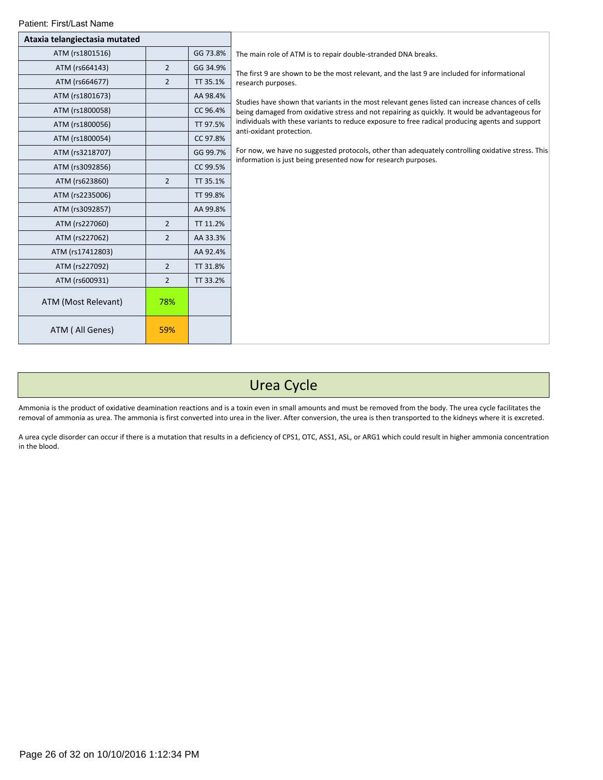| Patient: First/Last Name      |                |          |                                                                                                                             |
|-------------------------------|----------------|----------|-----------------------------------------------------------------------------------------------------------------------------|
| Ataxia telangiectasia mutated |                |          |                                                                                                                             |
| ATM (rs1801516)               |                | GG 73.8% | The main role of ATM is to repair double-stranded DNA breaks.                                                               |
| ATM (rs664143)                | $\overline{2}$ | GG 34.9% | The first 9 are shown to be the most relevant, and the last 9 are included for informational                                |
| ATM (rs664677)                | $\overline{2}$ | TT 35.1% | research purposes.                                                                                                          |
| ATM (rs1801673)               |                | AA 98.4% | Studies have shown that variants in the most relevant genes listed can increase chances of cells                            |
| ATM (rs1800058)               |                | CC 96.4% | being damaged from oxidative stress and not repairing as quickly. It would be advantageous for                              |
| ATM (rs1800056)               |                | TT 97.5% | individuals with these variants to reduce exposure to free radical producing agents and support<br>anti-oxidant protection. |
| ATM (rs1800054)               |                | CC 97.8% |                                                                                                                             |
| ATM (rs3218707)               |                | GG 99.7% | For now, we have no suggested protocols, other than adequately controlling oxidative stress. This                           |
| ATM (rs3092856)               |                | CC 99.5% | information is just being presented now for research purposes.                                                              |
| ATM (rs623860)                | $\overline{2}$ | TT 35.1% |                                                                                                                             |
| ATM (rs2235006)               |                | TT 99.8% |                                                                                                                             |
| ATM (rs3092857)               |                | AA 99.8% |                                                                                                                             |
| ATM (rs227060)                | $\overline{2}$ | TT 11.2% |                                                                                                                             |
| ATM (rs227062)                | $\overline{2}$ | AA 33.3% |                                                                                                                             |
| ATM (rs17412803)              |                | AA 92.4% |                                                                                                                             |
| ATM (rs227092)                | $\overline{2}$ | TT 31.8% |                                                                                                                             |
| ATM (rs600931)                | $\overline{2}$ | TT 33.2% |                                                                                                                             |
| ATM (Most Relevant)           | 78%            |          |                                                                                                                             |
| ATM (All Genes)               | 59%            |          |                                                                                                                             |

# Urea Cycle

Ammonia is the product of oxidative deamination reactions and is a toxin even in small amounts and must be removed from the body. The urea cycle facilitates the removal of ammonia as urea. The ammonia is first converted into urea in the liver. After conversion, the urea is then transported to the kidneys where it is excreted.

A urea cycle disorder can occur if there is a mutation that results in a deficiency of CPS1, OTC, ASS1, ASL, or ARG1 which could result in higher ammonia concentration in the blood.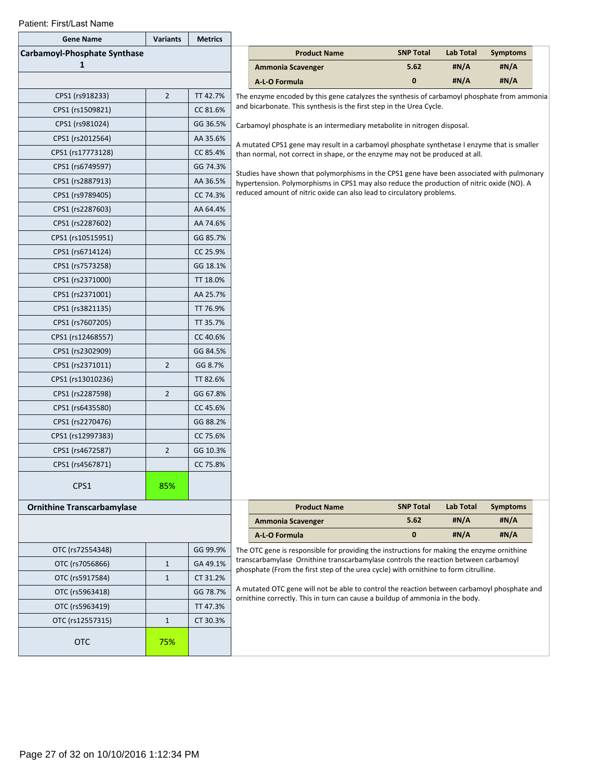| <b>Gene Name</b>                  | <b>Variants</b> | <b>Metrics</b> |                                                                                                                                                                             |                                                                                                                                                                              |                  |                  |                 |  |  |  |
|-----------------------------------|-----------------|----------------|-----------------------------------------------------------------------------------------------------------------------------------------------------------------------------|------------------------------------------------------------------------------------------------------------------------------------------------------------------------------|------------------|------------------|-----------------|--|--|--|
| Carbamoyl-Phosphate Synthase      |                 |                |                                                                                                                                                                             | <b>Product Name</b>                                                                                                                                                          | <b>SNP Total</b> | <b>Lab Total</b> | <b>Symptoms</b> |  |  |  |
| 1                                 |                 |                |                                                                                                                                                                             | <b>Ammonia Scavenger</b>                                                                                                                                                     | 5.62             | #N/A             | #N/A            |  |  |  |
|                                   |                 |                |                                                                                                                                                                             | A-L-O Formula                                                                                                                                                                | $\mathbf 0$      | #N/A             | #N/A            |  |  |  |
| CPS1 (rs918233)                   | $\overline{2}$  | TT 42.7%       |                                                                                                                                                                             | The enzyme encoded by this gene catalyzes the synthesis of carbamoyl phosphate from ammonia                                                                                  |                  |                  |                 |  |  |  |
| CPS1 (rs1509821)                  |                 | CC 81.6%       | and bicarbonate. This synthesis is the first step in the Urea Cycle.                                                                                                        |                                                                                                                                                                              |                  |                  |                 |  |  |  |
| CPS1 (rs981024)                   |                 | GG 36.5%       |                                                                                                                                                                             | Carbamoyl phosphate is an intermediary metabolite in nitrogen disposal.                                                                                                      |                  |                  |                 |  |  |  |
| CPS1 (rs2012564)                  |                 | AA 35.6%       | A mutated CPS1 gene may result in a carbamoyl phosphate synthetase I enzyme that is smaller<br>than normal, not correct in shape, or the enzyme may not be produced at all. |                                                                                                                                                                              |                  |                  |                 |  |  |  |
| CPS1 (rs17773128)                 |                 | CC 85.4%       |                                                                                                                                                                             |                                                                                                                                                                              |                  |                  |                 |  |  |  |
| CPS1 (rs6749597)                  |                 | GG 74.3%       |                                                                                                                                                                             | Studies have shown that polymorphisms in the CPS1 gene have been associated with pulmonary                                                                                   |                  |                  |                 |  |  |  |
| CPS1 (rs2887913)                  |                 | AA 36.5%       |                                                                                                                                                                             | hypertension. Polymorphisms in CPS1 may also reduce the production of nitric oxide (NO). A                                                                                   |                  |                  |                 |  |  |  |
| CPS1 (rs9789405)                  |                 | CC 74.3%       |                                                                                                                                                                             | reduced amount of nitric oxide can also lead to circulatory problems.                                                                                                        |                  |                  |                 |  |  |  |
| CPS1 (rs2287603)                  |                 | AA 64.4%       |                                                                                                                                                                             |                                                                                                                                                                              |                  |                  |                 |  |  |  |
| CPS1 (rs2287602)                  |                 | AA 74.6%       |                                                                                                                                                                             |                                                                                                                                                                              |                  |                  |                 |  |  |  |
| CPS1 (rs10515951)                 |                 | GG 85.7%       |                                                                                                                                                                             |                                                                                                                                                                              |                  |                  |                 |  |  |  |
| CPS1 (rs6714124)                  |                 | CC 25.9%       |                                                                                                                                                                             |                                                                                                                                                                              |                  |                  |                 |  |  |  |
| CPS1 (rs7573258)                  |                 | GG 18.1%       |                                                                                                                                                                             |                                                                                                                                                                              |                  |                  |                 |  |  |  |
| CPS1 (rs2371000)                  |                 | TT 18.0%       |                                                                                                                                                                             |                                                                                                                                                                              |                  |                  |                 |  |  |  |
| CPS1 (rs2371001)                  |                 | AA 25.7%       |                                                                                                                                                                             |                                                                                                                                                                              |                  |                  |                 |  |  |  |
| CPS1 (rs3821135)                  |                 | TT 76.9%       |                                                                                                                                                                             |                                                                                                                                                                              |                  |                  |                 |  |  |  |
| CPS1 (rs7607205)                  |                 | TT 35.7%       |                                                                                                                                                                             |                                                                                                                                                                              |                  |                  |                 |  |  |  |
| CPS1 (rs12468557)                 |                 | CC 40.6%       |                                                                                                                                                                             |                                                                                                                                                                              |                  |                  |                 |  |  |  |
| CPS1 (rs2302909)                  |                 | GG 84.5%       |                                                                                                                                                                             |                                                                                                                                                                              |                  |                  |                 |  |  |  |
| CPS1 (rs2371011)                  | $\overline{2}$  | GG 8.7%        |                                                                                                                                                                             |                                                                                                                                                                              |                  |                  |                 |  |  |  |
| CPS1 (rs13010236)                 |                 | TT 82.6%       |                                                                                                                                                                             |                                                                                                                                                                              |                  |                  |                 |  |  |  |
| CPS1 (rs2287598)                  | $\overline{2}$  | GG 67.8%       |                                                                                                                                                                             |                                                                                                                                                                              |                  |                  |                 |  |  |  |
| CPS1 (rs6435580)                  |                 | CC 45.6%       |                                                                                                                                                                             |                                                                                                                                                                              |                  |                  |                 |  |  |  |
| CPS1 (rs2270476)                  |                 | GG 88.2%       |                                                                                                                                                                             |                                                                                                                                                                              |                  |                  |                 |  |  |  |
| CPS1 (rs12997383)                 |                 | CC 75.6%       |                                                                                                                                                                             |                                                                                                                                                                              |                  |                  |                 |  |  |  |
| CPS1 (rs4672587)                  | $\overline{2}$  | GG 10.3%       |                                                                                                                                                                             |                                                                                                                                                                              |                  |                  |                 |  |  |  |
| CPS1 (rs4567871)                  |                 | CC 75.8%       |                                                                                                                                                                             |                                                                                                                                                                              |                  |                  |                 |  |  |  |
| CPS1                              | 85%             |                |                                                                                                                                                                             |                                                                                                                                                                              |                  |                  |                 |  |  |  |
| <b>Ornithine Transcarbamylase</b> |                 |                |                                                                                                                                                                             | <b>Product Name</b>                                                                                                                                                          | <b>SNP Total</b> | <b>Lab Total</b> | <b>Symptoms</b> |  |  |  |
|                                   |                 |                |                                                                                                                                                                             | <b>Ammonia Scavenger</b>                                                                                                                                                     | 5.62             | #N/A             | #N/A            |  |  |  |
|                                   |                 |                |                                                                                                                                                                             | A-L-O Formula                                                                                                                                                                | $\bf{0}$         | #N/A             | #N/A            |  |  |  |
| OTC (rs72554348)                  |                 | GG 99.9%       |                                                                                                                                                                             | The OTC gene is responsible for providing the instructions for making the enzyme ornithine                                                                                   |                  |                  |                 |  |  |  |
| OTC (rs7056866)                   | $\mathbf{1}$    | GA 49.1%       |                                                                                                                                                                             | transcarbamylase Ornithine transcarbamylase controls the reaction between carbamoyl<br>phosphate (From the first step of the urea cycle) with ornithine to form citrulline.  |                  |                  |                 |  |  |  |
| OTC (rs5917584)                   | $\mathbf{1}$    | CT 31.2%       |                                                                                                                                                                             |                                                                                                                                                                              |                  |                  |                 |  |  |  |
| OTC (rs5963418)                   |                 | GG 78.7%       |                                                                                                                                                                             | A mutated OTC gene will not be able to control the reaction between carbamoyl phosphate and<br>ornithine correctly. This in turn can cause a buildup of ammonia in the body. |                  |                  |                 |  |  |  |
| OTC (rs5963419)                   |                 | TT 47.3%       |                                                                                                                                                                             |                                                                                                                                                                              |                  |                  |                 |  |  |  |
| OTC (rs12557315)                  | $\mathbf{1}$    | CT 30.3%       |                                                                                                                                                                             |                                                                                                                                                                              |                  |                  |                 |  |  |  |
| <b>OTC</b>                        | 75%             |                |                                                                                                                                                                             |                                                                                                                                                                              |                  |                  |                 |  |  |  |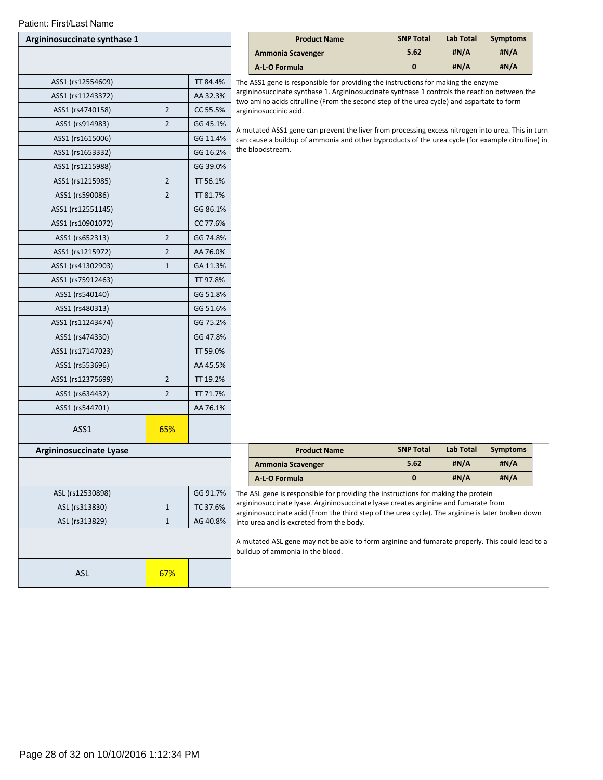| Patient: First/Last Name     |                |          |                                                                                                                                                                                   |                  |           |                 |
|------------------------------|----------------|----------|-----------------------------------------------------------------------------------------------------------------------------------------------------------------------------------|------------------|-----------|-----------------|
| Argininosuccinate synthase 1 |                |          | <b>Product Name</b>                                                                                                                                                               | <b>SNP Total</b> | Lab Total | <b>Symptoms</b> |
|                              |                |          | <b>Ammonia Scavenger</b>                                                                                                                                                          | 5.62             | #N/A      | #N/A            |
|                              |                |          | A-L-O Formula                                                                                                                                                                     | 0                | #N/A      | #N/A            |
| ASS1 (rs12554609)            |                | TT 84.4% | The ASS1 gene is responsible for providing the instructions for making the enzyme<br>argininosuccinate synthase 1. Argininosuccinate synthase 1 controls the reaction between the |                  |           |                 |
| ASS1 (rs11243372)            |                | AA 32.3% | two amino acids citrulline (From the second step of the urea cycle) and aspartate to form                                                                                         |                  |           |                 |
| ASS1 (rs4740158)             | $\overline{2}$ | CC 55.5% | argininosuccinic acid.                                                                                                                                                            |                  |           |                 |
| ASS1 (rs914983)              | $\overline{2}$ | GG 45.1% | A mutated ASS1 gene can prevent the liver from processing excess nitrogen into urea. This in turn                                                                                 |                  |           |                 |
| ASS1 (rs1615006)             |                | GG 11.4% | can cause a buildup of ammonia and other byproducts of the urea cycle (for example citrulline) in                                                                                 |                  |           |                 |
| ASS1 (rs1653332)             |                | GG 16.2% | the bloodstream.                                                                                                                                                                  |                  |           |                 |
| ASS1 (rs1215988)             |                | GG 39.0% |                                                                                                                                                                                   |                  |           |                 |
| ASS1 (rs1215985)             | $\overline{2}$ | TT 56.1% |                                                                                                                                                                                   |                  |           |                 |
| ASS1 (rs590086)              | $\overline{2}$ | TT 81.7% |                                                                                                                                                                                   |                  |           |                 |
| ASS1 (rs12551145)            |                | GG 86.1% |                                                                                                                                                                                   |                  |           |                 |
| ASS1 (rs10901072)            |                | CC 77.6% |                                                                                                                                                                                   |                  |           |                 |
| ASS1 (rs652313)              | $\overline{2}$ | GG 74.8% |                                                                                                                                                                                   |                  |           |                 |
| ASS1 (rs1215972)             | $\overline{2}$ | AA 76.0% |                                                                                                                                                                                   |                  |           |                 |
| ASS1 (rs41302903)            | $\mathbf{1}$   | GA 11.3% |                                                                                                                                                                                   |                  |           |                 |
| ASS1 (rs75912463)            |                | TT 97.8% |                                                                                                                                                                                   |                  |           |                 |
| ASS1 (rs540140)              |                | GG 51.8% |                                                                                                                                                                                   |                  |           |                 |
| ASS1 (rs480313)              |                | GG 51.6% |                                                                                                                                                                                   |                  |           |                 |
| ASS1 (rs11243474)            |                | GG 75.2% |                                                                                                                                                                                   |                  |           |                 |
| ASS1 (rs474330)              |                | GG 47.8% |                                                                                                                                                                                   |                  |           |                 |
| ASS1 (rs17147023)            |                | TT 59.0% |                                                                                                                                                                                   |                  |           |                 |
| ASS1 (rs553696)              |                | AA 45.5% |                                                                                                                                                                                   |                  |           |                 |
| ASS1 (rs12375699)            | $\overline{2}$ | TT 19.2% |                                                                                                                                                                                   |                  |           |                 |
| ASS1 (rs634432)              | $\overline{2}$ | TT 71.7% |                                                                                                                                                                                   |                  |           |                 |
| ASS1 (rs544701)              |                | AA 76.1% |                                                                                                                                                                                   |                  |           |                 |
|                              |                |          |                                                                                                                                                                                   |                  |           |                 |
| ASS1                         | 65%            |          |                                                                                                                                                                                   |                  |           |                 |
| Argininosuccinate Lyase      |                |          | <b>Product Name</b>                                                                                                                                                               | <b>SNP Total</b> | Lab Total | <b>Symptoms</b> |
|                              |                |          | <b>Ammonia Scavenger</b>                                                                                                                                                          | 5.62             | #N/A      | #N/A            |
|                              |                |          | A-L-O Formula                                                                                                                                                                     | 0                | #N/A      | #N/A            |
| ASL (rs12530898)             |                | GG 91.7% | The ASL gene is responsible for providing the instructions for making the protein                                                                                                 |                  |           |                 |
| ASL (rs313830)               | $\mathbf{1}$   | TC 37.6% | argininosuccinate lyase. Argininosuccinate lyase creates arginine and fumarate from                                                                                               |                  |           |                 |
| ASL (rs313829)               | $\mathbf{1}$   | AG 40.8% | argininosuccinate acid (From the third step of the urea cycle). The arginine is later broken down<br>into urea and is excreted from the body.                                     |                  |           |                 |
|                              |                |          |                                                                                                                                                                                   |                  |           |                 |
|                              |                |          | A mutated ASL gene may not be able to form arginine and fumarate properly. This could lead to a<br>buildup of ammonia in the blood.                                               |                  |           |                 |
|                              |                |          |                                                                                                                                                                                   |                  |           |                 |
| ASL                          | 67%            |          |                                                                                                                                                                                   |                  |           |                 |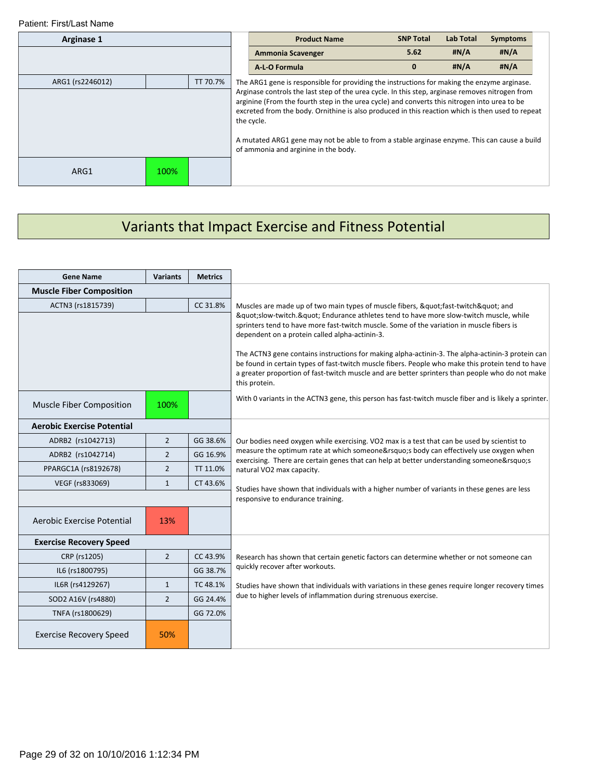| Arginase 1       |      |          |  | <b>Product Name</b>                                                                                                                                                                                                                                                                                               | <b>SNP Total</b> | <b>Lab Total</b> | <b>Symptoms</b> |  |
|------------------|------|----------|--|-------------------------------------------------------------------------------------------------------------------------------------------------------------------------------------------------------------------------------------------------------------------------------------------------------------------|------------------|------------------|-----------------|--|
|                  |      |          |  | Ammonia Scavenger                                                                                                                                                                                                                                                                                                 | 5.62             | #N/A             | #N/A            |  |
|                  |      |          |  | A-L-O Formula                                                                                                                                                                                                                                                                                                     | 0                | #N/A             | #N/A            |  |
| ARG1 (rs2246012) |      | TT 70.7% |  | The ARG1 gene is responsible for providing the instructions for making the enzyme arginase.                                                                                                                                                                                                                       |                  |                  |                 |  |
|                  |      |          |  | Arginase controls the last step of the urea cycle. In this step, arginase removes nitrogen from<br>arginine (From the fourth step in the urea cycle) and converts this nitrogen into urea to be<br>excreted from the body. Ornithine is also produced in this reaction which is then used to repeat<br>the cycle. |                  |                  |                 |  |
|                  |      |          |  | A mutated ARG1 gene may not be able to from a stable arginase enzyme. This can cause a build<br>of ammonia and arginine in the body.                                                                                                                                                                              |                  |                  |                 |  |
| ARG1             | 100% |          |  |                                                                                                                                                                                                                                                                                                                   |                  |                  |                 |  |

# Variants that Impact Exercise and Fitness Potential

| <b>Gene Name</b>                  | <b>Variants</b> | <b>Metrics</b> |                                                                                                                                                                                                                                                                                                                                                                                                                                                                                                                                                                                                                                        |
|-----------------------------------|-----------------|----------------|----------------------------------------------------------------------------------------------------------------------------------------------------------------------------------------------------------------------------------------------------------------------------------------------------------------------------------------------------------------------------------------------------------------------------------------------------------------------------------------------------------------------------------------------------------------------------------------------------------------------------------------|
| <b>Muscle Fiber Composition</b>   |                 |                |                                                                                                                                                                                                                                                                                                                                                                                                                                                                                                                                                                                                                                        |
| ACTN3 (rs1815739)                 |                 | CC 31.8%       | Muscles are made up of two main types of muscle fibers, "fast-twitch" and<br>"slow-twitch." Endurance athletes tend to have more slow-twitch muscle, while<br>sprinters tend to have more fast-twitch muscle. Some of the variation in muscle fibers is<br>dependent on a protein called alpha-actinin-3.<br>The ACTN3 gene contains instructions for making alpha-actinin-3. The alpha-actinin-3 protein can<br>be found in certain types of fast-twitch muscle fibers. People who make this protein tend to have<br>a greater proportion of fast-twitch muscle and are better sprinters than people who do not make<br>this protein. |
| Muscle Fiber Composition          | 100%            |                | With 0 variants in the ACTN3 gene, this person has fast-twitch muscle fiber and is likely a sprinter.                                                                                                                                                                                                                                                                                                                                                                                                                                                                                                                                  |
| <b>Aerobic Exercise Potential</b> |                 |                |                                                                                                                                                                                                                                                                                                                                                                                                                                                                                                                                                                                                                                        |
| ADRB2 (rs1042713)                 | $\overline{2}$  | GG 38.6%       | Our bodies need oxygen while exercising. VO2 max is a test that can be used by scientist to                                                                                                                                                                                                                                                                                                                                                                                                                                                                                                                                            |
| ADRB2 (rs1042714)                 | $\overline{2}$  | GG 16.9%       | measure the optimum rate at which someone's body can effectively use oxygen when<br>exercising. There are certain genes that can help at better understanding someone's                                                                                                                                                                                                                                                                                                                                                                                                                                                                |
| PPARGC1A (rs8192678)              | $\overline{2}$  | TT 11.0%       | natural VO2 max capacity.                                                                                                                                                                                                                                                                                                                                                                                                                                                                                                                                                                                                              |
| VEGF (rs833069)                   | $\mathbf{1}$    | CT 43.6%       | Studies have shown that individuals with a higher number of variants in these genes are less                                                                                                                                                                                                                                                                                                                                                                                                                                                                                                                                           |
|                                   |                 |                | responsive to endurance training.                                                                                                                                                                                                                                                                                                                                                                                                                                                                                                                                                                                                      |
| Aerobic Exercise Potential        | 13%             |                |                                                                                                                                                                                                                                                                                                                                                                                                                                                                                                                                                                                                                                        |
| <b>Exercise Recovery Speed</b>    |                 |                |                                                                                                                                                                                                                                                                                                                                                                                                                                                                                                                                                                                                                                        |
| CRP (rs1205)                      | $\overline{2}$  | CC 43.9%       | Research has shown that certain genetic factors can determine whether or not someone can                                                                                                                                                                                                                                                                                                                                                                                                                                                                                                                                               |
| IL6 (rs1800795)                   |                 | GG 38.7%       | quickly recover after workouts.                                                                                                                                                                                                                                                                                                                                                                                                                                                                                                                                                                                                        |
| IL6R (rs4129267)                  | $\mathbf{1}$    | TC 48.1%       | Studies have shown that individuals with variations in these genes require longer recovery times                                                                                                                                                                                                                                                                                                                                                                                                                                                                                                                                       |
| SOD2 A16V (rs4880)                | $\overline{2}$  | GG 24.4%       | due to higher levels of inflammation during strenuous exercise.                                                                                                                                                                                                                                                                                                                                                                                                                                                                                                                                                                        |
| TNFA (rs1800629)                  |                 | GG 72.0%       |                                                                                                                                                                                                                                                                                                                                                                                                                                                                                                                                                                                                                                        |
| <b>Exercise Recovery Speed</b>    | 50%             |                |                                                                                                                                                                                                                                                                                                                                                                                                                                                                                                                                                                                                                                        |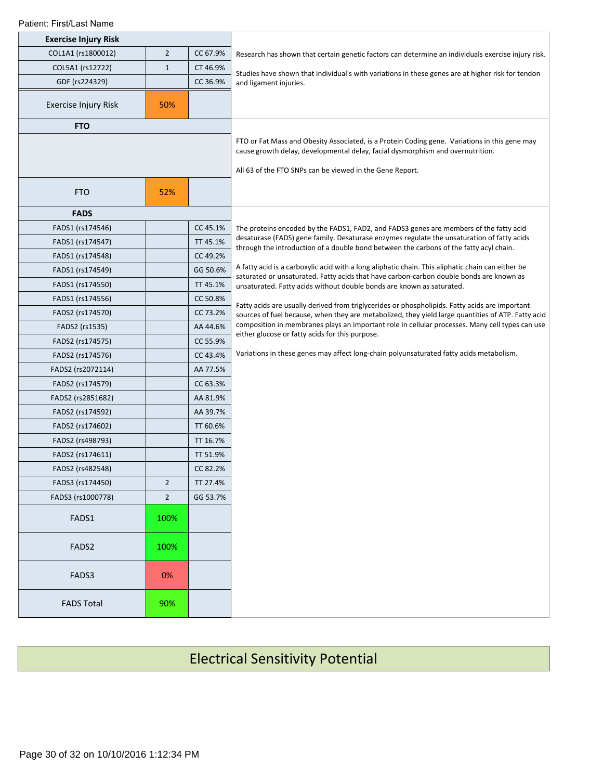| <b>Exercise Injury Risk</b> |                |          |                                                                                                                                                                                                                                             |
|-----------------------------|----------------|----------|---------------------------------------------------------------------------------------------------------------------------------------------------------------------------------------------------------------------------------------------|
| COL1A1 (rs1800012)          | $\overline{2}$ | CC 67.9% | Research has shown that certain genetic factors can determine an individuals exercise injury risk.                                                                                                                                          |
| COL5A1 (rs12722)            | $1\,$          | CT 46.9% | Studies have shown that individual's with variations in these genes are at higher risk for tendon                                                                                                                                           |
| GDF (rs224329)              |                | CC 36.9% | and ligament injuries.                                                                                                                                                                                                                      |
| Exercise Injury Risk        | 50%            |          |                                                                                                                                                                                                                                             |
| <b>FTO</b>                  |                |          |                                                                                                                                                                                                                                             |
|                             |                |          | FTO or Fat Mass and Obesity Associated, is a Protein Coding gene. Variations in this gene may<br>cause growth delay, developmental delay, facial dysmorphism and overnutrition.<br>All 63 of the FTO SNPs can be viewed in the Gene Report. |
| <b>FTO</b>                  | 52%            |          |                                                                                                                                                                                                                                             |
| <b>FADS</b>                 |                |          |                                                                                                                                                                                                                                             |
| FADS1 (rs174546)            |                | CC 45.1% | The proteins encoded by the FADS1, FAD2, and FADS3 genes are members of the fatty acid                                                                                                                                                      |
| FADS1 (rs174547)            |                | TT 45.1% | desaturase (FADS) gene family. Desaturase enzymes regulate the unsaturation of fatty acids<br>through the introduction of a double bond between the carbons of the fatty acyl chain.                                                        |
| FADS1 (rs174548)            |                | CC 49.2% |                                                                                                                                                                                                                                             |
| FADS1 (rs174549)            |                | GG 50.6% | A fatty acid is a carboxylic acid with a long aliphatic chain. This aliphatic chain can either be<br>saturated or unsaturated. Fatty acids that have carbon-carbon double bonds are known as                                                |
| FADS1 (rs174550)            |                | TT 45.1% | unsaturated. Fatty acids without double bonds are known as saturated.                                                                                                                                                                       |
| FADS1 (rs174556)            |                | CC 50.8% | Fatty acids are usually derived from triglycerides or phospholipids. Fatty acids are important                                                                                                                                              |
| FADS2 (rs174570)            |                | CC 73.2% | sources of fuel because, when they are metabolized, they yield large quantities of ATP. Fatty acid                                                                                                                                          |
| FADS2 (rs1535)              |                | AA 44.6% | composition in membranes plays an important role in cellular processes. Many cell types can use                                                                                                                                             |
| FADS2 (rs174575)            |                | CC 55.9% | either glucose or fatty acids for this purpose.                                                                                                                                                                                             |
| FADS2 (rs174576)            |                | CC 43.4% | Variations in these genes may affect long-chain polyunsaturated fatty acids metabolism.                                                                                                                                                     |
| FADS2 (rs2072114)           |                | AA 77.5% |                                                                                                                                                                                                                                             |
| FADS2 (rs174579)            |                | CC 63.3% |                                                                                                                                                                                                                                             |
| FADS2 (rs2851682)           |                | AA 81.9% |                                                                                                                                                                                                                                             |
| FADS2 (rs174592)            |                | AA 39.7% |                                                                                                                                                                                                                                             |
| FADS2 (rs174602)            |                | TT 60.6% |                                                                                                                                                                                                                                             |
| FADS2 (rs498793)            |                | TT 16.7% |                                                                                                                                                                                                                                             |
| FADS2 (rs174611)            |                | TT 51.9% |                                                                                                                                                                                                                                             |
| FADS2 (rs482548)            |                | CC 82.2% |                                                                                                                                                                                                                                             |
| FADS3 (rs174450)            | $\overline{2}$ | TT 27.4% |                                                                                                                                                                                                                                             |
| FADS3 (rs1000778)           | $\overline{2}$ | GG 53.7% |                                                                                                                                                                                                                                             |
| FADS1                       | 100%           |          |                                                                                                                                                                                                                                             |
| FADS2                       | 100%           |          |                                                                                                                                                                                                                                             |
| FADS3                       | 0%             |          |                                                                                                                                                                                                                                             |
| <b>FADS Total</b>           | 90%            |          |                                                                                                                                                                                                                                             |

# Electrical Sensitivity Potential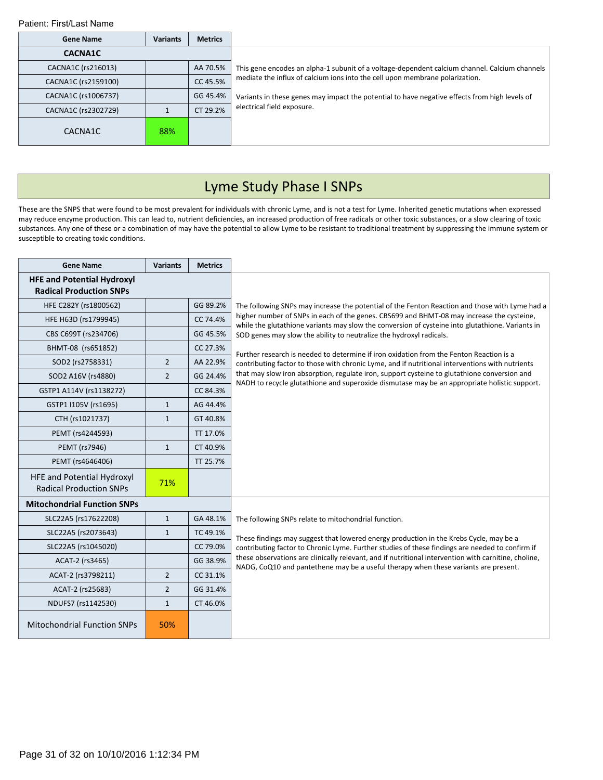| <b>Gene Name</b>    | <b>Variants</b> | <b>Metrics</b> |                                                                                               |
|---------------------|-----------------|----------------|-----------------------------------------------------------------------------------------------|
| <b>CACNA1C</b>      |                 |                |                                                                                               |
| CACNA1C (rs216013)  |                 | AA 70.5%       | This gene encodes an alpha-1 subunit of a voltage-dependent calcium channel. Calcium channels |
| CACNA1C (rs2159100) |                 | CC 45.5%       | mediate the influx of calcium ions into the cell upon membrane polarization.                  |
| CACNA1C (rs1006737) |                 | GG 45.4%       | Variants in these genes may impact the potential to have negative effects from high levels of |
| CACNA1C (rs2302729) |                 | CT 29.2%       | electrical field exposure.                                                                    |
| CACNA1C             | 88%             |                |                                                                                               |

# Lyme Study Phase I SNPs

These are the SNPS that were found to be most prevalent for individuals with chronic Lyme, and is not a test for Lyme. Inherited genetic mutations when expressed may reduce enzyme production. This can lead to, nutrient deficiencies, an increased production of free radicals or other toxic substances, or a slow clearing of toxic substances. Any one of these or a combination of may have the potential to allow Lyme to be resistant to traditional treatment by suppressing the immune system or susceptible to creating toxic conditions.

| <b>Gene Name</b>                                                    | <b>Variants</b> | <b>Metrics</b> |                                                                                                                                                                                               |
|---------------------------------------------------------------------|-----------------|----------------|-----------------------------------------------------------------------------------------------------------------------------------------------------------------------------------------------|
| <b>HFE and Potential Hydroxyl</b><br><b>Radical Production SNPs</b> |                 |                |                                                                                                                                                                                               |
| HFE C282Y (rs1800562)                                               |                 | GG 89.2%       | The following SNPs may increase the potential of the Fenton Reaction and those with Lyme had a                                                                                                |
| HFE H63D (rs1799945)                                                |                 | CC 74.4%       | higher number of SNPs in each of the genes. CBS699 and BHMT-08 may increase the cysteine,<br>while the glutathione variants may slow the conversion of cysteine into glutathione. Variants in |
| CBS C699T (rs234706)                                                |                 | GG 45.5%       | SOD genes may slow the ability to neutralize the hydroxyl radicals.                                                                                                                           |
| BHMT-08 (rs651852)                                                  |                 | CC 27.3%       | Further research is needed to determine if iron oxidation from the Fenton Reaction is a                                                                                                       |
| SOD2 (rs2758331)                                                    | $\overline{2}$  | AA 22.9%       | contributing factor to those with chronic Lyme, and if nutritional interventions with nutrients                                                                                               |
| SOD2 A16V (rs4880)                                                  | $\overline{2}$  | GG 24.4%       | that may slow iron absorption, regulate iron, support cysteine to glutathione conversion and<br>NADH to recycle glutathione and superoxide dismutase may be an appropriate holistic support.  |
| GSTP1 A114V (rs1138272)                                             |                 | CC 84.3%       |                                                                                                                                                                                               |
| GSTP1 I105V (rs1695)                                                | $\mathbf{1}$    | AG 44.4%       |                                                                                                                                                                                               |
| CTH (rs1021737)                                                     | $\mathbf{1}$    | GT 40.8%       |                                                                                                                                                                                               |
| PEMT (rs4244593)                                                    |                 | TT 17.0%       |                                                                                                                                                                                               |
| PEMT (rs7946)                                                       | $\mathbf{1}$    | CT 40.9%       |                                                                                                                                                                                               |
| PEMT (rs4646406)                                                    |                 | TT 25.7%       |                                                                                                                                                                                               |
| HFE and Potential Hydroxyl<br><b>Radical Production SNPs</b>        | 71%             |                |                                                                                                                                                                                               |
| <b>Mitochondrial Function SNPs</b>                                  |                 |                |                                                                                                                                                                                               |
| SLC22A5 (rs17622208)                                                | $\mathbf{1}$    | GA 48.1%       | The following SNPs relate to mitochondrial function.                                                                                                                                          |
| SLC22A5 (rs2073643)                                                 | $\mathbf{1}$    | TC 49.1%       | These findings may suggest that lowered energy production in the Krebs Cycle, may be a                                                                                                        |
| SLC22A5 (rs1045020)                                                 |                 | CC 79.0%       | contributing factor to Chronic Lyme. Further studies of these findings are needed to confirm if                                                                                               |
| ACAT-2 (rs3465)                                                     |                 | GG 38.9%       | these observations are clinically relevant, and if nutritional intervention with carnitine, choline,<br>NADG, CoQ10 and pantethene may be a useful therapy when these variants are present.   |
| ACAT-2 (rs3798211)                                                  | $\overline{2}$  | CC 31.1%       |                                                                                                                                                                                               |
| ACAT-2 (rs25683)                                                    | $\overline{2}$  | GG 31.4%       |                                                                                                                                                                                               |
| NDUFS7 (rs1142530)                                                  | $\mathbf{1}$    | CT 46.0%       |                                                                                                                                                                                               |
| <b>Mitochondrial Function SNPs</b>                                  | 50%             |                |                                                                                                                                                                                               |